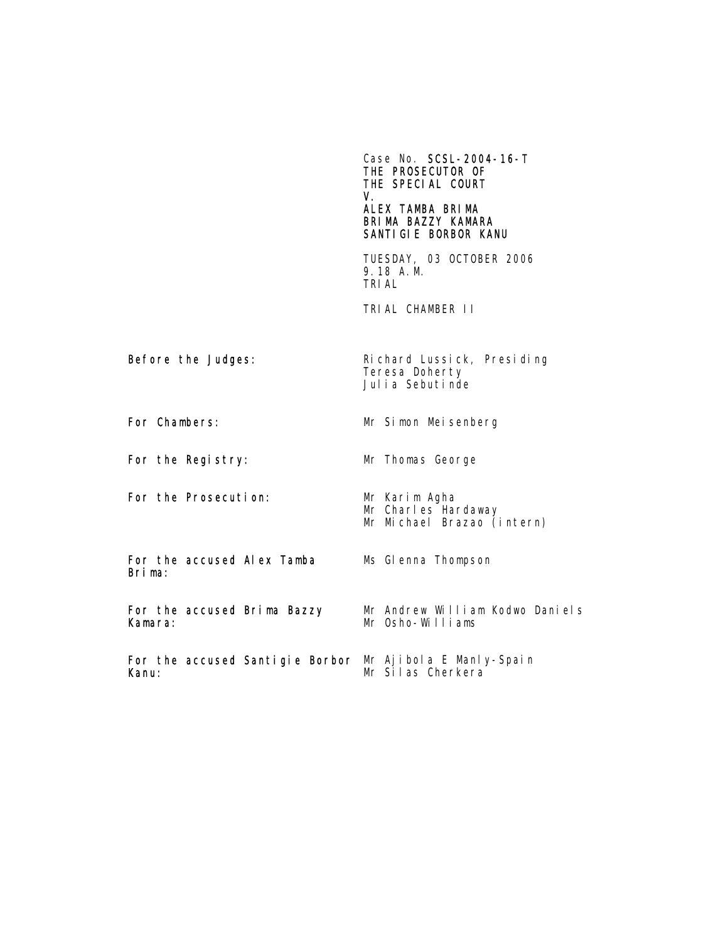Case No. SCSL-2004-16-T THE PROSECUTOR OF THE SPECIAL COURT V. ALEX TAMBA BRIMA BRIMA BAZZY KAMARA SANTIGIE BORBOR KANU TUESDAY, 03 OCTOBER 2006 9.18 A.M. TRIAL TRIAL CHAMBER II Before the Judges: Richard Lussick, Presiding Teresa Doherty Julia Sebutinde For Chambers: Mr Simon Meisenberg For the Registry: Mr Thomas George For the Prosecution: Mr Karim Agha Mr Charles Hardaway Mr Michael Brazao (intern) For the accused Alex Tamba Brima: Ms Glenna Thompson For the accused Brima Bazzy Kamara: Mr Andrew William Kodwo Daniels Mr Osho-Williams For the accused Santigie Borbor Mr Ajibola E Manly-Spain Kanu: Mr Silas Cherkera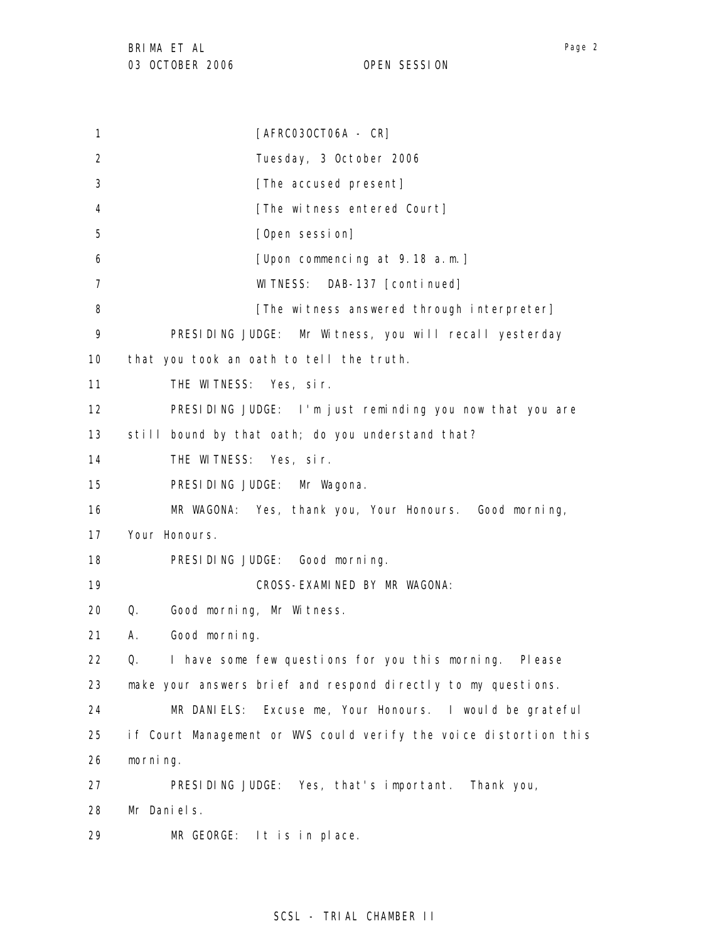1 2 3 4 5 6 7 8 9 10 11 12 13 14 15 16 17 18 19 20 21 22 23 24 25 26 27 28 29 [AFRC03OCT06A - CR] Tuesday, 3 October 2006 [The accused present] [The witness entered Court] [Open session] [Upon commencing at 9.18 a.m.] WITNESS: DAB-137 [continued] [The witness answered through interpreter] PRESIDING JUDGE: Mr Witness, you will recall yesterday that you took an oath to tell the truth. THE WITNESS: Yes, sir. PRESIDING JUDGE: I'm just reminding you now that you are still bound by that oath; do you understand that? THE WITNESS: Yes, sir. PRESIDING JUDGE: Mr Wagona. MR WAGONA: Yes, thank you, Your Honours. Good morning, Your Honours. PRESIDING JUDGE: Good morning. CROSS-EXAMINED BY MR WAGONA: Q. Good morning, Mr Witness. A. Good morning. Q. I have some few questions for you this morning. Please make your answers brief and respond directly to my questions. MR DANIELS: Excuse me, Your Honours. I would be grateful if Court Management or WVS could verify the voice distortion this morning. PRESIDING JUDGE: Yes, that's important. Thank you, Mr Daniels. MR GEORGE: It is in place.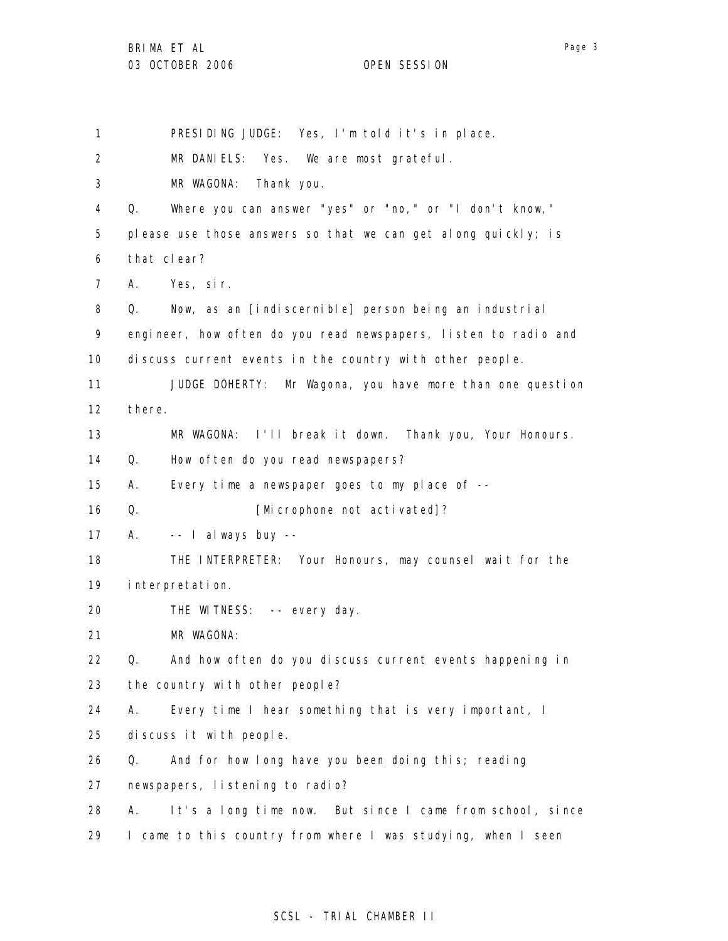1 PRESIDING JUDGE: Yes, I'm told it's in place.

2 MR DANIELS: Yes. We are most grateful.

3 MR WAGONA: Thank you.

4 Q. Where you can answer "yes" or "no," or "I don't know,"

5 please use those answers so that we can get along quickly; is

6 that clear?

7 A. Yes, sir.

8 Q. Now, as an [indiscernible] person being an industrial

9 10 engineer, how often do you read newspapers, listen to radio and discuss current events in the country with other people.

11 12 JUDGE DOHERTY: Mr Wagona, you have more than one question there.

13 MR WAGONA: I'll break it down. Thank you, Your Honours.

14 Q. How often do you read newspapers?

15 A. Every time a newspaper goes to my place of --

16 Q. [Microphone not activated]?

17 A. -- I always buy --

18 19 THE INTERPRETER: Your Honours, may counsel wait for the interpretation.

20 THE WITNESS: -- every day.

21 MR WAGONA:

22 23 Q. And how often do you discuss current events happening in the country with other people?

24 A. Every time I hear something that is very important, I

25 discuss it with people.

26 Q. And for how long have you been doing this; reading

27 newspapers, listening to radio?

28 A. It's a long time now. But since I came from school, since

29 I came to this country from where I was studying, when I seen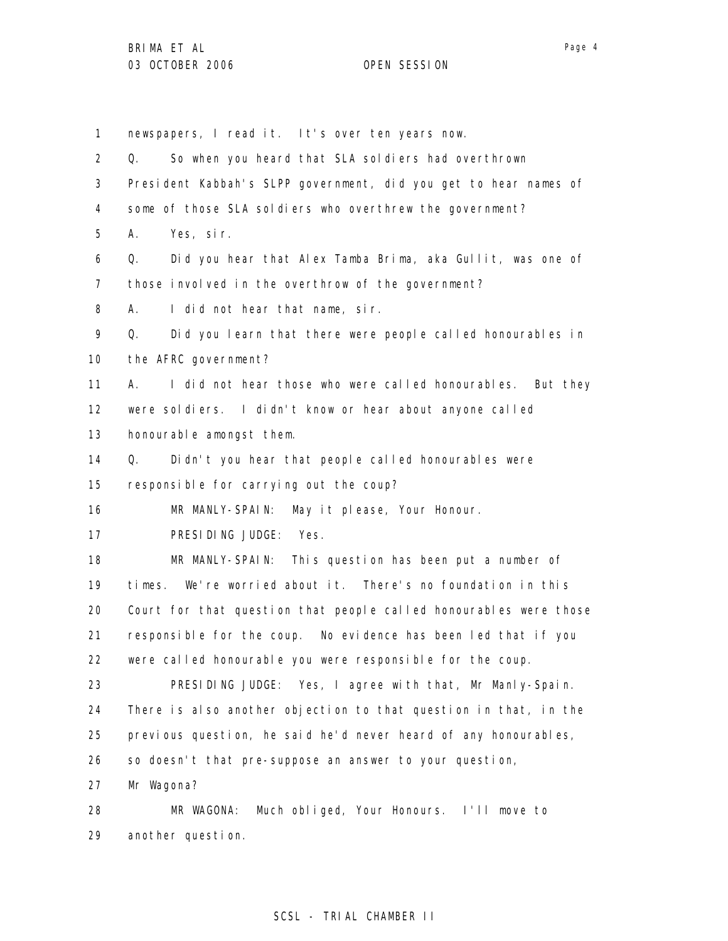1 newspapers, I read it. It's over ten years now.

2 3 4 5 6 7 8 9 10 11 12 13 14 15 16 17 18 19 20 21 22 23 24 25 26 27 28 Q. So when you heard that SLA soldiers had overthrown President Kabbah's SLPP government, did you get to hear names of some of those SLA soldiers who overthrew the government? A. Yes, sir. Q. Did you hear that Alex Tamba Brima, aka Gullit, was one of those involved in the overthrow of the government? A. I did not hear that name, sir. Q. Did you learn that there were people called honourables in the AFRC government? A. I did not hear those who were called honourables. But they were soldiers. I didn't know or hear about anyone called honourable amongst them. Q. Didn't you hear that people called honourables were responsible for carrying out the coup? MR MANLY-SPAIN: May it please, Your Honour. PRESIDING JUDGE: Yes. MR MANLY-SPAIN: This question has been put a number of times. We're worried about it. There's no foundation in this Court for that question that people called honourables were those responsible for the coup. No evidence has been led that if you were called honourable you were responsible for the coup. PRESIDING JUDGE: Yes, I agree with that, Mr Manly-Spain. There is also another objection to that question in that, in the previous question, he said he'd never heard of any honourables, so doesn't that pre-suppose an answer to your question, Mr Wagona? MR WAGONA: Much obliged, Your Honours. I'll move to

29 another question.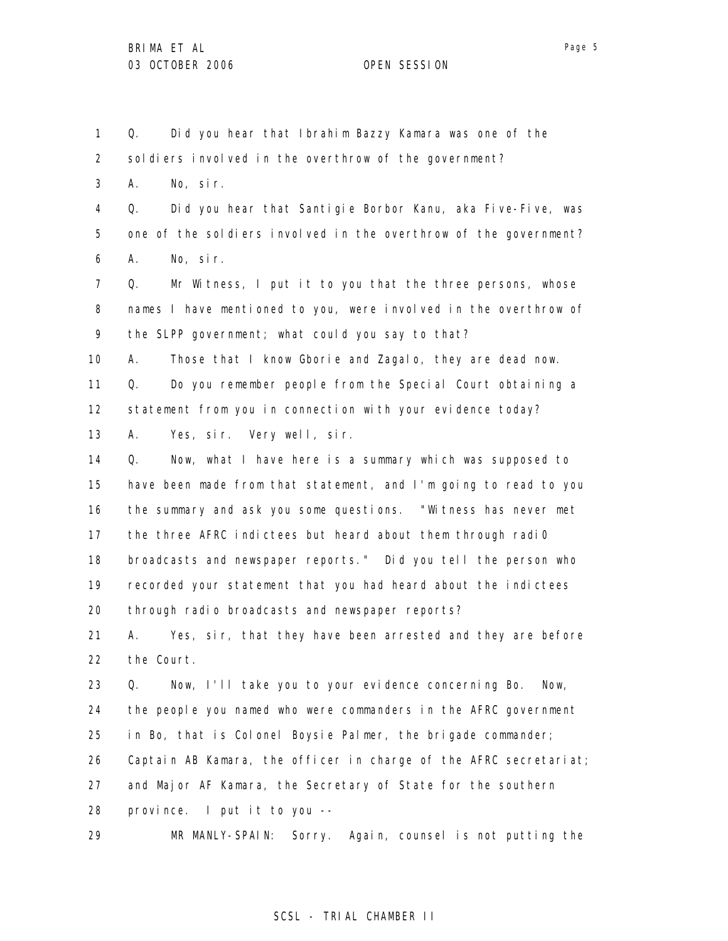1 2 3 4 5 6 7 8 9 10 11 12 13 14 15 16 17 18 19 20 21 22 23 24 25 26 27 28 29 Q. Did you hear that Ibrahim Bazzy Kamara was one of the soldiers involved in the overthrow of the government? A. No, sir. Q. Did you hear that Santigie Borbor Kanu, aka Five-Five, was one of the soldiers involved in the overthrow of the government? A. No, sir. Q. Mr Witness, I put it to you that the three persons, whose names I have mentioned to you, were involved in the overthrow of the SLPP government; what could you say to that? A. Those that I know Gborie and Zagalo, they are dead now. Q. Do you remember people from the Special Court obtaining a statement from you in connection with your evidence today? A. Yes, sir. Very well, sir. Q. Now, what I have here is a summary which was supposed to have been made from that statement, and I'm going to read to you the summary and ask you some questions. "Witness has never met the three AFRC indictees but heard about them through radi0 broadcasts and newspaper reports." Did you tell the person who recorded your statement that you had heard about the indictees through radio broadcasts and newspaper reports? A. Yes, sir, that they have been arrested and they are before the Court. Q. Now, I'll take you to your evidence concerning Bo. Now, the people you named who were commanders in the AFRC government in Bo, that is Colonel Boysie Palmer, the brigade commander; Captain AB Kamara, the officer in charge of the AFRC secretariat; and Major AF Kamara, the Secretary of State for the southern province. I put it to you -- MR MANLY-SPAIN: Sorry. Again, counsel is not putting the

### SCSL - TRIAL CHAMBER II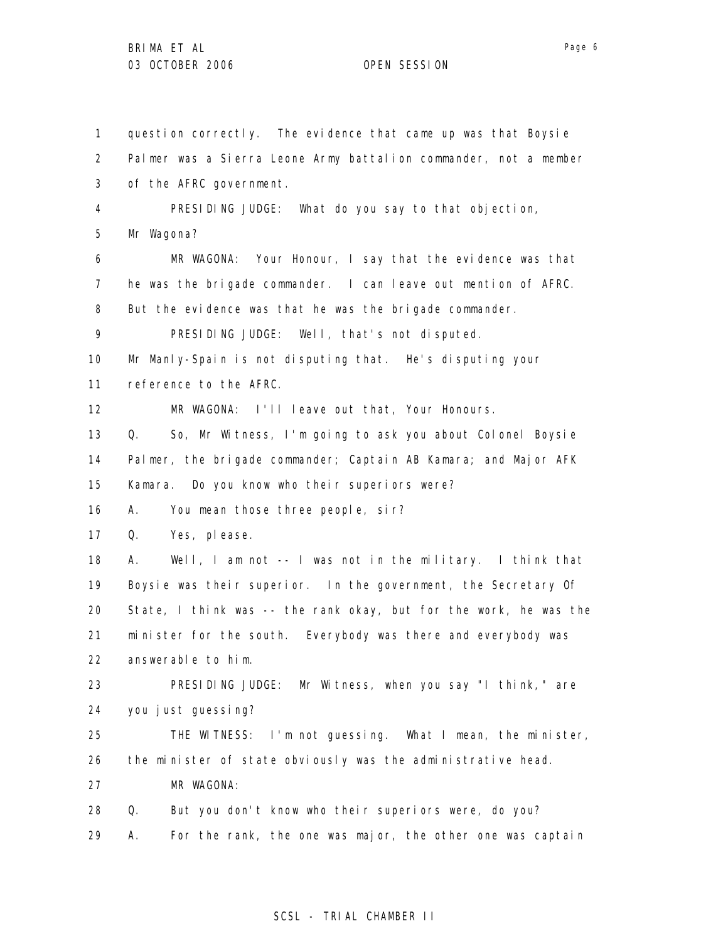1 2 3 4 5 6 7 8 9 10 11 12 13 14 15 16 17 18 19 20 21 22 23 24 25 26 27 28 29 question correctly. The evidence that came up was that Boysie Palmer was a Sierra Leone Army battalion commander, not a member of the AFRC government. PRESIDING JUDGE: What do you say to that objection, Mr Wagona? MR WAGONA: Your Honour, I say that the evidence was that he was the brigade commander. I can leave out mention of AFRC. But the evidence was that he was the brigade commander. PRESIDING JUDGE: Well, that's not disputed. Mr Manly-Spain is not disputing that. He's disputing your reference to the AFRC. MR WAGONA: I'll leave out that, Your Honours. Q. So, Mr Witness, I'm going to ask you about Colonel Boysie Palmer, the brigade commander; Captain AB Kamara; and Major AFK Kamara. Do you know who their superiors were? A. You mean those three people, sir? Q. Yes, please. A. Well, I am not -- I was not in the military. I think that Boysie was their superior. In the government, the Secretary Of State, I think was -- the rank okay, but for the work, he was the minister for the south. Everybody was there and everybody was answerable to him. PRESIDING JUDGE: Mr Witness, when you say "I think," are you just guessing? THE WITNESS: I'm not guessing. What I mean, the minister, the minister of state obviously was the administrative head. MR WAGONA: Q. But you don't know who their superiors were, do you? A. For the rank, the one was major, the other one was captain

### SCSL - TRIAL CHAMBER II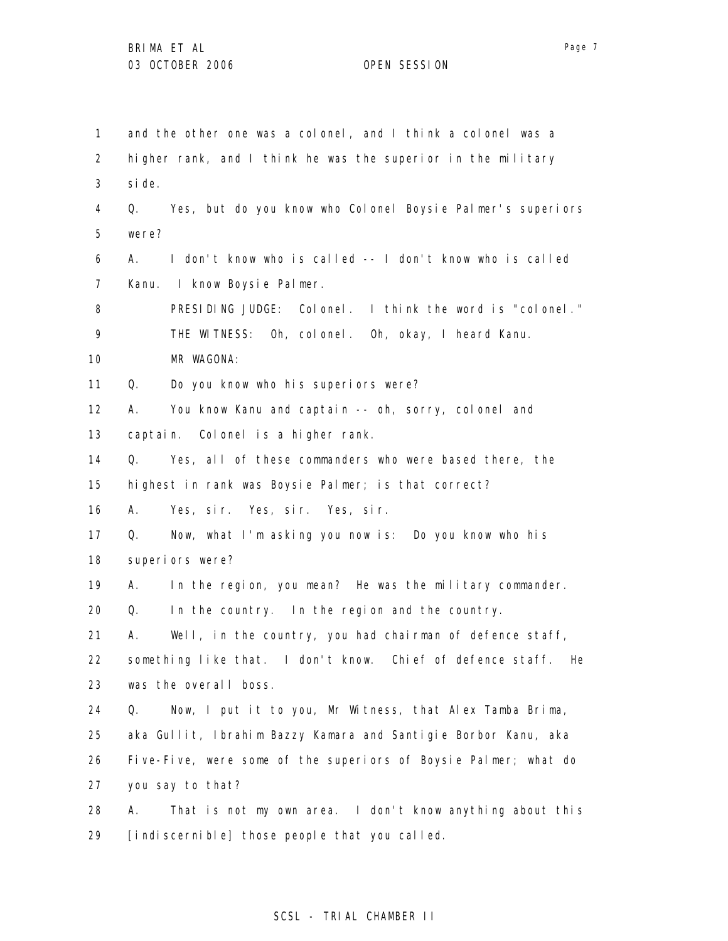1 2 3 4 5 6 7 8 9 10 11 12 13 14 15 16 17 18 19 20 21 22 23 24 25 26 27 28 29 and the other one was a colonel, and I think a colonel was a higher rank, and I think he was the superior in the military side. Q. Yes, but do you know who Colonel Boysie Palmer's superiors were? A. I don't know who is called -- I don't know who is called Kanu. I know Boysie Palmer. PRESIDING JUDGE: Colonel. I think the word is "colonel." THE WITNESS: Oh, colonel. Oh, okay, I heard Kanu. MR WAGONA: Q. Do you know who his superiors were? A. You know Kanu and captain -- oh, sorry, colonel and captain. Colonel is a higher rank. Q. Yes, all of these commanders who were based there, the highest in rank was Boysie Palmer; is that correct? A. Yes, sir. Yes, sir. Yes, sir. Q. Now, what I'm asking you now is: Do you know who his superiors were? A. In the region, you mean? He was the military commander. Q. In the country. In the region and the country. A. Well, in the country, you had chairman of defence staff, something like that. I don't know. Chief of defence staff. He was the overall boss. Q. Now, I put it to you, Mr Witness, that Alex Tamba Brima, aka Gullit, Ibrahim Bazzy Kamara and Santigie Borbor Kanu, aka Five-Five, were some of the superiors of Boysie Palmer; what do you say to that? A. That is not my own area. I don't know anything about this [indiscernible] those people that you called.

### SCSL - TRIAL CHAMBER II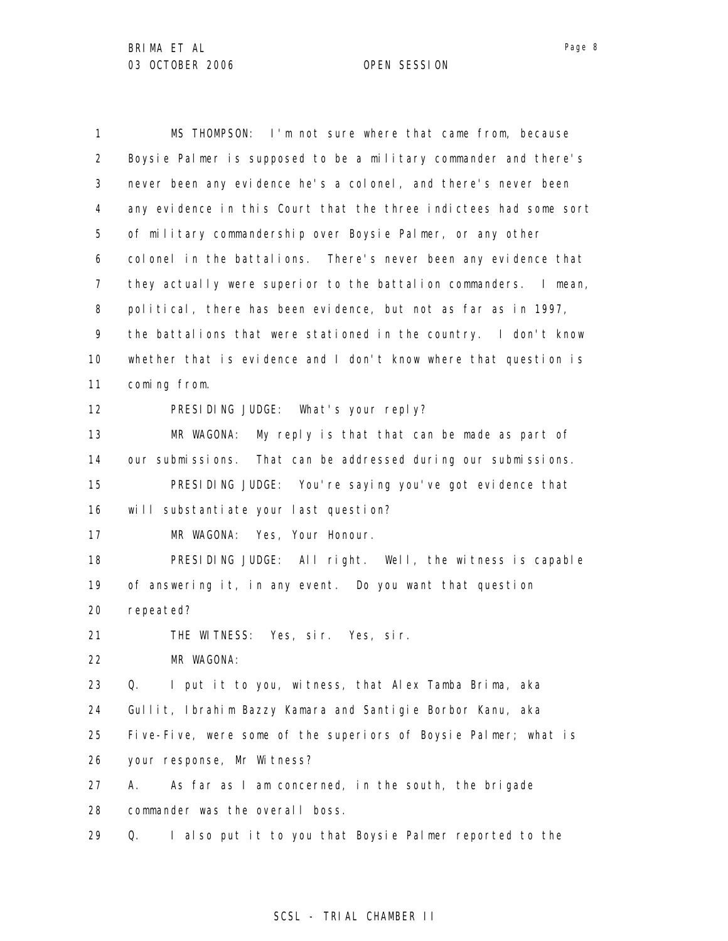1 2 3 4 5 6 7 8 9 10 11 12 13 14 15 16 17 18 19 20 21 22 23 24 25 26 27 28 29 MS THOMPSON: I'm not sure where that came from, because Boysie Palmer is supposed to be a military commander and there's never been any evidence he's a colonel, and there's never been any evidence in this Court that the three indictees had some sort of military commandership over Boysie Palmer, or any other colonel in the battalions. There's never been any evidence that they actually were superior to the battalion commanders. I mean, political, there has been evidence, but not as far as in 1997, the battalions that were stationed in the country. I don't know whether that is evidence and I don't know where that question is coming from. PRESIDING JUDGE: What's your reply? MR WAGONA: My reply is that that can be made as part of our submissions. That can be addressed during our submissions. PRESIDING JUDGE: You're saying you've got evidence that will substantiate your last question? MR WAGONA: Yes, Your Honour. PRESIDING JUDGE: All right. Well, the witness is capable of answering it, in any event. Do you want that question repeated? THE WITNESS: Yes, sir. Yes, sir. MR WAGONA: Q. I put it to you, witness, that Alex Tamba Brima, aka Gullit, Ibrahim Bazzy Kamara and Santigie Borbor Kanu, aka Five-Five, were some of the superiors of Boysie Palmer; what is your response, Mr Witness? A. As far as I am concerned, in the south, the brigade commander was the overall boss. Q. I also put it to you that Boysie Palmer reported to the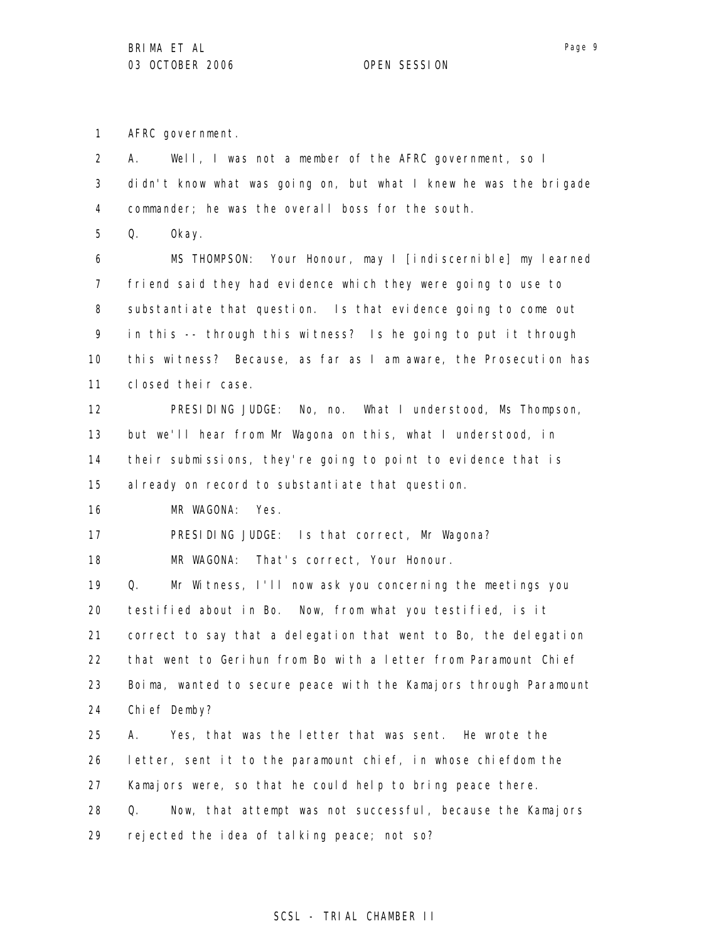1 AFRC government.

2 3 4 A. Well, I was not a member of the AFRC government, so I didn't know what was going on, but what I knew he was the brigade commander; he was the overall boss for the south.

5 Q. Okay.

6 7 8 9 10 11 MS THOMPSON: Your Honour, may I [indiscernible] my learned friend said they had evidence which they were going to use to substantiate that question. Is that evidence going to come out in this -- through this witness? Is he going to put it through this witness? Because, as far as I am aware, the Prosecution has closed their case.

12 13 14 15 PRESIDING JUDGE: No, no. What I understood, Ms Thompson, but we'll hear from Mr Wagona on this, what I understood, in their submissions, they're going to point to evidence that is al ready on record to substantiate that question.

16 MR WAGONA: Yes.

17 PRESIDING JUDGE: Is that correct, Mr Wagona?

18 MR WAGONA: That's correct, Your Honour.

19 20 21 22 23 24 Q. Mr Witness, I'll now ask you concerning the meetings you testified about in Bo. Now, from what you testified, is it correct to say that a delegation that went to Bo, the delegation that went to Gerihun from Bo with a letter from Paramount Chief Boima, wanted to secure peace with the Kamajors through Paramount Chief Demby?

25 26 27 28 29 A. Yes, that was the letter that was sent. He wrote the letter, sent it to the paramount chief, in whose chiefdom the Kamajors were, so that he could help to bring peace there. Q. Now, that attempt was not successful, because the Kamajors rejected the idea of talking peace; not so?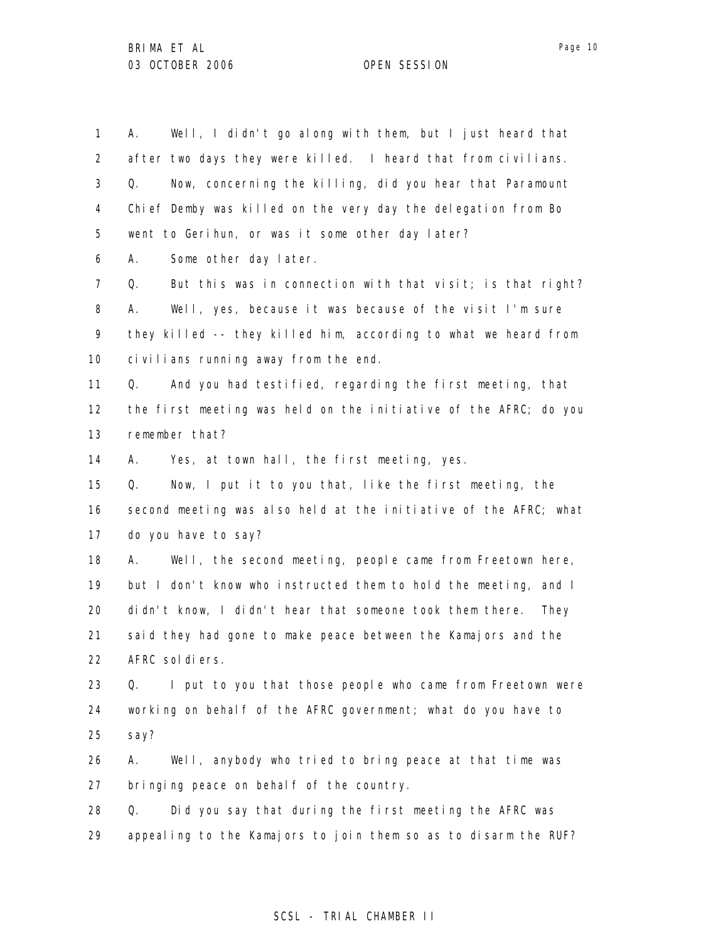1 2 3 4 5 6 7 8 9 10 11 12 13 14 15 16 17 18 19 20 21 22 23 24 25 26 27 28 29 A. Well, I didn't go along with them, but I just heard that after two days they were killed. I heard that from civilians. Q. Now, concerning the killing, did you hear that Paramount Chief Demby was killed on the very day the delegation from Bo went to Gerihun, or was it some other day later? A. Some other day later. Q. But this was in connection with that visit; is that right? A. Well, yes, because it was because of the visit I'm sure they killed -- they killed him, according to what we heard from civilians running away from the end. Q. And you had testified, regarding the first meeting, that the first meeting was held on the initiative of the AFRC; do you remember that? A. Yes, at town hall, the first meeting, yes. Q. Now, I put it to you that, like the first meeting, the second meeting was also held at the initiative of the AFRC; what do you have to say? A. Well, the second meeting, people came from Freetown here, but I don't know who instructed them to hold the meeting, and I didn't know, I didn't hear that someone took them there. They said they had gone to make peace between the Kamajors and the AFRC soldiers. Q. I put to you that those people who came from Freetown were working on behalf of the AFRC government; what do you have to say? A. Well, anybody who tried to bring peace at that time was bringing peace on behalf of the country. Q. Did you say that during the first meeting the AFRC was appealing to the Kamajors to join them so as to disarm the RUF?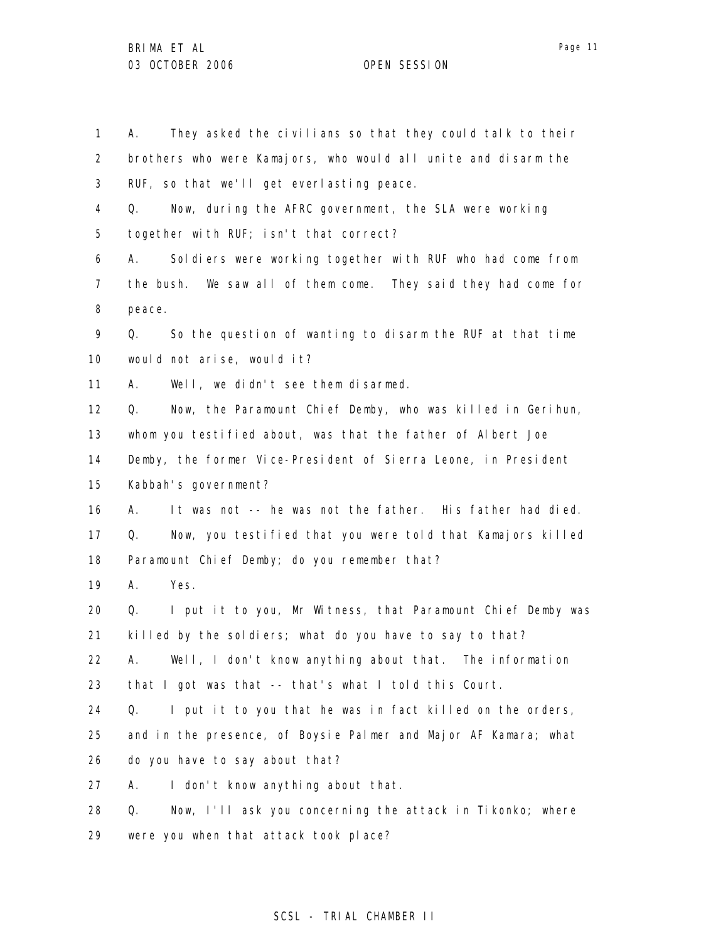1 2 3 4 5 6 7 8 9 10 11 12 13 14 15 16 17 18 19 20 21 22 23 24 25 26 27 28 29 A. They asked the civilians so that they could talk to their brothers who were Kamajors, who would all unite and disarm the RUF, so that we'll get everlasting peace. Q. Now, during the AFRC government, the SLA were working together with RUF; isn't that correct? A. Soldiers were working together with RUF who had come from the bush. We saw all of them come. They said they had come for peace. Q. So the question of wanting to disarm the RUF at that time would not arise, would it? A. Well, we didn't see them disarmed. Q. Now, the Paramount Chief Demby, who was killed in Gerihun, whom you testified about, was that the father of Albert Joe Demby, the former Vice-President of Sierra Leone, in President Kabbah's government? A. It was not -- he was not the father. His father had died. Q. Now, you testified that you were told that Kamajors killed Paramount Chief Demby; do you remember that? A. Yes. Q. I put it to you, Mr Witness, that Paramount Chief Demby was killed by the soldiers; what do you have to say to that? A. Well, I don't know anything about that. The information that I got was that -- that's what I told this Court. Q. I put it to you that he was in fact killed on the orders, and in the presence, of Boysie Palmer and Major AF Kamara; what do you have to say about that? A. I don't know anything about that. Q. Now, I'll ask you concerning the attack in Tikonko; where were you when that attack took place?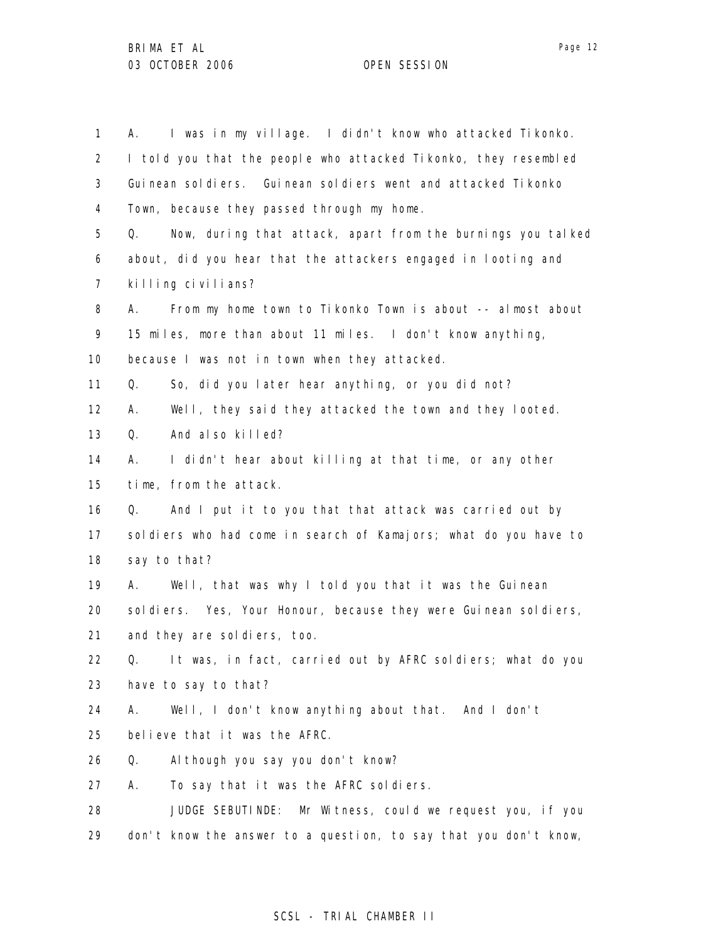1 2 3 4 5 6 7 8 9 10 11 12 13 14 15 16 17 18 19 20 21 22 23 24 25 26 27 28 29 A. I was in my village. I didn't know who attacked Tikonko. I told you that the people who attacked Tikonko, they resembled Guinean soldiers. Guinean soldiers went and attacked Tikonko Town, because they passed through my home. Q. Now, during that attack, apart from the burnings you talked about, did you hear that the attackers engaged in looting and killing civilians? A. From my home town to Tikonko Town is about -- almost about 15 miles, more than about 11 miles. I don't know anything, because I was not in town when they attacked. Q. So, did you later hear anything, or you did not? A. Well, they said they attacked the town and they looted. Q. And also killed? A. I didn't hear about killing at that time, or any other time, from the attack. Q. And I put it to you that that attack was carried out by soldiers who had come in search of Kamajors; what do you have to say to that? A. Well, that was why I told you that it was the Guinean sol diers. Yes, Your Honour, because they were Guinean sol diers, and they are soldiers, too. Q. It was, in fact, carried out by AFRC soldiers; what do you have to say to that? A. Well, I don't know anything about that. And I don't believe that it was the AFRC. Q. Although you say you don't know? A. To say that it was the AFRC soldiers. JUDGE SEBUTINDE: Mr Witness, could we request you, if you don't know the answer to a question, to say that you don't know,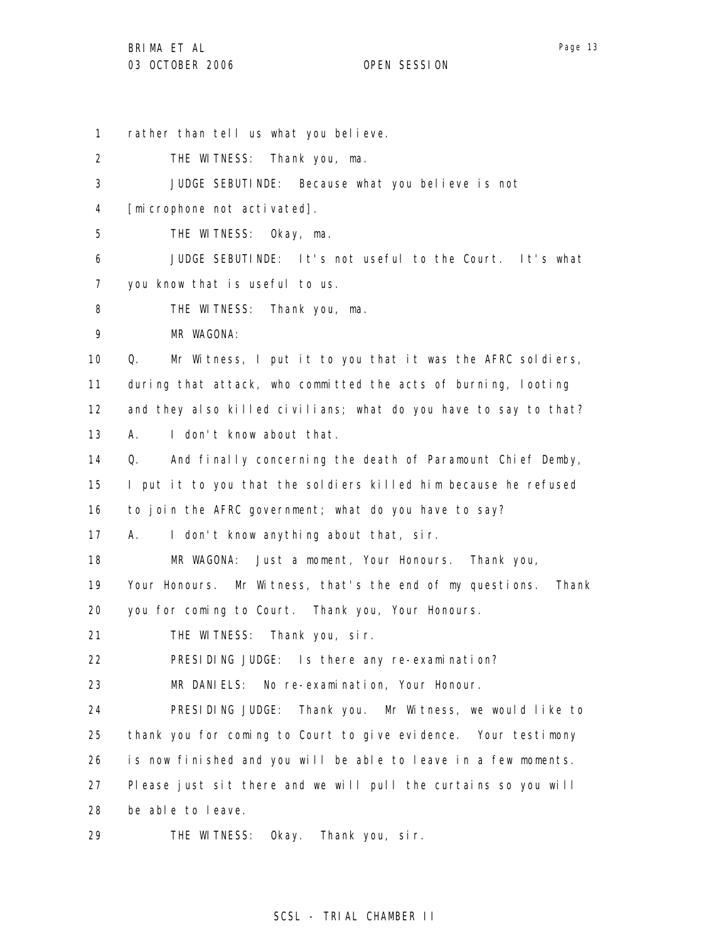1 2 3 4 5 6 7 8 9 10 11 12 13 14 15 16 17 18 19 20 21 22 23 24 25 26 27 28 rather than tell us what you believe. THE WITNESS: Thank you, ma. JUDGE SEBUTINDE: Because what you believe is not [microphone not activated]. THE WITNESS: Okay, ma. JUDGE SEBUTINDE: It's not useful to the Court. It's what you know that is useful to us. THE WITNESS: Thank you, ma. MR WAGONA: Q. Mr Witness, I put it to you that it was the AFRC soldiers, during that attack, who committed the acts of burning, looting and they also killed civilians; what do you have to say to that? A. I don't know about that. Q. And finally concerning the death of Paramount Chief Demby, I put it to you that the soldiers killed him because he refused to join the AFRC government; what do you have to say? A. I don't know anything about that, sir. MR WAGONA: Just a moment, Your Honours. Thank you, Your Honours. Mr Witness, that's the end of my questions. Thank you for coming to Court. Thank you, Your Honours. THE WITNESS: Thank you, sir. PRESIDING JUDGE: Is there any re-examination? MR DANIELS: No re-examination, Your Honour. PRESIDING JUDGE: Thank you. Mr Witness, we would like to thank you for coming to Court to give evidence. Your testimony is now finished and you will be able to leave in a few moments. Please just sit there and we will pull the curtains so you will be able to leave.

29 THE WITNESS: Okay. Thank you, sir.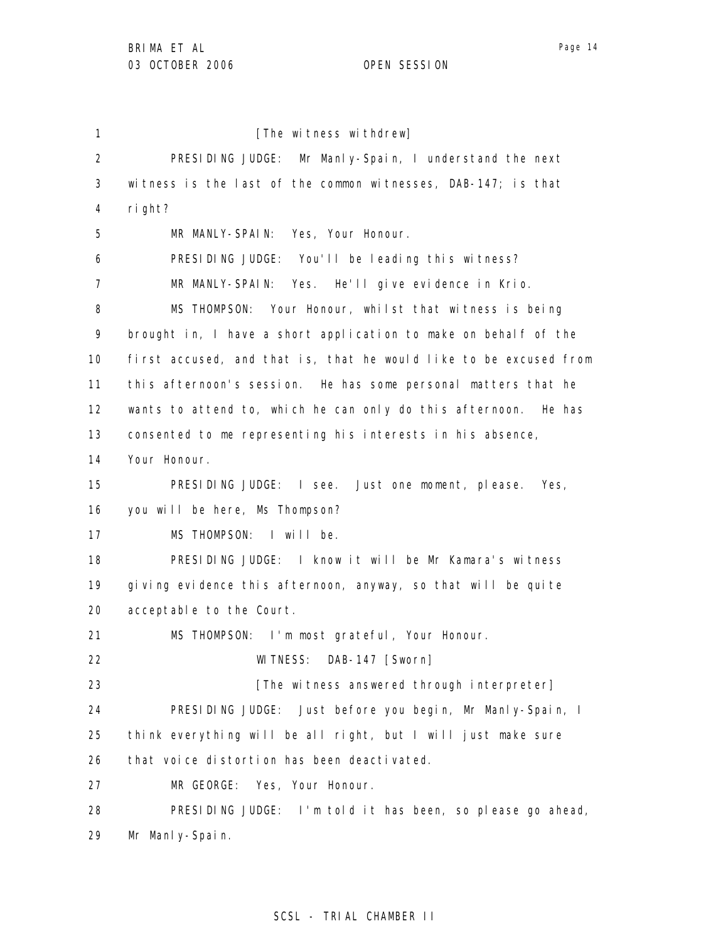1 2 3 4 5 6 7 8 9 10 11 12 13 14 15 16 17 18 19 20 21 22 23 24 25 26 27 28 29 [The witness withdrew] PRESIDING JUDGE: Mr Manly-Spain, I understand the next witness is the last of the common witnesses, DAB-147; is that right? MR MANLY-SPAIN: Yes, Your Honour. PRESIDING JUDGE: You'll be leading this witness? MR MANLY-SPAIN: Yes. He'll give evidence in Krio. MS THOMPSON: Your Honour, whilst that witness is being brought in, I have a short application to make on behalf of the first accused, and that is, that he would like to be excused from this afternoon's session. He has some personal matters that he wants to attend to, which he can only do this afternoon. He has consented to me representing his interests in his absence, Your Honour. PRESIDING JUDGE: I see. Just one moment, please. Yes, you will be here, Ms Thompson? MS THOMPSON: I will be. PRESIDING JUDGE: I know it will be Mr Kamara's witness giving evidence this afternoon, anyway, so that will be quite acceptable to the Court. MS THOMPSON: I'm most grateful, Your Honour. WITNESS: DAB-147 [Sworn] [The witness answered through interpreter] PRESIDING JUDGE: Just before you begin, Mr Manly-Spain, I think everything will be all right, but I will just make sure that voice distortion has been deactivated. MR GEORGE: Yes, Your Honour. PRESIDING JUDGE: I'm told it has been, so please go ahead, Mr Manly-Spain.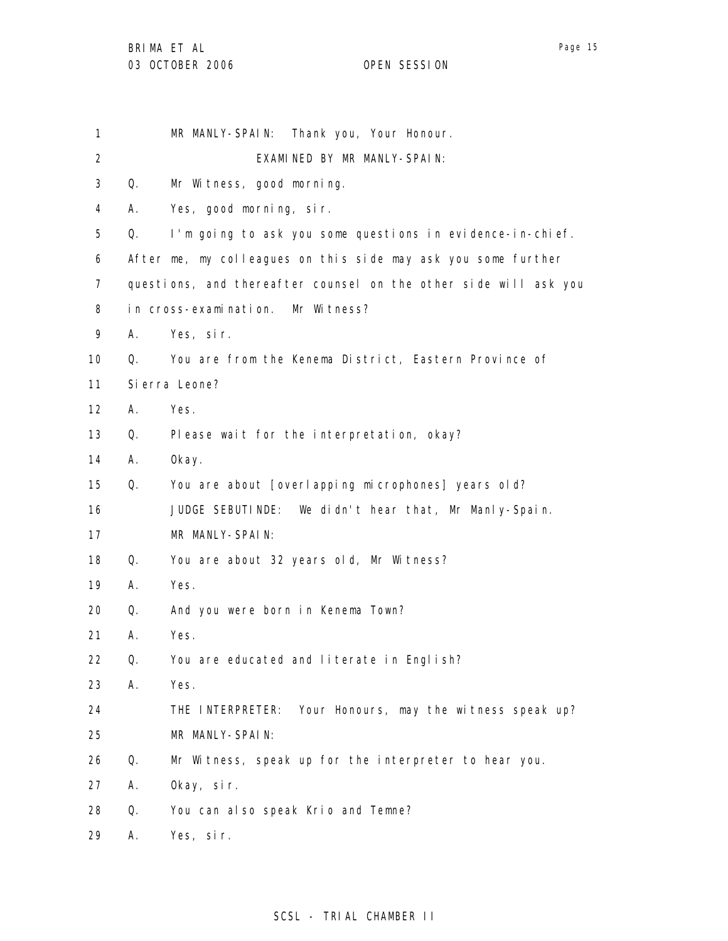| 1                 |    | MR MANLY-SPAIN: Thank you, Your Honour.                          |
|-------------------|----|------------------------------------------------------------------|
| $\overline{2}$    |    | EXAMINED BY MR MANLY-SPAIN:                                      |
| 3                 | Q. | Mr Witness, good morning.                                        |
| 4                 | А. | Yes, good morning, sir.                                          |
| 5                 | Q. | I'm going to ask you some questions in evidence-in-chief.        |
| 6                 |    | After me, my colleagues on this side may ask you some further    |
| 7                 |    | questions, and thereafter counsel on the other side will ask you |
| 8                 |    | in cross-examination. Mr Witness?                                |
| 9                 | А. | Yes, sir.                                                        |
| 10                | 0. | You are from the Kenema District, Eastern Province of            |
| 11                |    | Si erra Leone?                                                   |
| $12 \overline{ }$ | А. | Yes.                                                             |
| 13                | Q. | Please wait for the interpretation, okay?                        |
| 14                | А. | 0kay.                                                            |
| 15                | Q. | You are about [overlapping microphones] years old?               |
| 16                |    | JUDGE SEBUTINDE: We didn't hear that, Mr Manly-Spain.            |
| 17                |    | MR MANLY-SPAIN:                                                  |
| 18                | Q. | You are about 32 years old, Mr Witness?                          |
| 19                | А. | Yes.                                                             |
| 20                | Q. | And you were born in Kenema Town?                                |
| 21                | Α. | Yes.                                                             |
| 22                | Q. | You are educated and literate in English?                        |
| 23                | Α. | Yes.                                                             |
| 24                |    | Your Honours, may the witness speak up?<br>THE INTERPRETER:      |
| 25                |    | MR MANLY-SPAIN:                                                  |
| 26                | Q. | Mr Witness, speak up for the interpreter to hear you.            |
| 27                | А. | Okay, sir.                                                       |
| 28                | Q. | You can also speak Krio and Temne?                               |
| 29                | А. | Yes, sir.                                                        |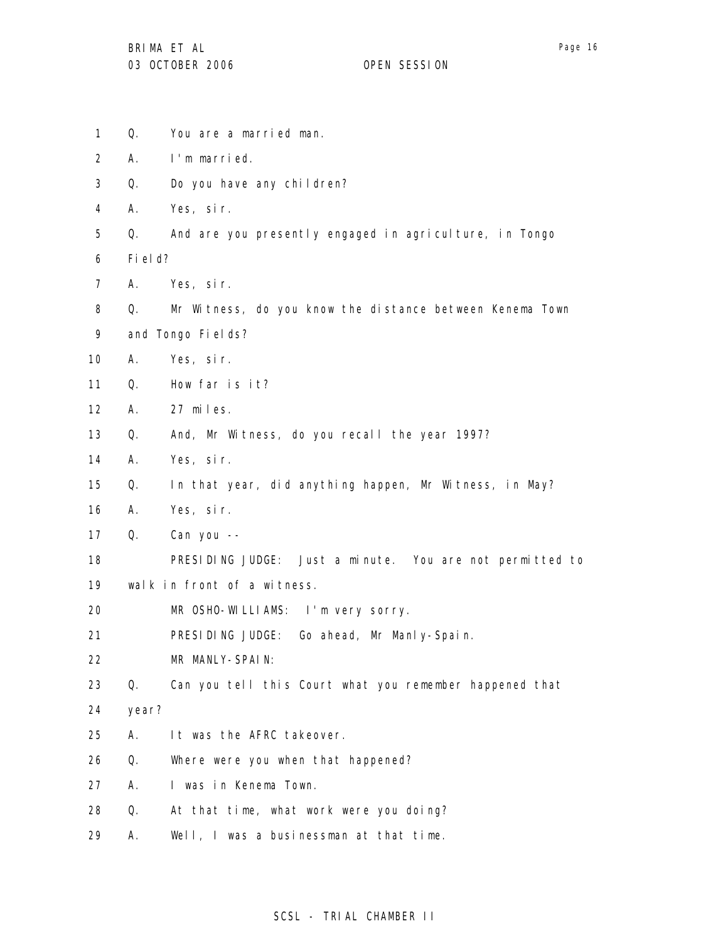- 1 2 3 4 5 6 7 8 9 10 11 12 13 14 15 16 17 18 19 20 21 22 23 24 25 26 27 28 Q. You are a married man. A. I'm married. Q. Do you have any children? A. Yes, sir. Q. And are you presently engaged in agriculture, in Tongo Field? A. Yes, sir. Q. Mr Witness, do you know the distance between Kenema Town and Tongo Fields? A. Yes, sir. Q. How far is it? A. 27 miles. Q. And, Mr Witness, do you recall the year 1997? A. Yes, sir. Q. In that year, did anything happen, Mr Witness, in May? A. Yes, sir. Q. Can you -- PRESIDING JUDGE: Just a minute. You are not permitted to walk in front of a witness. MR OSHO-WILLIAMS: I'm very sorry. PRESIDING JUDGE: Go ahead, Mr Manly-Spain. MR MANLY-SPAIN: Q. Can you tell this Court what you remember happened that year? A. It was the AFRC takeover. Q. Where were you when that happened? A. I was in Kenema Town. Q. At that time, what work were you doing?
- 29 A. Well, I was a businessman at that time.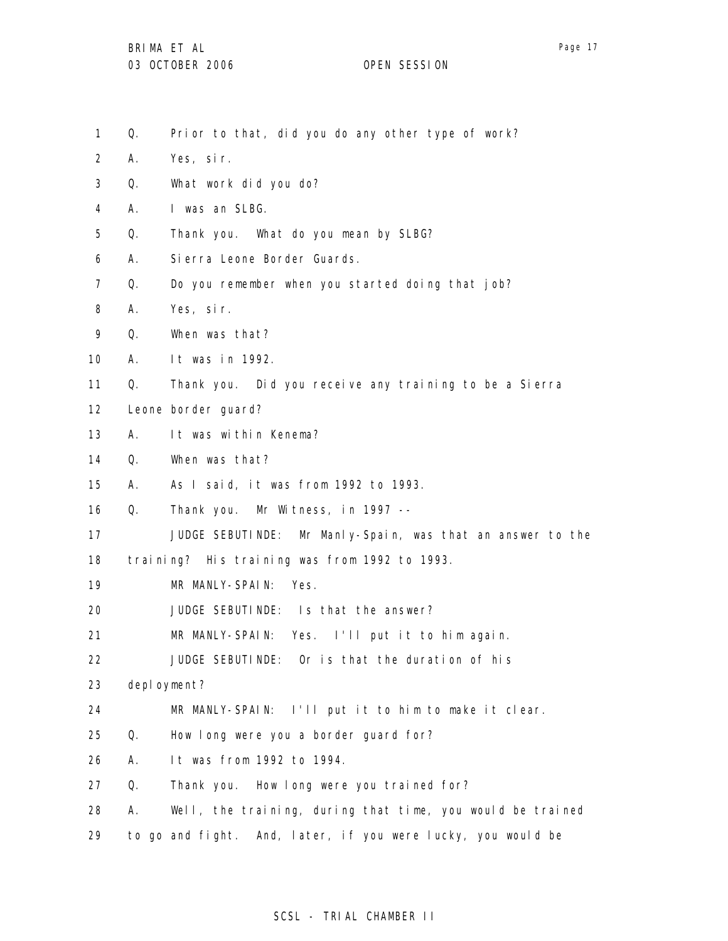- 1 Q. Prior to that, did you do any other type of work?
- 2 A. Yes, sir.
- 3 Q. What work did you do?
- 4 A. I was an SLBG.
- 5 Q. Thank you. What do you mean by SLBG?
- 6 A. Sierra Leone Border Guards.
- 7 Q. Do you remember when you started doing that job?
- 8 A. Yes, sir.
- 9 Q. When was that?
- 10 A. It was in 1992.
- 11 Q. Thank you. Did you receive any training to be a Sierra
- 12 Leone border guard?
- 13 A. It was within Kenema?
- 14 Q. When was that?
- 15 A. As I said, it was from 1992 to 1993.

16 Q. Thank you. Mr Witness, in 1997 --

17 JUDGE SEBUTINDE: Mr Manly-Spain, was that an answer to the

18 training? His training was from 1992 to 1993.

- 19 MR MANLY-SPAIN: Yes.
- 20 JUDGE SEBUTINDE: Is that the answer?
- 21 MR MANLY-SPAIN: Yes. I'll put it to him again.
- 22 JUDGE SEBUTINDE: Or is that the duration of his
- 23 deployment?
- 24 MR MANLY-SPAIN: I'll put it to him to make it clear.
- 25 Q. How long were you a border guard for?
- 26 A. It was from 1992 to 1994.
- 27 Q. Thank you. How long were you trained for?
- 28 A. Well, the training, during that time, you would be trained
- 29 to go and fight. And, later, if you were lucky, you would be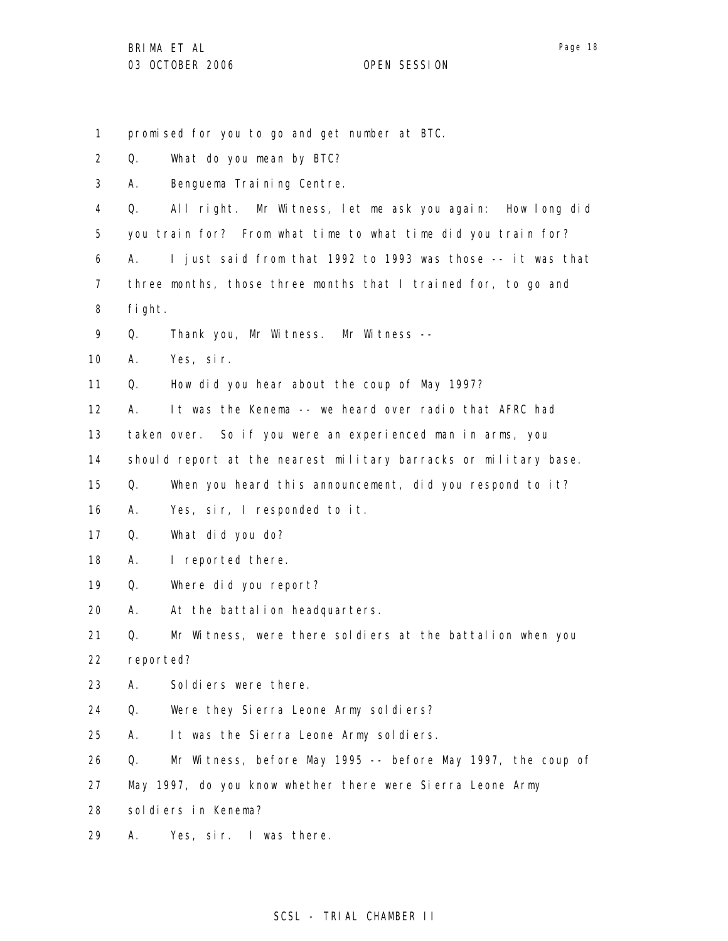1 2 3 4 5 6 7 8 9 10 11 12 13 14 15 16 17 18 19 20 21 22 23 24 25 26 27 28 29 promised for you to go and get number at BTC. Q. What do you mean by BTC? A. Benguema Training Centre. Q. All right. Mr Witness, let me ask you again: How long did you train for? From what time to what time did you train for? A. I just said from that 1992 to 1993 was those -- it was that three months, those three months that I trained for, to go and fight. Q. Thank you, Mr Witness. Mr Witness -- A. Yes, sir. Q. How did you hear about the coup of May 1997? A. It was the Kenema -- we heard over radio that AFRC had taken over. So if you were an experienced man in arms, you should report at the nearest military barracks or military base. Q. When you heard this announcement, did you respond to it? A. Yes, sir, I responded to it. Q. What did you do? A. I reported there. Q. Where did you report? A. At the battalion headquarters. Q. Mr Witness, were there soldiers at the battalion when you reported? A. Soldiers were there. Q. Were they Sierra Leone Army soldiers? A. It was the Sierra Leone Army soldiers. Q. Mr Witness, before May 1995 -- before May 1997, the coup of May 1997, do you know whether there were Sierra Leone Army soldiers in Kenema? A. Yes, sir. I was there.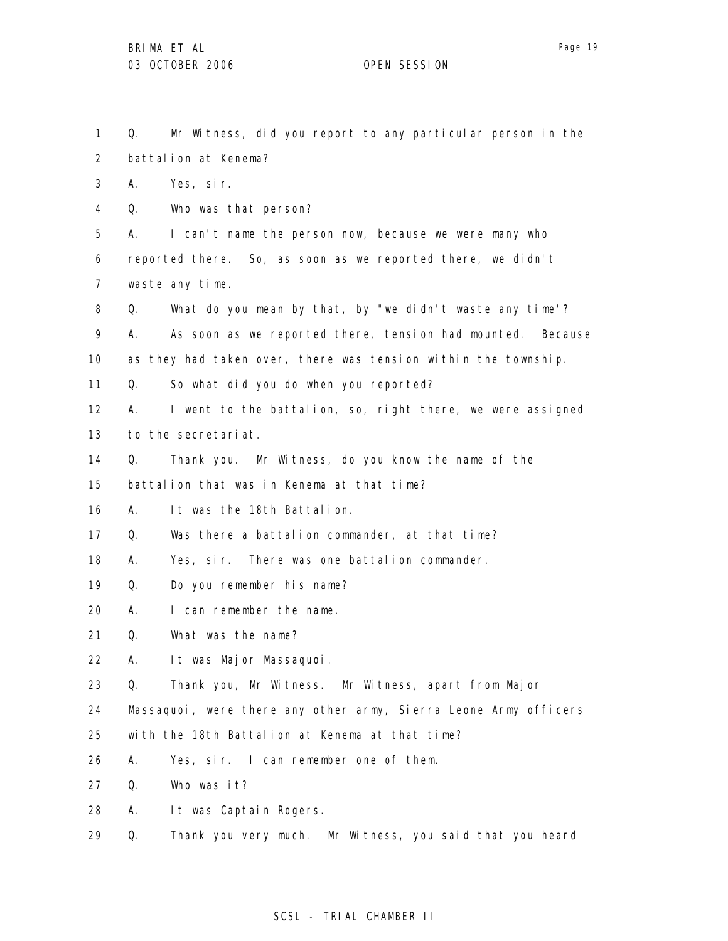1 2 3 4 5 6 7 8 9 10 11 12 13 14 15 16 17 18 19 20 21 22 23 24 25 26 27 28 29 Q. Mr Witness, did you report to any particular person in the battalion at Kenema? A. Yes, sir. Q. Who was that person? A. I can't name the person now, because we were many who reported there. So, as soon as we reported there, we didn't waste any time. Q. What do you mean by that, by "we didn't waste any time"? A. As soon as we reported there, tension had mounted. Because as they had taken over, there was tension within the township. Q. So what did you do when you reported? A. I went to the battalion, so, right there, we were assigned to the secretariat. Q. Thank you. Mr Witness, do you know the name of the battalion that was in Kenema at that time? A. It was the 18th Battalion. Q. Was there a battalion commander, at that time? A. Yes, sir. There was one battalion commander. Q. Do you remember his name? A. I can remember the name. Q. What was the name? A. It was Major Massaquoi. Q. Thank you, Mr Witness. Mr Witness, apart from Major Massaquoi, were there any other army, Sierra Leone Army officers with the 18th Battalion at Kenema at that time? A. Yes, sir. I can remember one of them. Q. Who was it? A. It was Captain Rogers. Q. Thank you very much. Mr Witness, you said that you heard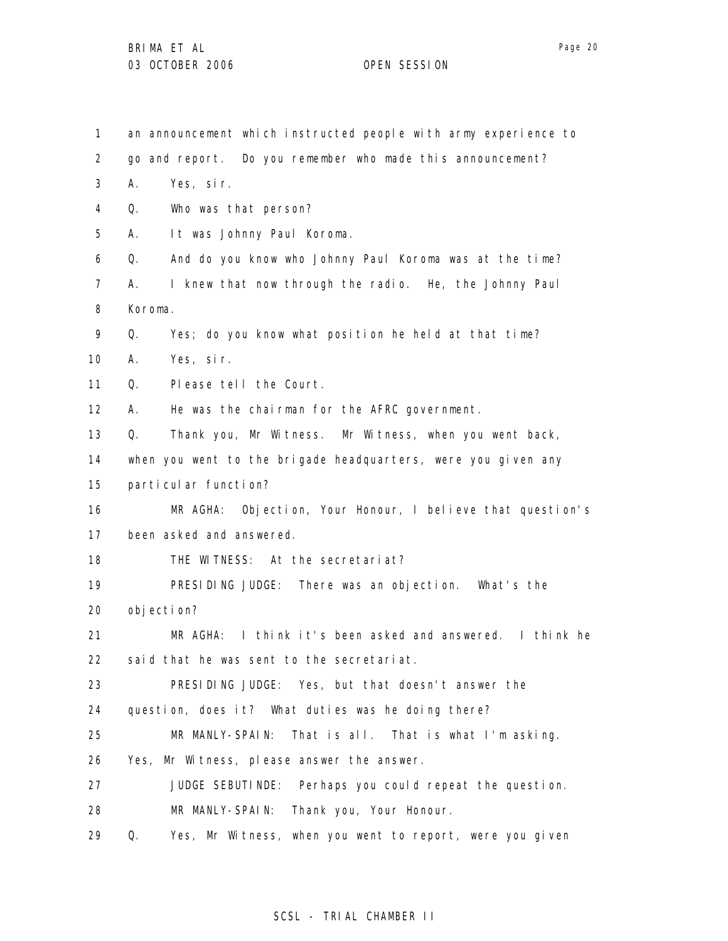1 2 3 4 5 6 7 8 9 10 11 12 13 14 15 16 17 18 19 20 21 22 23 24 25 26 27 28 29 an announcement which instructed people with army experience to go and report. Do you remember who made this announcement? A. Yes, sir. Q. Who was that person? A. It was Johnny Paul Koroma. Q. And do you know who Johnny Paul Koroma was at the time? A. I knew that now through the radio. He, the Johnny Paul Koroma. Q. Yes; do you know what position he held at that time? A. Yes, sir. Q. Please tell the Court. A. He was the chairman for the AFRC government. Q. Thank you, Mr Witness. Mr Witness, when you went back, when you went to the brigade headquarters, were you given any particular function? MR AGHA: Objection, Your Honour, I believe that question's been asked and answered. THE WITNESS: At the secretariat? PRESIDING JUDGE: There was an objection. What's the objection? MR AGHA: I think it's been asked and answered. I think he said that he was sent to the secretariat. PRESIDING JUDGE: Yes, but that doesn't answer the question, does it? What duties was he doing there? MR MANLY-SPAIN: That is all. That is what I'm asking. Yes, Mr Witness, please answer the answer. JUDGE SEBUTINDE: Perhaps you could repeat the question. MR MANLY-SPAIN: Thank you, Your Honour. Q. Yes, Mr Witness, when you went to report, were you given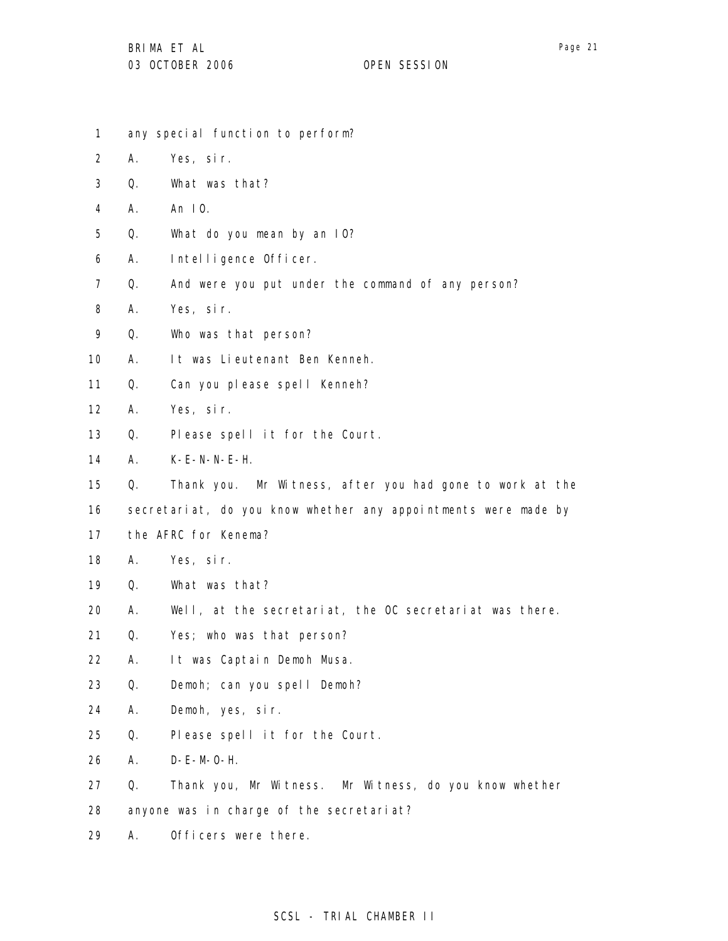- 1 2 3 4 5 6 7 8 9 10 11 12 13 14 15 16 17 18 19 20 21 22 23 24 25 26 27 28 any special function to perform? A. Yes, sir. Q. What was that? A. An IO. Q. What do you mean by an IO? A. Intelligence Officer. Q. And were you put under the command of any person? A. Yes, sir. Q. Who was that person? A. It was Lieutenant Ben Kenneh. Q. Can you please spell Kenneh? A. Yes, sir. Q. Please spell it for the Court. A. K-E-N-N-E-H. Q. Thank you. Mr Witness, after you had gone to work at the secretariat, do you know whether any appointments were made by the AFRC for Kenema? A. Yes, sir. Q. What was that? A. Well, at the secretariat, the OC secretariat was there. Q. Yes; who was that person? A. It was Captain Demoh Musa. Q. Demoh; can you spell Demoh? A. Demoh, yes, sir. Q. Please spell it for the Court. A. D-E-M-O-H. Q. Thank you, Mr Witness. Mr Witness, do you know whether anyone was in charge of the secretariat?
- 29 A. Officers were there.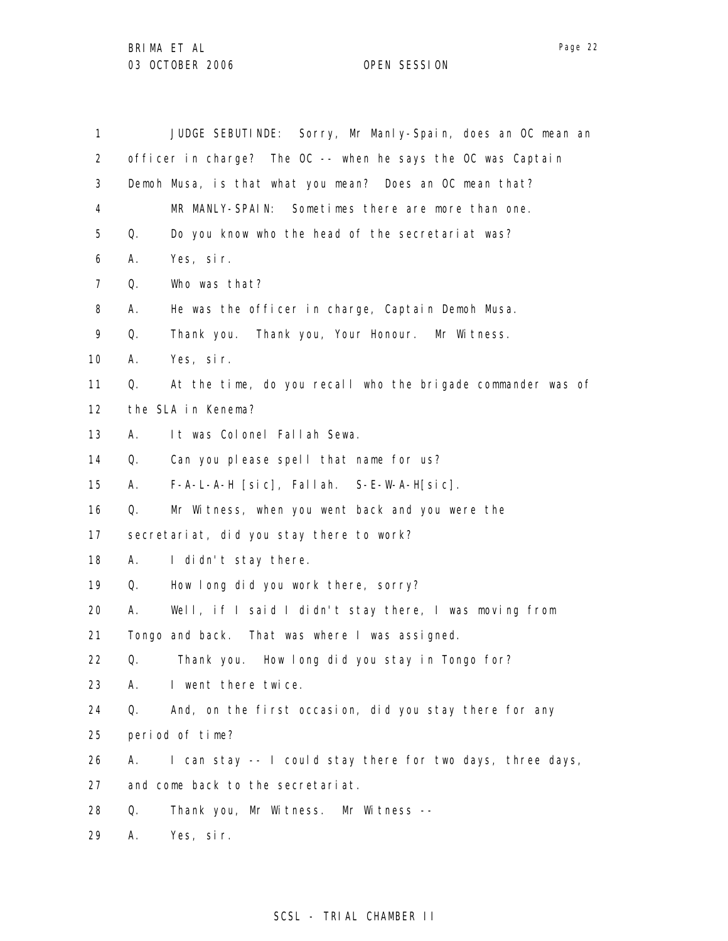| 1                 |    | JUDGE SEBUTINDE: Sorry, Mr Manly-Spain, does an OC mean an   |
|-------------------|----|--------------------------------------------------------------|
| $\overline{2}$    |    | officer in charge? The OC -- when he says the OC was Captain |
| 3                 |    | Demoh Musa, is that what you mean? Does an OC mean that?     |
| 4                 |    | Sometimes there are more than one.<br>MR MANLY-SPAIN:        |
| 5                 | Q. | Do you know who the head of the secretariat was?             |
| 6                 | Α. | Yes, sir.                                                    |
| $\overline{7}$    | Q. | Who was that?                                                |
| 8                 | А. | He was the officer in charge, Captain Demoh Musa.            |
| 9                 | Q. | Thank you. Thank you, Your Honour. Mr Witness.               |
| 10                | Α. | Yes, sir.                                                    |
| 11                | Q. | At the time, do you recall who the brigade commander was of  |
| $12 \overline{ }$ |    | the SLA in Kenema?                                           |
| 13                | А. | It was Colonel Fallah Sewa.                                  |
| 14                | Q. | Can you please spell that name for us?                       |
| 15                | А. | $F-A-L-A-H$ [sic], Fallah. S-E-W-A-H[sic].                   |
| 16                | Q. | Mr Witness, when you went back and you were the              |
| 17                |    | secretariat, did you stay there to work?                     |
| 18                | А. | I didn't stay there.                                         |
| 19                | Q. | How long did you work there, sorry?                          |
| 20                | А. | Well, if I said I didn't stay there, I was moving from       |
| 21                |    | Tongo and back. That was where I was assigned.               |
| 22                | Q. | Thank you. How long did you stay in Tongo for?               |
| 23                | А. | I went there twice.                                          |
| 24                | Q. | And, on the first occasion, did you stay there for any       |
| 25                |    | period of time?                                              |
| 26                | А. | I can stay -- I could stay there for two days, three days,   |
| 27                |    | and come back to the secretariat.                            |
| 28                | Q. | Thank you, Mr Witness. Mr Witness --                         |
| 29                | Α. | Yes, sir.                                                    |

# SCSL - TRIAL CHAMBER II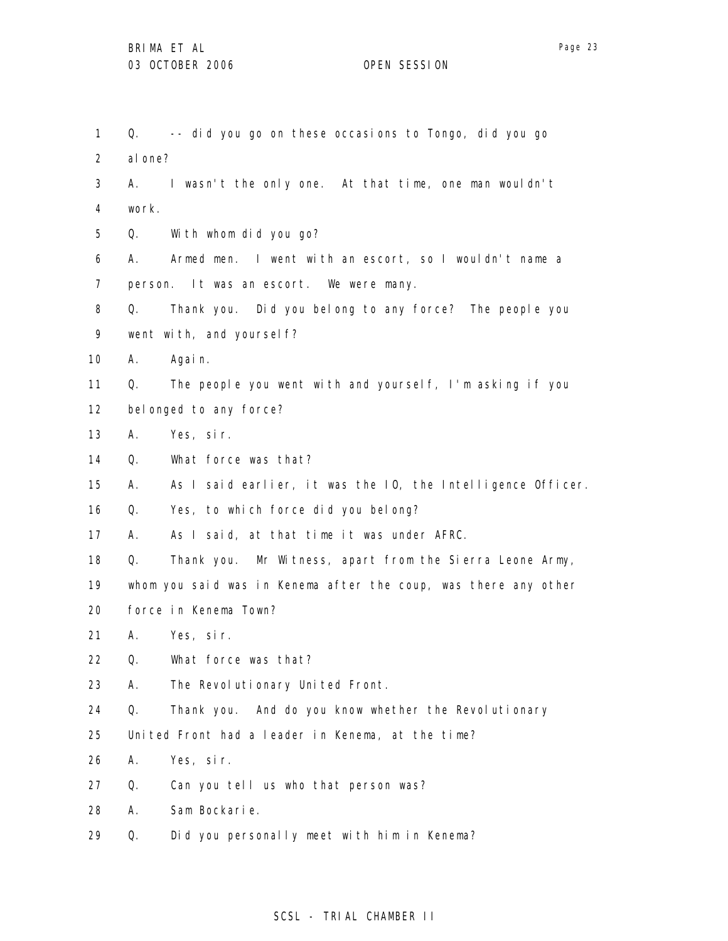| 1                 | Q.                      | -- did you go on these occasions to Tongo, did you go           |
|-------------------|-------------------------|-----------------------------------------------------------------|
| 2                 | al one?                 |                                                                 |
| 3                 |                         | A. I wasn't the only one. At that time, one man wouldn't        |
| 4                 | work.                   |                                                                 |
| 5                 | Q.                      | With whom did you go?                                           |
| 6                 | А.                      | Armed men. I went with an escort, so I wouldn't name a          |
| $\overline{7}$    |                         | person. It was an escort. We were many.                         |
| 8                 | Q.                      | Thank you. Did you belong to any force? The people you          |
| 9                 |                         | went with, and yoursel f?                                       |
| 10                | А.                      | Again.                                                          |
| 11                | Q.                      | The people you went with and yourself, I'm asking if you        |
| $12 \overline{ }$ | bel onged to any force? |                                                                 |
| 13                | Α.                      | Yes, sir.                                                       |
| 14                | Q.                      | What force was that?                                            |
| 15                | А.                      | As I said earlier, it was the IO, the Intelligence Officer.     |
| 16                | Q.                      | Yes, to which force did you belong?                             |
| 17                | А.                      | As I said, at that time it was under AFRC.                      |
| 18                | Q.                      | Thank you. Mr Witness, apart from the Sierra Leone Army,        |
| 19                |                         | whom you said was in Kenema after the coup, was there any other |
| 20                |                         | force in Kenema Town?                                           |
| 21                | А.                      | Yes, sir.                                                       |
| 22                | Q.                      | What force was that?                                            |
| 23                | А.                      | The Revolutionary United Front.                                 |
| 24                | Q.                      | Thank you. And do you know whether the Revolutionary            |
| 25                |                         | United Front had a leader in Kenema, at the time?               |
| 26                | Α.                      | Yes, sir.                                                       |
| 27                | Q.                      | Can you tell us who that person was?                            |
| 28                | А.                      | Sam Bockarie.                                                   |
| 29                | Q.                      | Did you personally meet with him in Kenema?                     |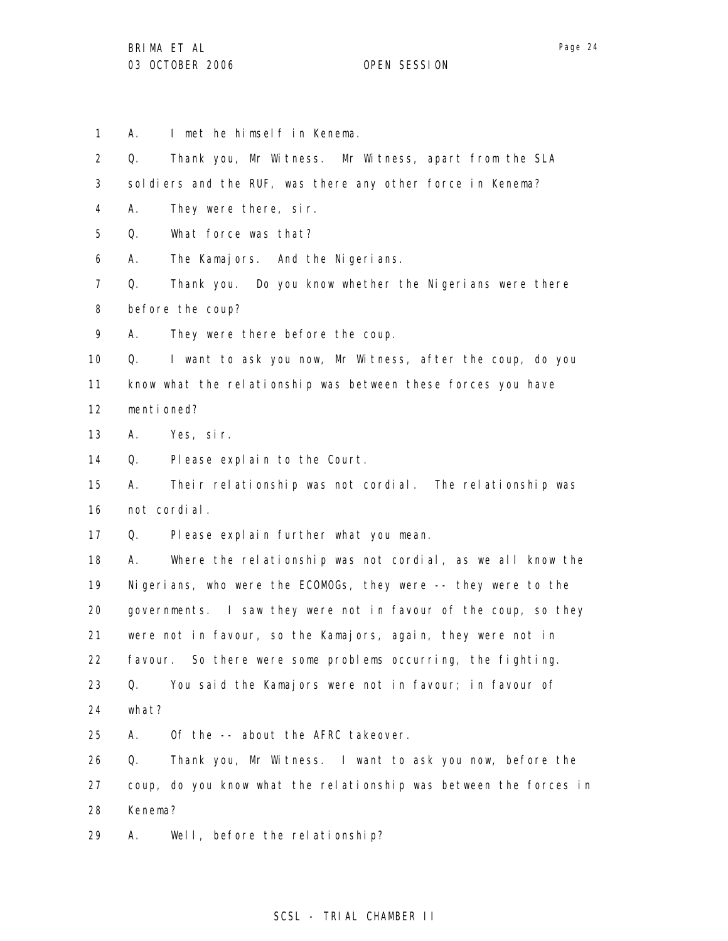1 A. I met he himself in Kenema.

2 3 4 5 6 7 8 9 10 11 12 13 14 15 16 17 18 19 20 21 22 23 24 25 26 27 28 29 Q. Thank you, Mr Witness. Mr Witness, apart from the SLA soldiers and the RUF, was there any other force in Kenema? A. They were there, sir. Q. What force was that? A. The Kamajors. And the Nigerians. Q. Thank you. Do you know whether the Nigerians were there before the coup? A. They were there before the coup. Q. I want to ask you now, Mr Witness, after the coup, do you know what the relationship was between these forces you have mentioned? A. Yes, sir. Q. Please explain to the Court. A. Their relationship was not cordial. The relationship was not cordial. Q. Please explain further what you mean. A. Where the relationship was not cordial, as we all know the Nigerians, who were the ECOMOGs, they were -- they were to the governments. I saw they were not in favour of the coup, so they were not in favour, so the Kamajors, again, they were not in favour. So there were some problems occurring, the fighting. Q. You said the Kamajors were not in favour; in favour of what? A. Of the -- about the AFRC takeover. Q. Thank you, Mr Witness. I want to ask you now, before the coup, do you know what the relationship was between the forces in Kenema? A. Well, before the relationship?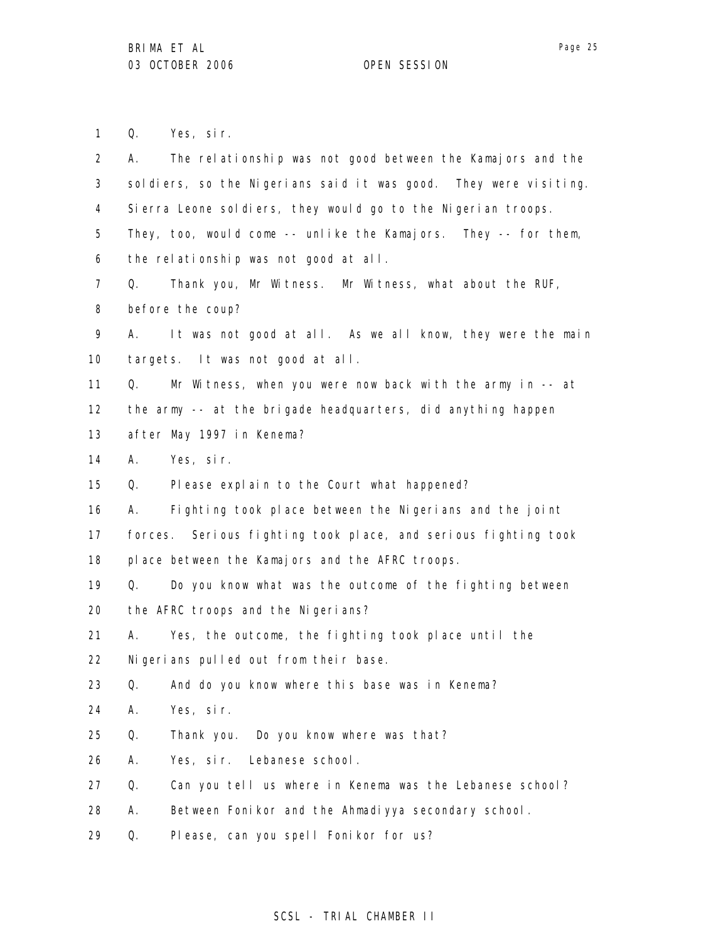1 Q. Yes, sir.

| $\overline{2}$  | The relationship was not good between the Kamajors and the<br>А. |
|-----------------|------------------------------------------------------------------|
| 3               | soldiers, so the Nigerians said it was good. They were visiting. |
| 4               | Sierra Leone soldiers, they would go to the Nigerian troops.     |
| 5               | They, too, would come -- unlike the Kamajors. They -- for them,  |
| 6               | the relationship was not good at all.                            |
| $\overline{7}$  | Thank you, Mr Witness. Mr Witness, what about the RUF,<br>Q.     |
| 8               | before the coup?                                                 |
| 9               | It was not good at all. As we all know, they were the main<br>А. |
| 10              | targets. It was not good at all.                                 |
| 11              | Mr Witness, when you were now back with the army in $-$ at<br>Q. |
| 12 <sup>2</sup> | the army -- at the brigade headquarters, did anything happen     |
| 13              | after May 1997 in Kenema?                                        |
| 14              | Yes, sir.<br>А.                                                  |
| 15              | Q.<br>Please explain to the Court what happened?                 |
| 16              | Fighting took place between the Nigerians and the joint<br>А.    |
| 17              | forces. Serious fighting took place, and serious fighting took   |
| 18              | place between the Kamajors and the AFRC troops.                  |
| 19              | Do you know what was the outcome of the fighting between<br>Q.   |
| 20              | the AFRC troops and the Nigerians?                               |
| 21              | Yes, the outcome, the fighting took place until the<br>А.        |
| 22              | Nigerians pulled out from their base.                            |
| 23              | And do you know where this base was in Kenema?<br>Q.             |
| 24              | Α.<br>Yes, sir.                                                  |
| 25              | Q.<br>Thank you. Do you know where was that?                     |
| 26              | Α.<br>Yes, sir. Lebanese school.                                 |
| 27              | Q.<br>Can you tell us where in Kenema was the Lebanese school?   |
| 28              | Between Fonikor and the Ahmadiyya secondary school.<br>Α.        |
| 29              | Please, can you spell Fonikor for us?<br>Q.                      |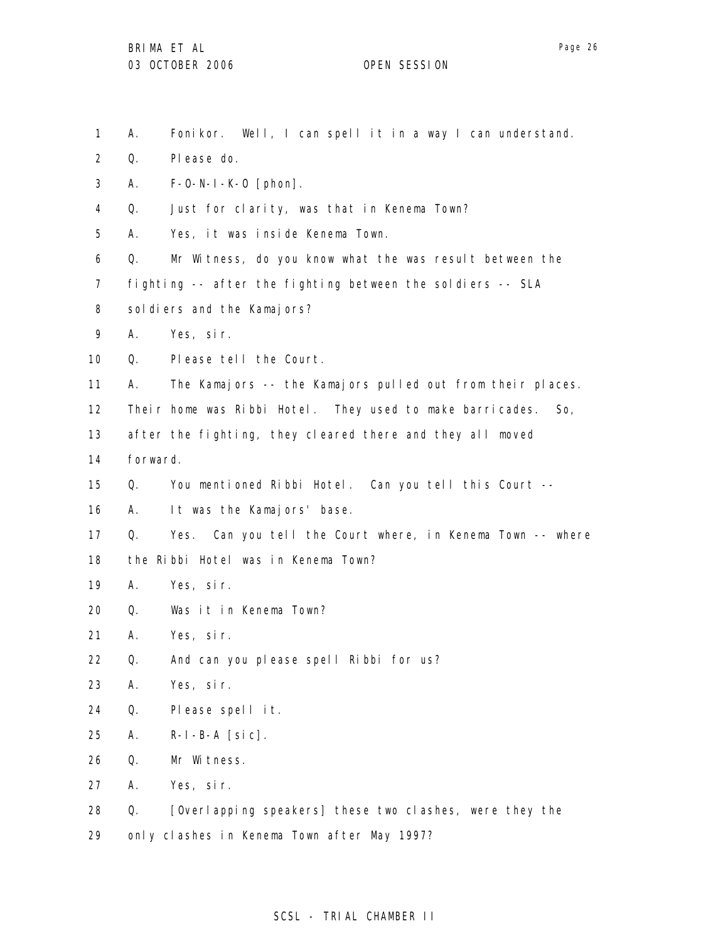1 2 3 4 5 6 7 8 9 10 11 12 13 14 15 16 17 18 19 20 21 22 23 24 25 26 27 28 29 A. Fonikor. Well, I can spell it in a way I can understand. Q. Please do. A. F-O-N-I-K-O [phon]. Q. Just for clarity, was that in Kenema Town? A. Yes, it was inside Kenema Town. Q. Mr Witness, do you know what the was result between the fighting -- after the fighting between the soldiers -- SLA soldiers and the Kamajors? A. Yes, sir. Q. Please tell the Court. A. The Kamajors -- the Kamajors pulled out from their places. Their home was Ribbi Hotel. They used to make barricades. So, after the fighting, they cleared there and they all moved forward. Q. You mentioned Ribbi Hotel. Can you tell this Court -- A. It was the Kamajors' base. Q. Yes. Can you tell the Court where, in Kenema Town -- where the Ribbi Hotel was in Kenema Town? A. Yes, sir. Q. Was it in Kenema Town? A. Yes, sir. Q. And can you please spell Ribbi for us? A. Yes, sir. Q. Please spell it. A. R-I-B-A [sic]. Q. Mr Witness. A. Yes, sir. Q. [Overlapping speakers] these two clashes, were they the only clashes in Kenema Town after May 1997?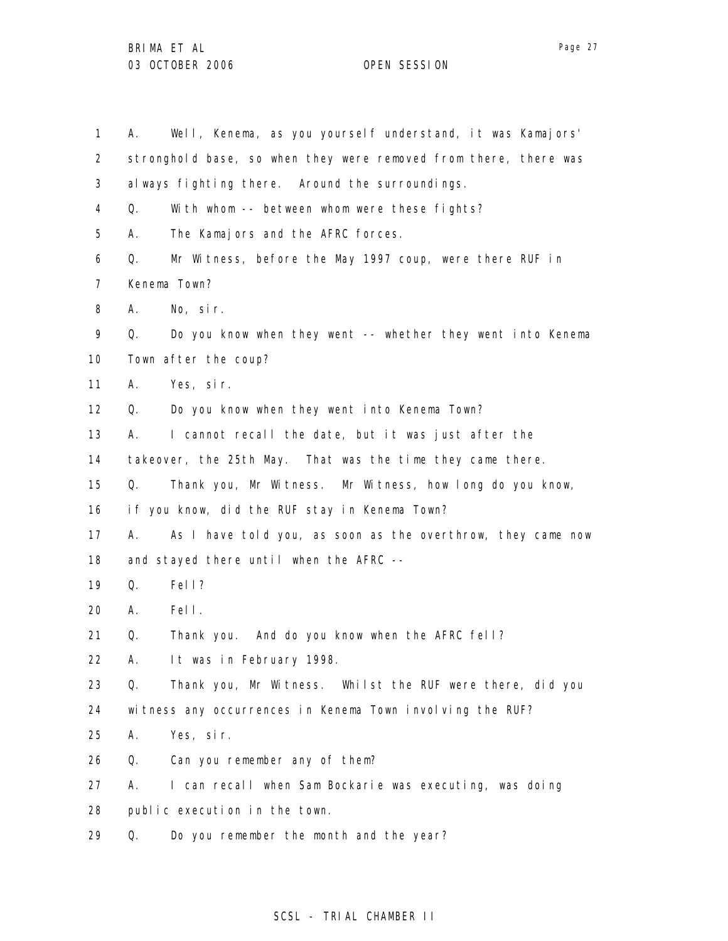1 2 3 4 5 6 7 8 9 10 11 12 13 14 15 16 17 18 19 20 21 22 23 24 25 26 27 28 29 A. Well, Kenema, as you yourself understand, it was Kamajors' stronghold base, so when they were removed from there, there was always fighting there. Around the surroundings. Q. With whom -- between whom were these fights? A. The Kamajors and the AFRC forces. Q. Mr Witness, before the May 1997 coup, were there RUF in Kenema Town? A. No, sir. Q. Do you know when they went -- whether they went into Kenema Town after the coup? A. Yes, sir. Q. Do you know when they went into Kenema Town? A. I cannot recall the date, but it was just after the takeover, the 25th May. That was the time they came there. Q. Thank you, Mr Witness. Mr Witness, how long do you know, if you know, did the RUF stay in Kenema Town? A. As I have told you, as soon as the overthrow, they came now and stayed there until when the AFRC -- Q. Fell? A. Fell. Q. Thank you. And do you know when the AFRC fell? A. It was in February 1998. Q. Thank you, Mr Witness. Whilst the RUF were there, did you witness any occurrences in Kenema Town involving the RUF? A. Yes, sir. Q. Can you remember any of them? A. I can recall when Sam Bockarie was executing, was doing public execution in the town. Q. Do you remember the month and the year?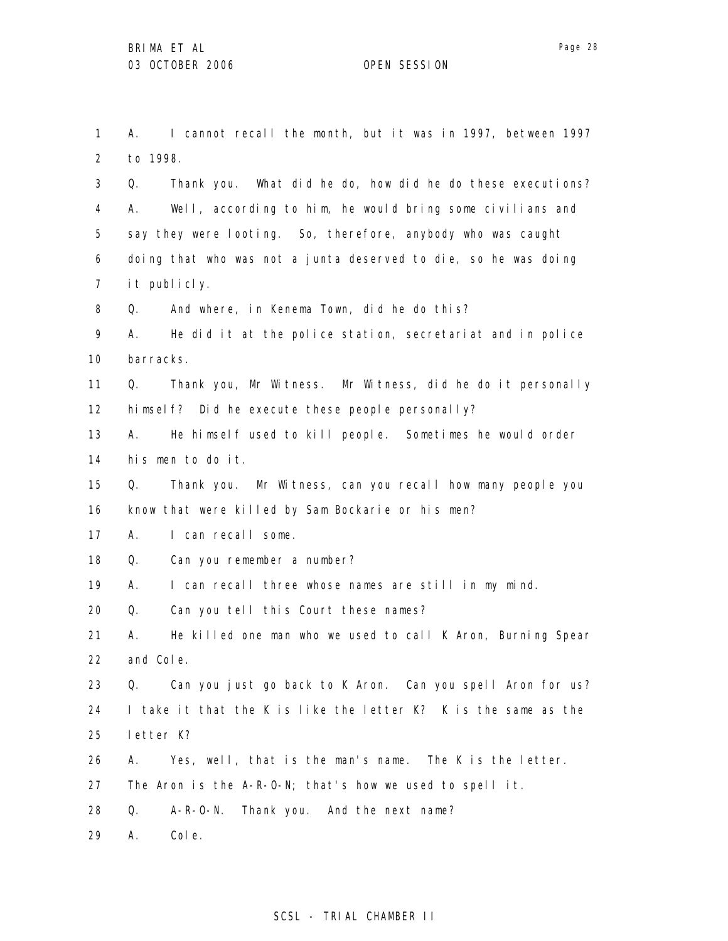1

2 3 4 5 6 7 8 to 1998. Q. Thank you. What did he do, how did he do these executions? A. Well, according to him, he would bring some civilians and say they were looting. So, therefore, anybody who was caught doing that who was not a junta deserved to die, so he was doing it publicly. Q. And where, in Kenema Town, did he do this?

A. I cannot recall the month, but it was in 1997, between 1997

9 10 A. He did it at the police station, secretariat and in police barracks.

11 12 Q. Thank you, Mr Witness. Mr Witness, did he do it personally himself? Did he execute these people personally?

13 14 A. He himself used to kill people. Sometimes he would order his men to do it.

15 16 Q. Thank you. Mr Witness, can you recall how many people you know that were killed by Sam Bockarie or his men?

17 A. I can recall some.

18 Q. Can you remember a number?

19 A. I can recall three whose names are still in my mind.

20 Q. Can you tell this Court these names?

21 22 A. He killed one man who we used to call K Aron, Burning Spear and Cole.

23 24 25 Q. Can you just go back to K Aron. Can you spell Aron for us? I take it that the K is like the letter K? K is the same as the letter K?

26 A. Yes, well, that is the man's name. The K is the letter.

27 The Aron is the A-R-O-N; that's how we used to spell it.

28 Q. A-R-O-N. Thank you. And the next name?

29 A. Cole.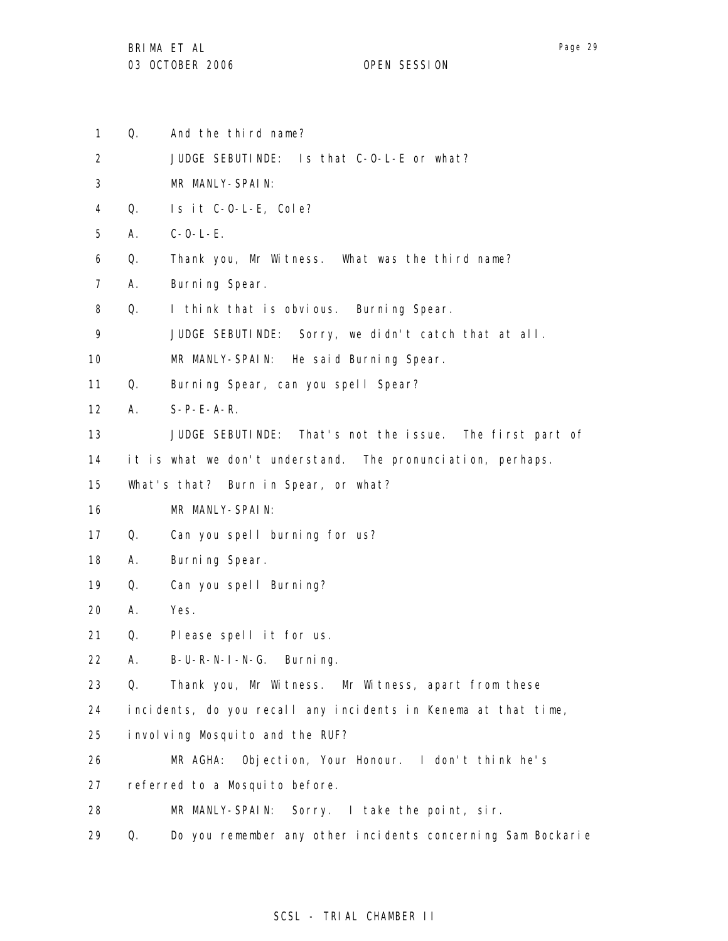- 1 Q. And the third name?
- 2 JUDGE SEBUTINDE: Is that C-O-L-E or what?
- 3 MR MANLY-SPAIN:
- 4 Q. Is it C-O-L-E, Cole?
- 5 A. C-O-L-E.
- 6 Q. Thank you, Mr Witness. What was the third name?
- 7 A. Burning Spear.
- 8 Q. I think that is obvious. Burning Spear.
- 9 JUDGE SEBUTINDE: Sorry, we didn't catch that at all.
- 10 MR MANLY-SPAIN: He said Burning Spear.

11 Q. Burning Spear, can you spell Spear?

- 12 A. S-P-E-A-R.
- 13 JUDGE SEBUTINDE: That's not the issue. The first part of
- 14 it is what we don't understand. The pronunciation, perhaps.
- 15 What's that? Burn in Spear, or what?
- 16 MR MANLY-SPAIN:
- 17 Q. Can you spell burning for us?
- 18 A. Burning Spear.
- 19 Q. Can you spell Burning?

20 A. Yes.

- 21 Q. Please spell it for us.
- 22 A. B-U-R-N-I-N-G. Burning.

23 Q. Thank you, Mr Witness. Mr Witness, apart from these

- 24 incidents, do you recall any incidents in Kenema at that time,
- 25 involving Mosquito and the RUF?
- 26 MR AGHA: Objection, Your Honour. I don't think he's
- 27 referred to a Mosquito before.
- 28 MR MANLY-SPAIN: Sorry. I take the point, sir.
- 29 Q. Do you remember any other incidents concerning Sam Bockarie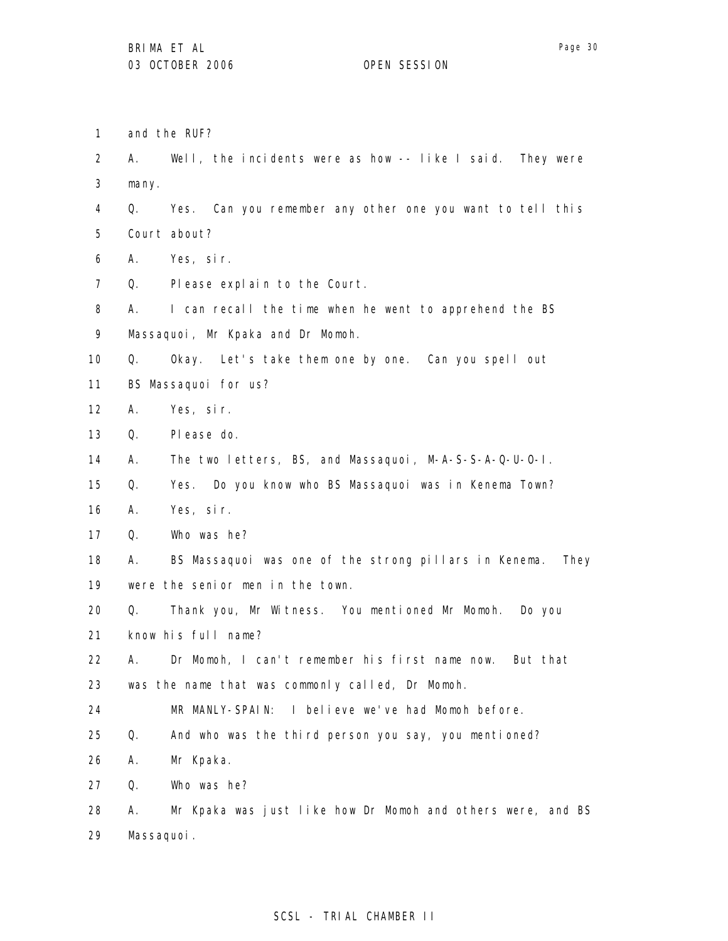A. Well, the incidents were as how -- like I said. They were

1 and the RUF?

2

3 4 5 6 7 8 9 10 11 12 13 14 15 16 17 18 19 20 21 22 23 24 25 26 27 28 29 many. Q. Yes. Can you remember any other one you want to tell this Court about? A. Yes, sir. Q. Please explain to the Court. A. I can recall the time when he went to apprehend the BS Massaquoi, Mr Kpaka and Dr Momoh. Q. Okay. Let's take them one by one. Can you spell out BS Massaquoi for us? A. Yes, sir. Q. Please do. A. The two letters, BS, and Massaquoi, M-A-S-S-A-Q-U-O-I. Q. Yes. Do you know who BS Massaquoi was in Kenema Town? A. Yes, sir. Q. Who was he? A. BS Massaquoi was one of the strong pillars in Kenema. They were the senior men in the town. Q. Thank you, Mr Witness. You mentioned Mr Momoh. Do you know his full name? A. Dr Momoh, I can't remember his first name now. But that was the name that was commonly called, Dr Momoh. MR MANLY-SPAIN: I believe we've had Momoh before. Q. And who was the third person you say, you mentioned? A. Mr Kpaka. Q. Who was he? A. Mr Kpaka was just like how Dr Momoh and others were, and BS Massaquoi.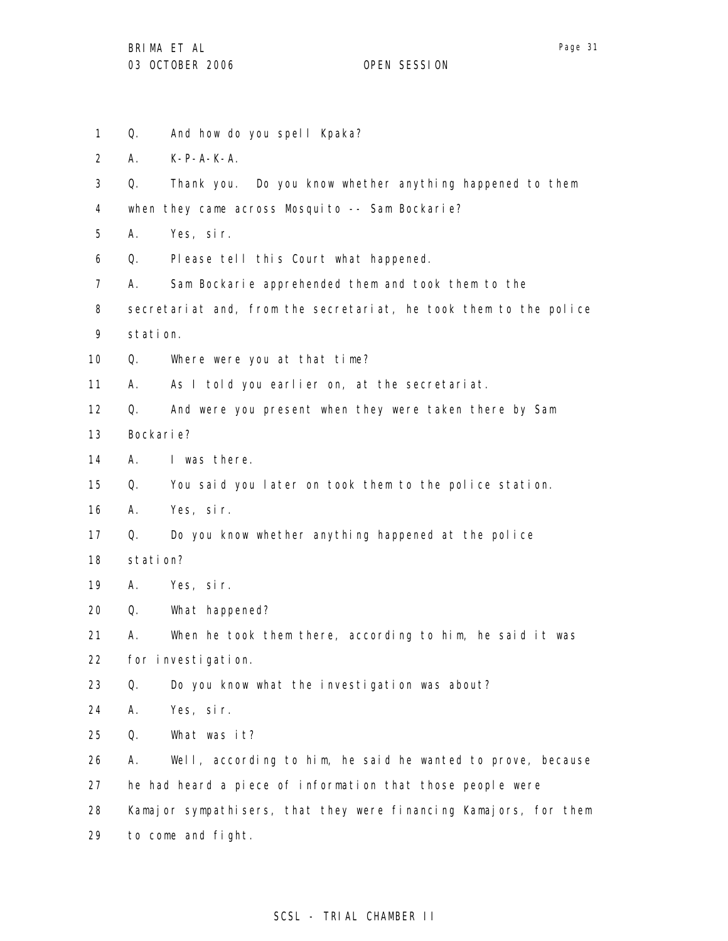- Page 31
- 1 2 3 4 5 6 7 8 9 10 11 12 13 14 15 16 17 18 19 20 21 22 23 24 25 26 27 28 29 Q. And how do you spell Kpaka? A. K-P-A-K-A. Q. Thank you. Do you know whether anything happened to them when they came across Mosquito -- Sam Bockarie? A. Yes, sir. Q. Please tell this Court what happened. A. Sam Bockarie apprehended them and took them to the secretariat and, from the secretariat, he took them to the police station. Q. Where were you at that time? A. As I told you earlier on, at the secretariat. Q. And were you present when they were taken there by Sam Bockarie? A. I was there. Q. You said you later on took them to the police station. A. Yes, sir. Q. Do you know whether anything happened at the police station? A. Yes, sir. Q. What happened? A. When he took them there, according to him, he said it was for investigation. Q. Do you know what the investigation was about? A. Yes, sir. Q. What was it? A. Well, according to him, he said he wanted to prove, because he had heard a piece of information that those people were Kamajor sympathisers, that they were financing Kamajors, for them to come and fight.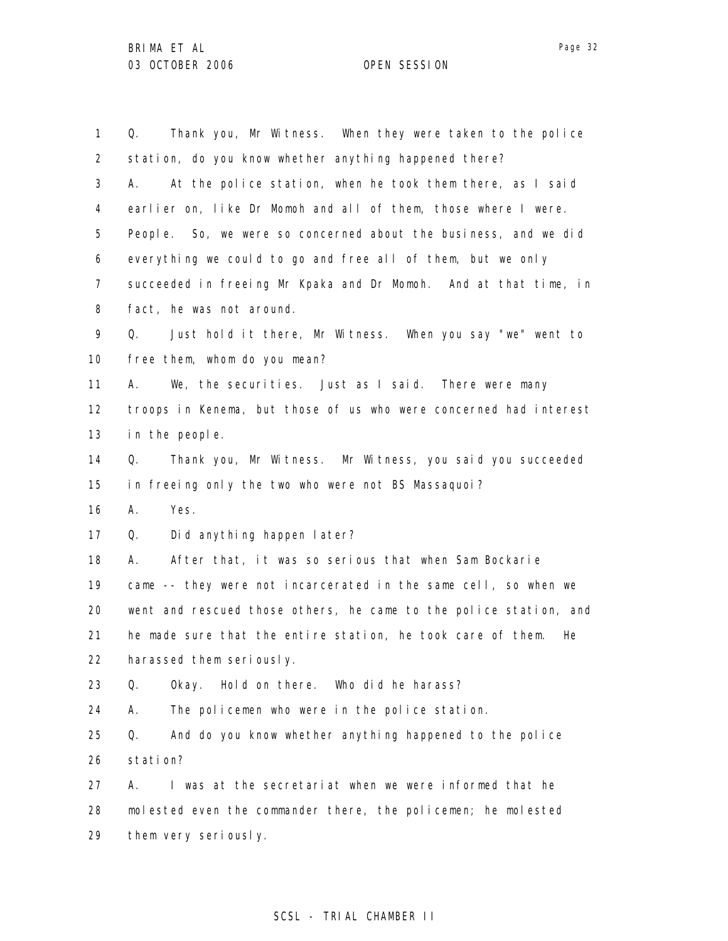1 2 3 4 5 6 7 8 9 10 11 12 13 14 15 16 17 18 19 20 21 22 23 24 25 26 27 28 29 Q. Thank you, Mr Witness. When they were taken to the police station, do you know whether anything happened there? A. At the police station, when he took them there, as I said earlier on, like Dr Momoh and all of them, those where I were. People. So, we were so concerned about the business, and we did everything we could to go and free all of them, but we only succeeded in freeing Mr Kpaka and Dr Momoh. And at that time, in fact, he was not around. Q. Just hold it there, Mr Witness. When you say "we" went to free them, whom do you mean? A. We, the securities. Just as I said. There were many troops in Kenema, but those of us who were concerned had interest in the people. Q. Thank you, Mr Witness. Mr Witness, you said you succeeded in freeing only the two who were not BS Massaquoi? A. Yes. Q. Did anything happen later? A. After that, it was so serious that when Sam Bockarie came -- they were not incarcerated in the same cell, so when we went and rescued those others, he came to the police station, and he made sure that the entire station, he took care of them. He harassed them seriously. Q. Okay. Hold on there. Who did he harass? A. The policemen who were in the police station. Q. And do you know whether anything happened to the police station? A. I was at the secretariat when we were informed that he molested even the commander there, the policemen; he molested them very seriously.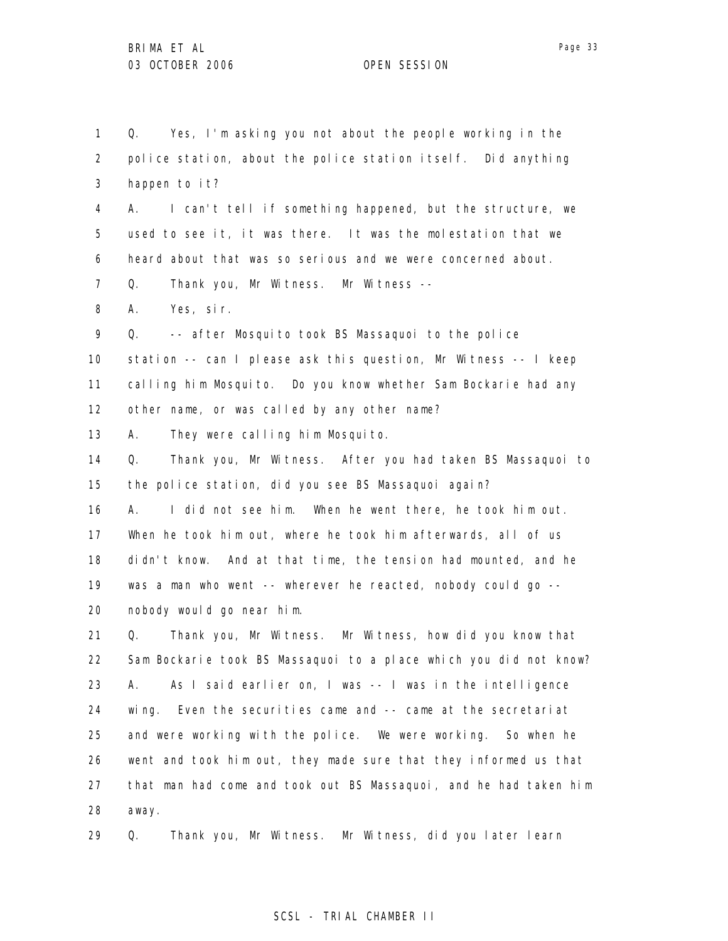1

Q. Yes, I'm asking you not about the people working in the

2 3 4 5 6 7 8 9 10 11 12 13 14 15 16 17 18 19 20 21 22 23 24 25 26 27 28 police station, about the police station itself. Did anything happen to it? A. I can't tell if something happened, but the structure, we used to see it, it was there. It was the molestation that we heard about that was so serious and we were concerned about. Q. Thank you, Mr Witness. Mr Witness -- A. Yes, sir. Q. -- after Mosquito took BS Massaquoi to the police station -- can I please ask this question, Mr Witness -- I keep calling him Mosquito. Do you know whether Sam Bockarie had any other name, or was called by any other name? A. They were calling him Mosquito. Q. Thank you, Mr Witness. After you had taken BS Massaquoi to the police station, did you see BS Massaquoi again? A. I did not see him. When he went there, he took him out. When he took him out, where he took him afterwards, all of us didn't know. And at that time, the tension had mounted, and he was a man who went -- wherever he reacted, nobody could go -nobody would go near him. Q. Thank you, Mr Witness. Mr Witness, how did you know that Sam Bockarie took BS Massaquoi to a place which you did not know? A. As I said earlier on, I was -- I was in the intelligence wing. Even the securities came and -- came at the secretariat and were working with the police. We were working. So when he went and took him out, they made sure that they informed us that that man had come and took out BS Massaquoi, and he had taken him away.

29 Q. Thank you, Mr Witness. Mr Witness, did you later learn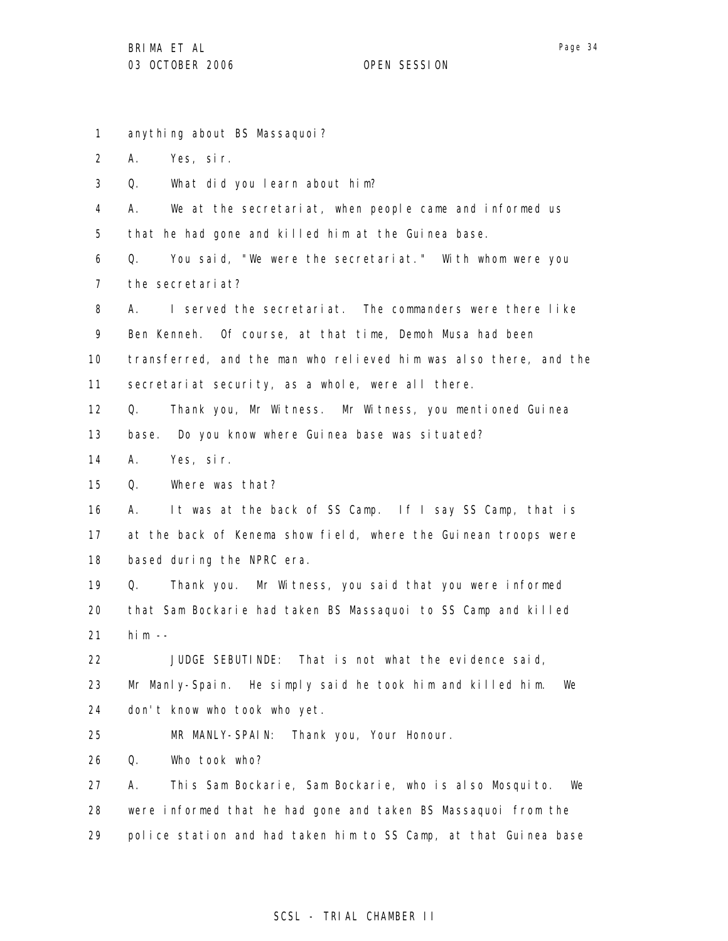1 2 3 4 5 6 7 8 9 10 11 12 13 14 15 16 17 18 19 20 21 22 23 24 25 26 27 28 29 anything about BS Massaquoi? A. Yes, sir. Q. What did you learn about him? A. We at the secretariat, when people came and informed us that he had gone and killed him at the Guinea base. Q. You said, "We were the secretariat." With whom were you the secretariat? A. I served the secretariat. The commanders were there like Ben Kenneh. Of course, at that time, Demoh Musa had been transferred, and the man who relieved him was also there, and the secretariat security, as a whole, were all there. Q. Thank you, Mr Witness. Mr Witness, you mentioned Guinea base. Do you know where Guinea base was situated? A. Yes, sir. Q. Where was that? A. It was at the back of SS Camp. If I say SS Camp, that is at the back of Kenema show field, where the Guinean troops were based during the NPRC era. Q. Thank you. Mr Witness, you said that you were informed that Sam Bockarie had taken BS Massaquoi to SS Camp and killed him  $-$ JUDGE SEBUTINDE: That is not what the evidence said, Mr Manly-Spain. He simply said he took him and killed him. We don't know who took who yet. MR MANLY-SPAIN: Thank you, Your Honour. Q. Who took who? A. This Sam Bockarie, Sam Bockarie, who is also Mosquito. We were informed that he had gone and taken BS Massaquoi from the police station and had taken him to SS Camp, at that Guinea base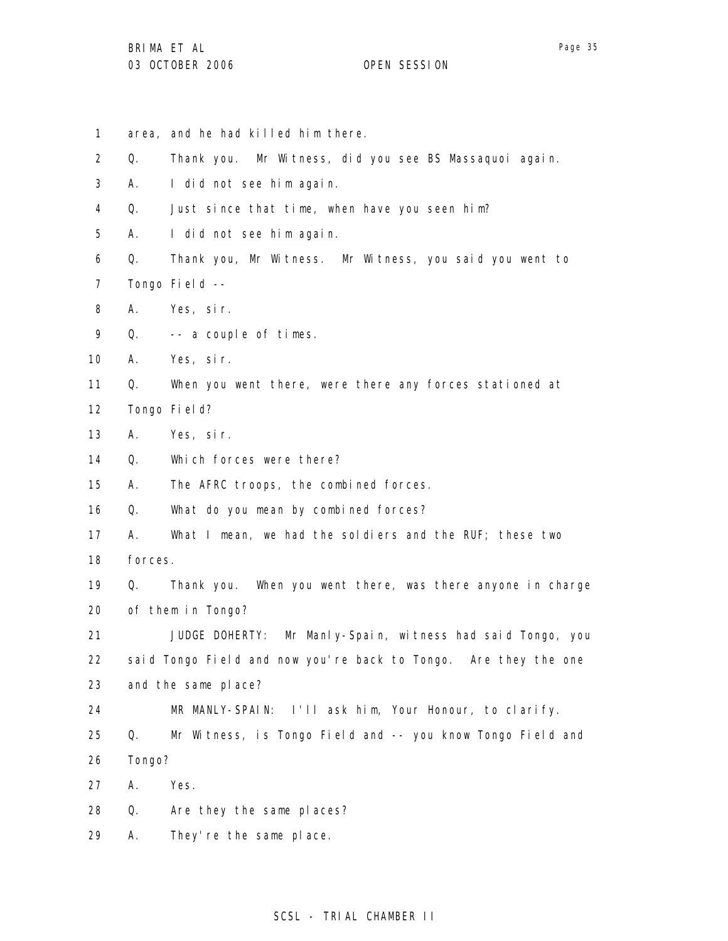1 2 3 4 5 6 7 8 9 10 11 12 13 14 15 16 17 18 19 20 21 22 23 24 25 26 27 28 29 area, and he had killed him there. Q. Thank you. Mr Witness, did you see BS Massaquoi again. A. I did not see him again. Q. Just since that time, when have you seen him? A. I did not see him again. Q. Thank you, Mr Witness. Mr Witness, you said you went to Tongo Field -- A. Yes, sir. Q. -- a couple of times. A. Yes, sir. Q. When you went there, were there any forces stationed at Tongo Field? A. Yes, sir. Q. Which forces were there? A. The AFRC troops, the combined forces. Q. What do you mean by combined forces? A. What I mean, we had the soldiers and the RUF; these two forces. Q. Thank you. When you went there, was there anyone in charge of them in Tongo? JUDGE DOHERTY: Mr Manly-Spain, witness had said Tongo, you said Tongo Field and now you're back to Tongo. Are they the one and the same place? MR MANLY-SPAIN: I'll ask him, Your Honour, to clarify. Q. Mr Witness, is Tongo Field and -- you know Tongo Field and Tongo? A. Yes. Q. Are they the same places? A. They're the same place.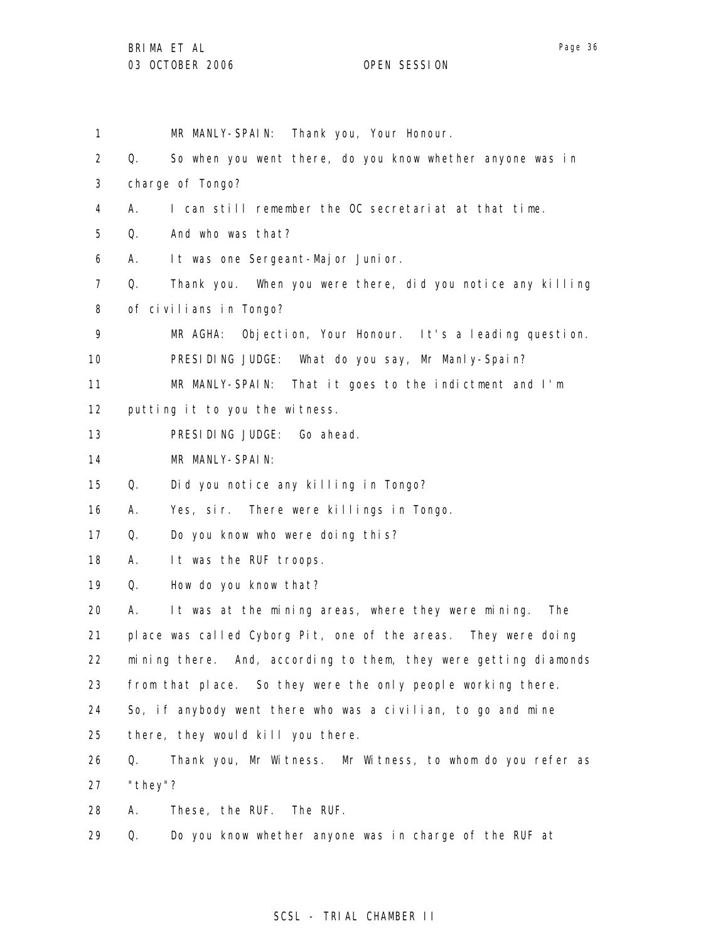| 1              |         | Thank you, Your Honour.<br>MR MANLY-SPAIN:                       |
|----------------|---------|------------------------------------------------------------------|
| $\overline{2}$ | 0.      | So when you went there, do you know whether anyone was in        |
| 3              |         | charge of Tongo?                                                 |
| 4              | А.      | I can still remember the OC secretariat at that time.            |
| 5              | Q.      | And who was that?                                                |
| 6              | А.      | It was one Sergeant-Major Junior.                                |
| 7              | Q.      | Thank you. When you were there, did you notice any killing       |
| 8              |         | of civilians in Tongo?                                           |
| 9              |         | Objection, Your Honour. It's a leading question.<br>MR AGHA:     |
| 10             |         | PRESIDING JUDGE: What do you say, Mr Manly-Spain?                |
| 11             |         | MR MANLY-SPAIN: That it goes to the indictment and I'm           |
| 12             |         | putting it to you the witness.                                   |
| 13             |         | PRESIDING JUDGE: Go ahead.                                       |
| 14             |         | MR MANLY-SPAIN:                                                  |
| 15             | Q.      | Did you notice any killing in Tongo?                             |
| 16             | А.      | Yes, sir. There were killings in Tongo.                          |
| 17             | Q.      | Do you know who were doing this?                                 |
| 18             | А.      | It was the RUF troops.                                           |
| 19             | Q.      | How do you know that?                                            |
| 20             | А.      | It was at the mining areas, where they were mining.<br>The       |
| 21             |         | place was called Cyborg Pit, one of the areas. They were doing   |
| 22             |         | mining there. And, according to them, they were getting diamonds |
| 23             |         | from that place. So they were the only people working there.     |
| 24             |         | So, if anybody went there who was a civilian, to go and mine     |
| 25             |         | there, they would kill you there.                                |
| 26             | Q.      | Thank you, Mr Witness. Mr Witness, to whom do you refer as       |
| 27             | "they"? |                                                                  |
| 28             | А.      | These, the RUF.<br>The RUF.                                      |
| 29             | Q.      | Do you know whether anyone was in charge of the RUF at           |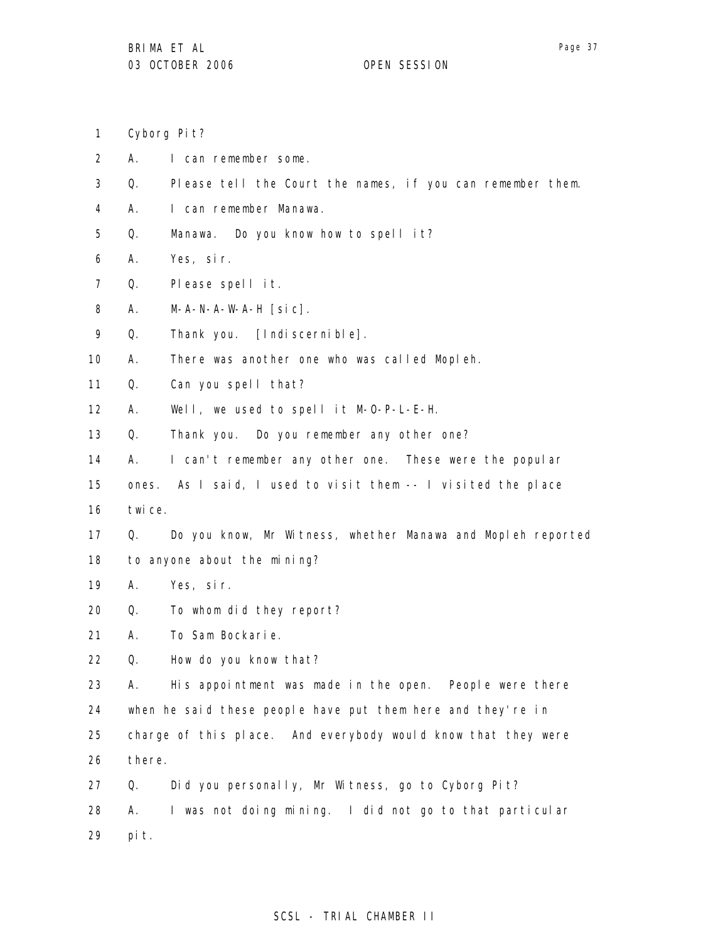- 1 Cyborg Pit?
- 2 A. I can remember some.
- 3 Q. Please tell the Court the names, if you can remember them.
- 4 A. I can remember Manawa.
- 5 Q. Manawa. Do you know how to spell it?
- 6 A. Yes, sir.
- 7 Q. Please spell it.
- 8 A. M-A-N-A-W-A-H [sic].
- 9 Q. Thank you. [Indiscernible].
- 10 A. There was another one who was called Mopleh.
- 11 Q. Can you spell that?
- 12 A. Well, we used to spell it M-O-P-L-E-H.
- 13 Q. Thank you. Do you remember any other one?
- 14 A. I can't remember any other one. These were the popular
- 15 ones. As I said, I used to visit them -- I visited the place
- 16 twice.
- 17 18 Q. Do you know, Mr Witness, whether Manawa and Mopleh reported to anyone about the mining?
- 19 A. Yes, sir.
- 20 Q. To whom did they report?
- 21 A. To Sam Bockarie.
- 22 Q. How do you know that?

23 24 25 26 A. His appointment was made in the open. People were there when he said these people have put them here and they're in charge of this place. And everybody would know that they were there.

27 28 29 Q. Did you personally, Mr Witness, go to Cyborg Pit? A. I was not doing mining. I did not go to that particular pit.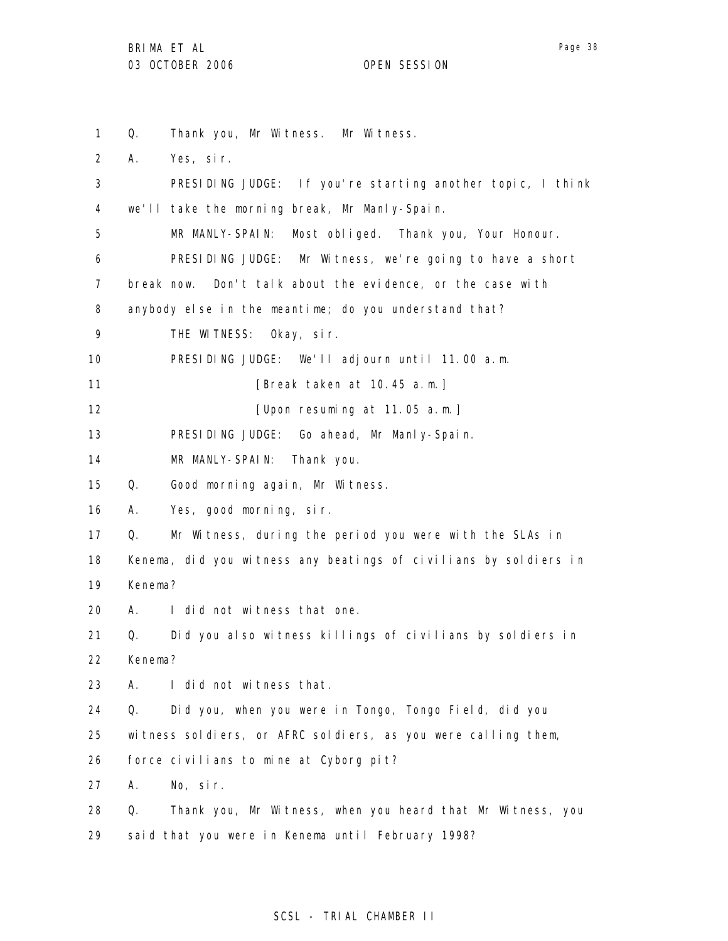Page 38

1 2 3 4 5 6 7 8 9 10 11 12 13 14 15 16 17 18 19 20 21 22 23 24 25 26 27 28 29 Q. Thank you, Mr Witness. Mr Witness. A. Yes, sir. PRESIDING JUDGE: If you're starting another topic, I think we'll take the morning break, Mr Manly-Spain. MR MANLY-SPAIN: Most obliged. Thank you, Your Honour. PRESIDING JUDGE: Mr Witness, we're going to have a short break now. Don't talk about the evidence, or the case with anybody else in the meantime; do you understand that? THE WITNESS: Okay, sir. PRESIDING JUDGE: We'll adjourn until 11.00 a.m. [Break taken at 10.45 a.m.] [Upon resuming at 11.05 a.m.] PRESIDING JUDGE: Go ahead, Mr Manly-Spain. MR MANLY-SPAIN: Thank you. Q. Good morning again, Mr Witness. A. Yes, good morning, sir. Q. Mr Witness, during the period you were with the SLAs in Kenema, did you witness any beatings of civilians by soldiers in Kenema? A. I did not witness that one. Q. Did you also witness killings of civilians by soldiers in Kenema? A. I did not witness that. Q. Did you, when you were in Tongo, Tongo Field, did you witness soldiers, or AFRC soldiers, as you were calling them, force civilians to mine at Cyborg pit? A. No, sir. Q. Thank you, Mr Witness, when you heard that Mr Witness, you said that you were in Kenema until February 1998?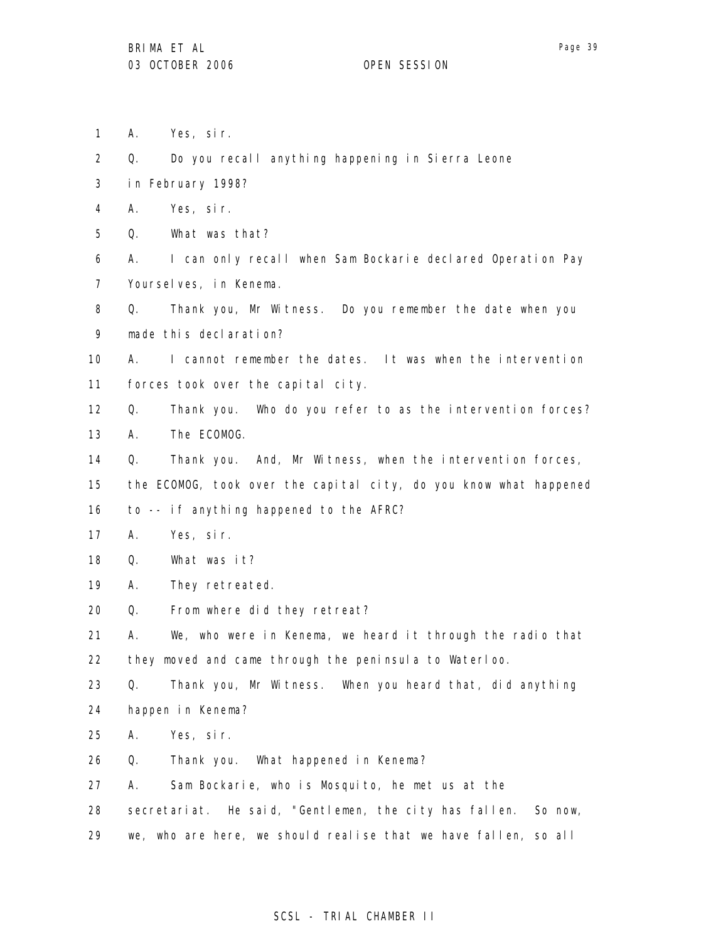Page 39

- 1 A. Yes, sir.
- 2 Q. Do you recall anything happening in Sierra Leone
- 3 in February 1998?
- 4 A. Yes, sir.
- 5 Q. What was that?
- 6 7 A. I can only recall when Sam Bockarie declared Operation Pay Yourselves, in Kenema.
- 8 9 Q. Thank you, Mr Witness. Do you remember the date when you made this declaration?
- 10 11 A. I cannot remember the dates. It was when the intervention forces took over the capital city.
- 12 13 Q. Thank you. Who do you refer to as the intervention forces? A. The ECOMOG.
- 14 Q. Thank you. And, Mr Witness, when the intervention forces,
- 15 the ECOMOG, took over the capital city, do you know what happened
- 16 to -- if anything happened to the AFRC?
- 17 A. Yes, sir.
- 18 Q. What was it?
- 19 A. They retreated.
- 20 Q. From where did they retreat?
- 21 22 A. We, who were in Kenema, we heard it through the radio that they moved and came through the peninsula to Waterloo.
- 23 Q. Thank you, Mr Witness. When you heard that, did anything
- 24 happen in Kenema?
- 25 A. Yes, sir.
- 26 Q. Thank you. What happened in Kenema?
- 27 A. Sam Bockarie, who is Mosquito, he met us at the
- 28 secretariat. He said, "Gentlemen, the city has fallen. So now,
- 29 we, who are here, we should realise that we have fallen, so all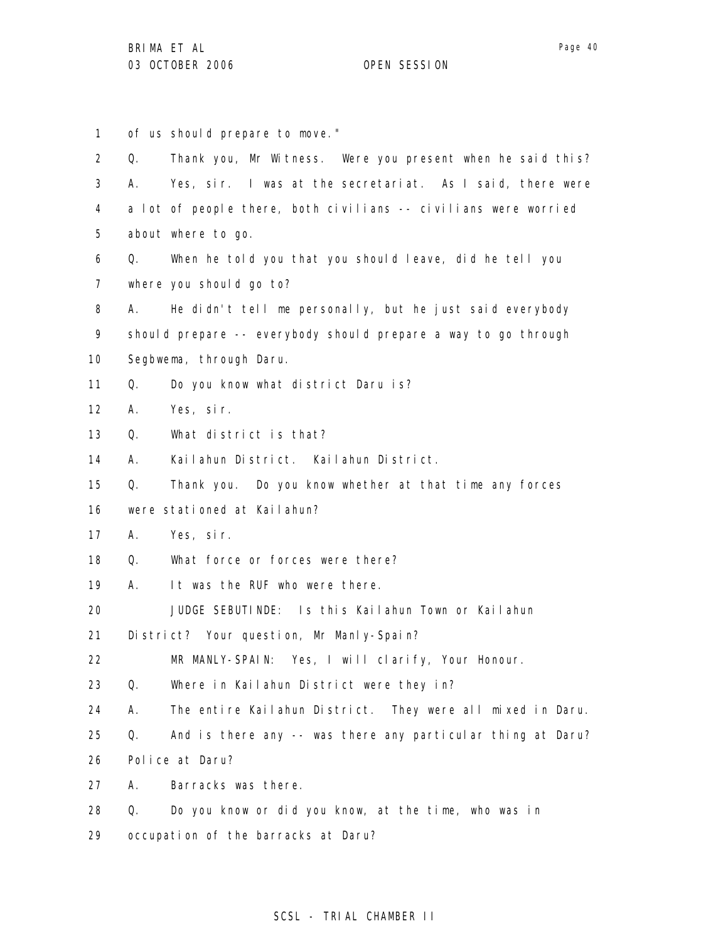1 of us should prepare to move."

| $\overline{2}$ | Q. | Thank you, Mr Witness. Were you present when he said this?      |
|----------------|----|-----------------------------------------------------------------|
| 3              | А. | Yes, sir. I was at the secretariat. As I said, there were       |
| 4              |    | a lot of people there, both civilians -- civilians were worried |
| 5              |    | about where to go.                                              |
| 6              | Q. | When he told you that you should leave, did he tell you         |
| $\overline{7}$ |    | where you should go to?                                         |
| 8              | А. | He didn't tell me personally, but he just said everybody        |
| 9              |    | should prepare -- everybody should prepare a way to go through  |
| 10             |    | Segbwema, through Daru.                                         |
| 11             | Q. | Do you know what district Daru is?                              |
| 12             | А. | Yes, sir.                                                       |
| 13             | Q. | What district is that?                                          |
| 14             | А. | Kailahun District. Kailahun District.                           |
| 15             | Q. | Thank you. Do you know whether at that time any forces          |
| 16             |    | were stationed at Kailahun?                                     |
| 17             | А. | Yes, sir.                                                       |
| 18             | Q. | What force or forces were there?                                |
| 19             | A. | It was the RUF who were there.                                  |
| 20             |    | JUDGE SEBUTINDE: Is this Kailahun Town or Kailahun              |
| 21             |    | District? Your question, Mr Manly-Spain?                        |
| 22             |    | MR MANLY-SPAIN: Yes, I will clarify, Your Honour.               |
| 23             | Q. | Where in Kailahun District were they in?                        |
| 24             | А. | The entire Kailahun District. They were all mixed in Daru.      |
| 25             | Q. | And is there any -- was there any particular thing at Daru?     |
| 26             |    | Police at Daru?                                                 |
| 27             | А. | Barracks was there.                                             |
| 28             | Q. | Do you know or did you know, at the time, who was in            |
| 29             |    | occupation of the barracks at Daru?                             |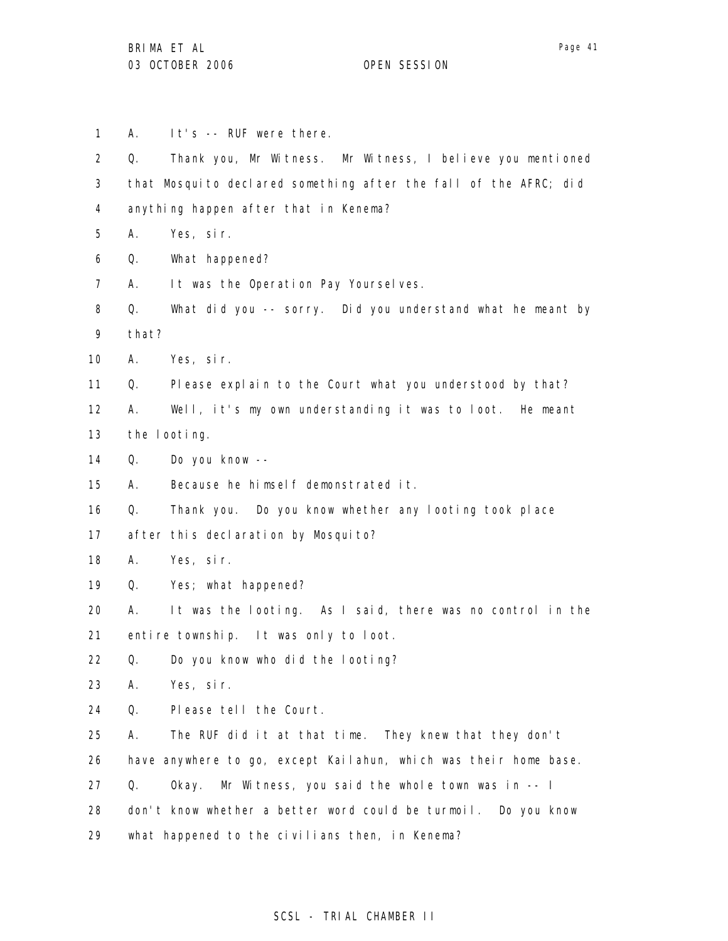1 2 3 4 5 6 7 8 9 10 11 12 13 14 15 16 17 18 19 20 21 22 23 24 25 26 27 28 29 A. It's -- RUF were there. Q. Thank you, Mr Witness. Mr Witness, I believe you mentioned that Mosquito declared something after the fall of the AFRC; did anything happen after that in Kenema? A. Yes, sir. Q. What happened? A. It was the Operation Pay Yourselves. Q. What did you -- sorry. Did you understand what he meant by that? A. Yes, sir. Q. Please explain to the Court what you understood by that? A. Well, it's my own understanding it was to loot. He meant the looting. Q. Do you know -- A. Because he himself demonstrated it. Q. Thank you. Do you know whether any looting took place after this declaration by Mosquito? A. Yes, sir. Q. Yes; what happened? A. It was the looting. As I said, there was no control in the entire township. It was only to loot. Q. Do you know who did the looting? A. Yes, sir. Q. Please tell the Court. A. The RUF did it at that time. They knew that they don't have anywhere to go, except Kailahun, which was their home base. Q. Okay. Mr Witness, you said the whole town was in -- I don't know whether a better word could be turmoil. Do you know what happened to the civilians then, in Kenema?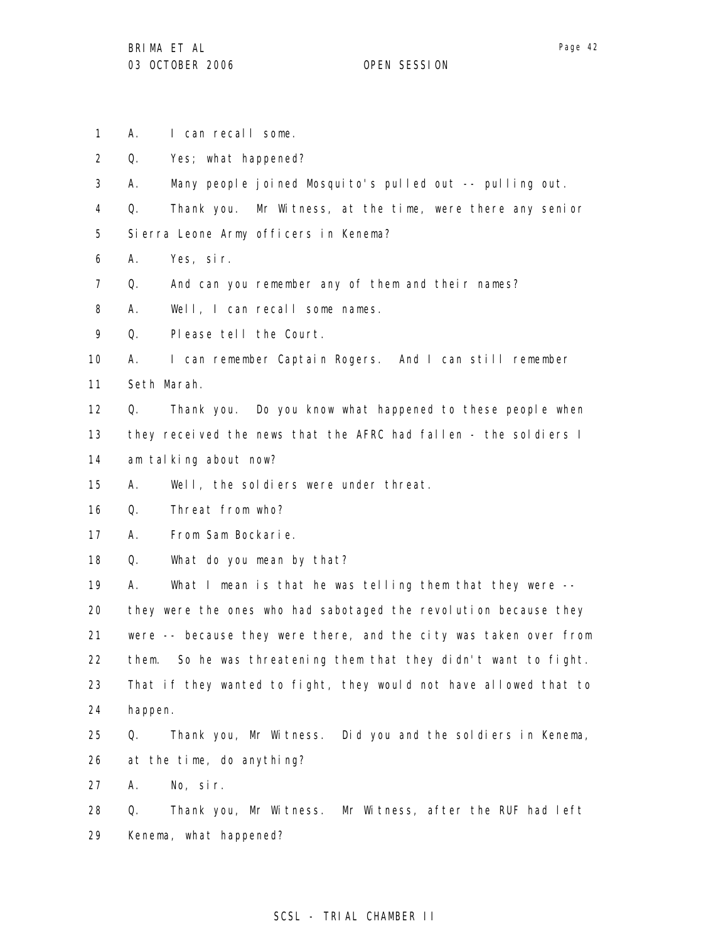1 A. I can recall some.

2 Q. Yes; what happened?

3 A. Many people joined Mosquito's pulled out -- pulling out.

4 Q. Thank you. Mr Witness, at the time, were there any senior

5 Sierra Leone Army officers in Kenema?

6 A. Yes, sir.

7 Q. And can you remember any of them and their names?

8 A. Well, I can recall some names.

9 Q. Please tell the Court.

10 A. I can remember Captain Rogers. And I can still remember

11 Seth Marah.

12 13 14 Q. Thank you. Do you know what happened to these people when they received the news that the AFRC had fallen - the soldiers I am talking about now?

15 A. Well, the soldiers were under threat.

16 Q. Threat from who?

17 A. From Sam Bockarie.

18 Q. What do you mean by that?

19 A. What I mean is that he was telling them that they were --

20 21 22 23 24 they were the ones who had sabotaged the revolution because they were -- because they were there, and the city was taken over from them. So he was threatening them that they didn't want to fight. That if they wanted to fight, they would not have allowed that to happen.

25 26 Q. Thank you, Mr Witness. Did you and the soldiers in Kenema, at the time, do anything?

27 A. No, sir.

28 29 Q. Thank you, Mr Witness. Mr Witness, after the RUF had left Kenema, what happened?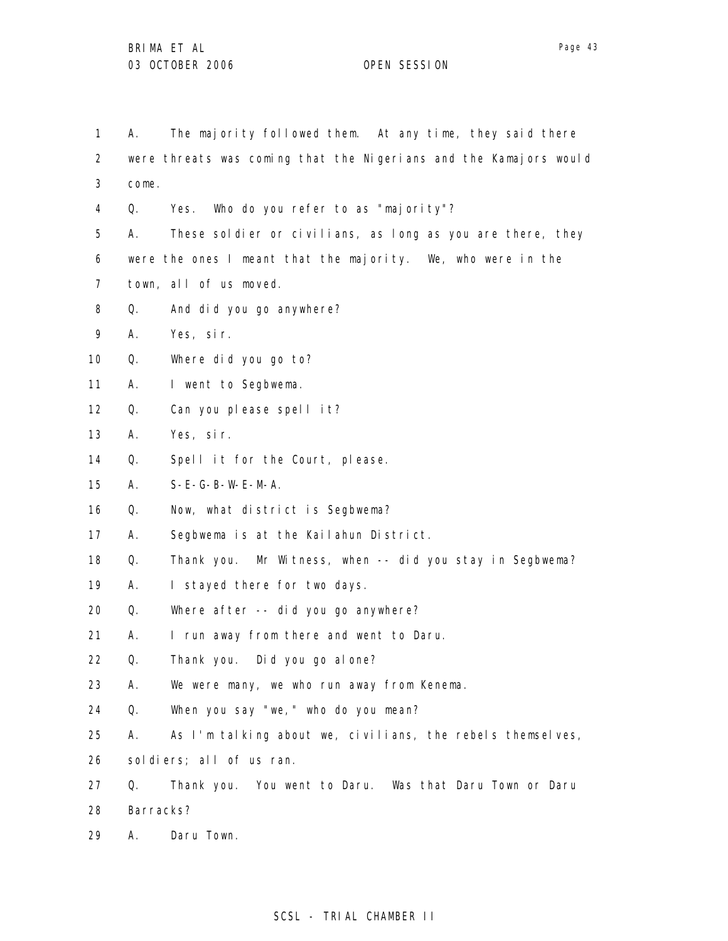1 2 3 4 5 6 7 8 9 10 11 12 13 14 15 16 17 18 19 20 21 22 23 24 25 26 27 28 29 A. The majority followed them. At any time, they said there were threats was coming that the Nigerians and the Kamajors would come. Q. Yes. Who do you refer to as "majority"? A. These soldier or civilians, as long as you are there, they were the ones I meant that the majority. We, who were in the town, all of us moved. Q. And did you go anywhere? A. Yes, sir. Q. Where did you go to? A. I went to Segbwema. Q. Can you please spell it? A. Yes, sir. Q. Spell it for the Court, please. A. S-E-G-B-W-E-M-A. Q. Now, what district is Segbwema? A. Segbwema is at the Kailahun District. Q. Thank you. Mr Witness, when -- did you stay in Segbwema? A. I stayed there for two days. Q. Where after -- did you go anywhere? A. I run away from there and went to Daru. Q. Thank you. Did you go alone? A. We were many, we who run away from Kenema. Q. When you say "we," who do you mean? A. As I'm talking about we, civilians, the rebels themselves, soldiers; all of us ran. Q. Thank you. You went to Daru. Was that Daru Town or Daru Barracks? A. Daru Town.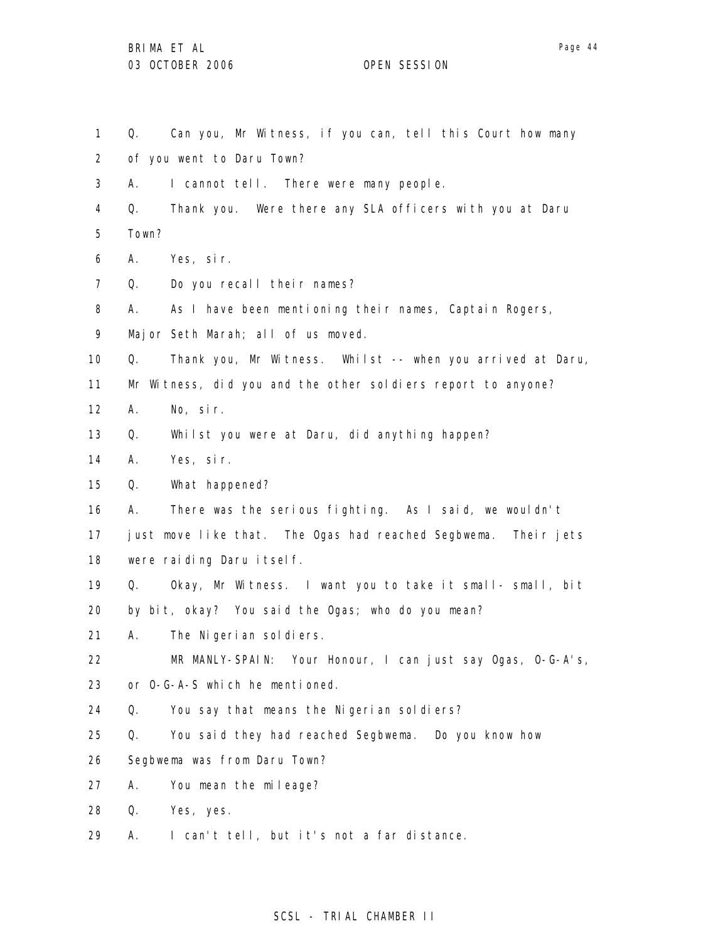- 1 Q. Can you, Mr Witness, if you can, tell this Court how many
- 2 of you went to Daru Town?
- 3 A. I cannot tell. There were many people.
- 4 5 Q. Thank you. Were there any SLA officers with you at Daru Town?
- 6 A. Yes, sir.
- 7 Q. Do you recall their names?
- 8 A. As I have been mentioning their names, Captain Rogers,
- 9 Major Seth Marah; all of us moved.
- 10 Q. Thank you, Mr Witness. Whilst -- when you arrived at Daru,
- 11 Mr Witness, did you and the other soldiers report to anyone?
- 12 A. No, sir.
- 13 Q. Whilst you were at Daru, did anything happen?
- 14 A. Yes, sir.
- 15 Q. What happened?
- 16 A. There was the serious fighting. As I said, we wouldn't
- 17 18 just move like that. The Ogas had reached Segbwema. Their jets were raiding Daru itself.
- 19 Q. Okay, Mr Witness. I want you to take it small- small, bit
- 20 by bit, okay? You said the Ogas; who do you mean?
- 21 A. The Nigerian soldiers.
- 22 MR MANLY-SPAIN: Your Honour, I can just say Ogas, O-G-A's,
- 23 or O-G-A-S which he mentioned.
- 24 Q. You say that means the Nigerian soldiers?
- 25 Q. You said they had reached Segbwema. Do you know how
- 26 Segbwema was from Daru Town?
- 27 A. You mean the mileage?
- 28 Q. Yes, yes.
- 29 A. I can't tell, but it's not a far distance.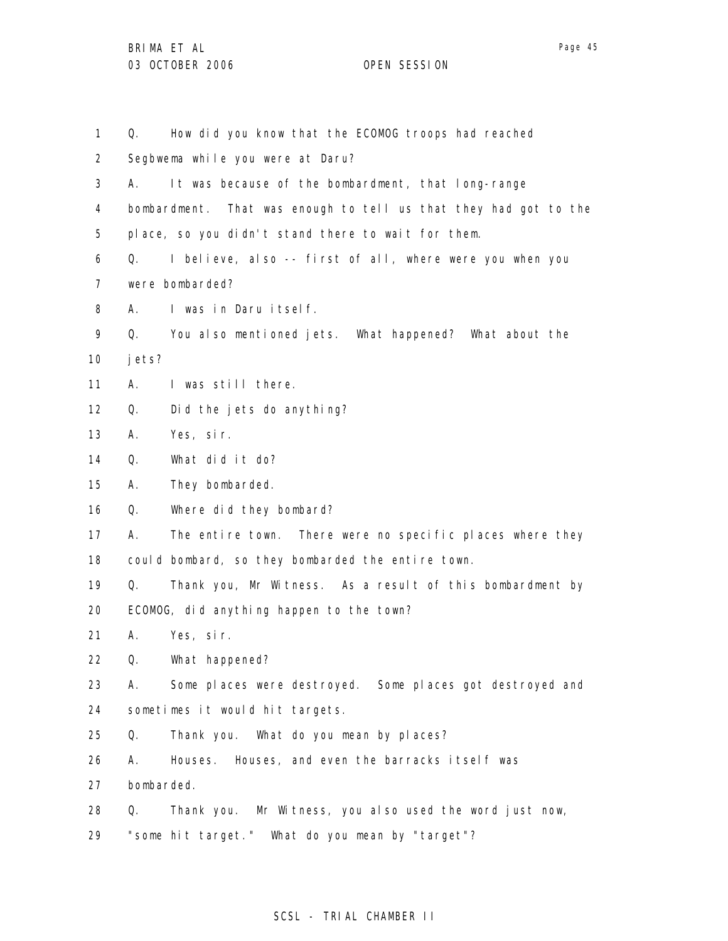1 2 3 4 5 6 7 8 9 10 11 12 13 14 15 16 17 18 19 20 21 22 23 24 25 26 27 28 29 Q. How did you know that the ECOMOG troops had reached Segbwema while you were at Daru? A. It was because of the bombardment, that long-range bombardment. That was enough to tell us that they had got to the place, so you didn't stand there to wait for them. Q. I believe, also -- first of all, where were you when you were bombarded? A. I was in Daru itself. Q. You also mentioned jets. What happened? What about the jets? A. I was still there. Q. Did the jets do anything? A. Yes, sir. Q. What did it do? A. They bombarded. Q. Where did they bombard? A. The entire town. There were no specific places where they could bombard, so they bombarded the entire town. Q. Thank you, Mr Witness. As a result of this bombardment by ECOMOG, did anything happen to the town? A. Yes, sir. Q. What happened? A. Some places were destroyed. Some places got destroyed and sometimes it would hit targets. Q. Thank you. What do you mean by places? A. Houses. Houses, and even the barracks itself was bombarded. Q. Thank you. Mr Witness, you also used the word just now, "some hit target." What do you mean by "target"?

### SCSL - TRIAL CHAMBER II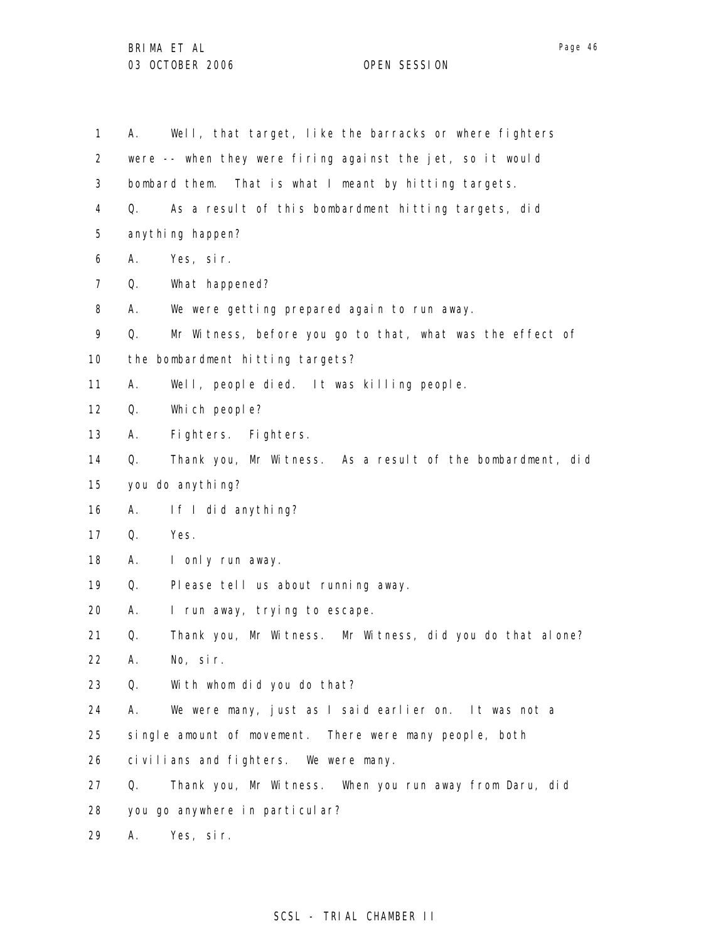1 2 3 4 5 6 7 8 9 10 11 12 13 14 15 16 17 18 19 20 21 22 23 24 25 26 27 28 29 A. Well, that target, like the barracks or where fighters were -- when they were firing against the jet, so it would bombard them. That is what I meant by hitting targets. Q. As a result of this bombardment hitting targets, did anything happen? A. Yes, sir. Q. What happened? A. We were getting prepared again to run away. Q. Mr Witness, before you go to that, what was the effect of the bombardment hitting targets? A. Well, people died. It was killing people. Q. Which people? A. Fighters. Fighters. Q. Thank you, Mr Witness. As a result of the bombardment, did you do anything? A. If I did anything? Q. Yes. A. I only run away. Q. Please tell us about running away. A. I run away, trying to escape. Q. Thank you, Mr Witness. Mr Witness, did you do that alone? A. No, sir. Q. With whom did you do that? A. We were many, just as I said earlier on. It was not a single amount of movement. There were many people, both civilians and fighters. We were many. Q. Thank you, Mr Witness. When you run away from Daru, did you go anywhere in particular? A. Yes, sir.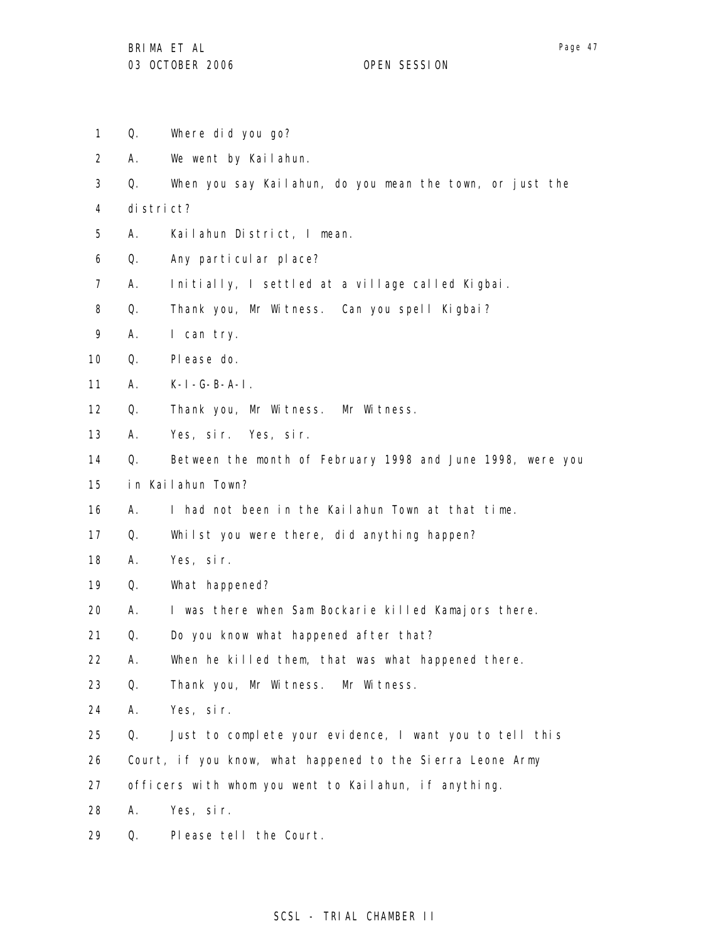Page 47

- 1 Q. Where did you go?
- 2 A. We went by Kailahun.
- 3 Q. When you say Kailahun, do you mean the town, or just the
- 4 district?
- 5 A. Kailahun District, I mean.
- 6 Q. Any particular place?
- 7 A. Initially, I settled at a village called Kigbai.
- 8 Q. Thank you, Mr Witness. Can you spell Kigbai?
- 9 A. I can try.
- 10 Q. Please do.
- 11 A. K-I-G-B-A-I.
- 12 Q. Thank you, Mr Witness. Mr Witness.
- 13 A. Yes, sir. Yes, sir.
- 14 Q. Between the month of February 1998 and June 1998, were you
- 15 in Kailahun Town?
- 16 A. I had not been in the Kailahun Town at that time.
- 17 Q. Whilst you were there, did anything happen?
- 18 A. Yes, sir.
- 19 Q. What happened?
- 20 A. I was there when Sam Bockarie killed Kamajors there.
- 21 Q. Do you know what happened after that?
- 22 A. When he killed them, that was what happened there.
- 23 Q. Thank you, Mr Witness. Mr Witness.
- 24 A. Yes, sir.
- 25 Q. Just to complete your evidence, I want you to tell this
- 26 Court, if you know, what happened to the Sierra Leone Army
- 27 officers with whom you went to Kailahun, if anything.
- 28 A. Yes, sir.
- 29 Q. Please tell the Court.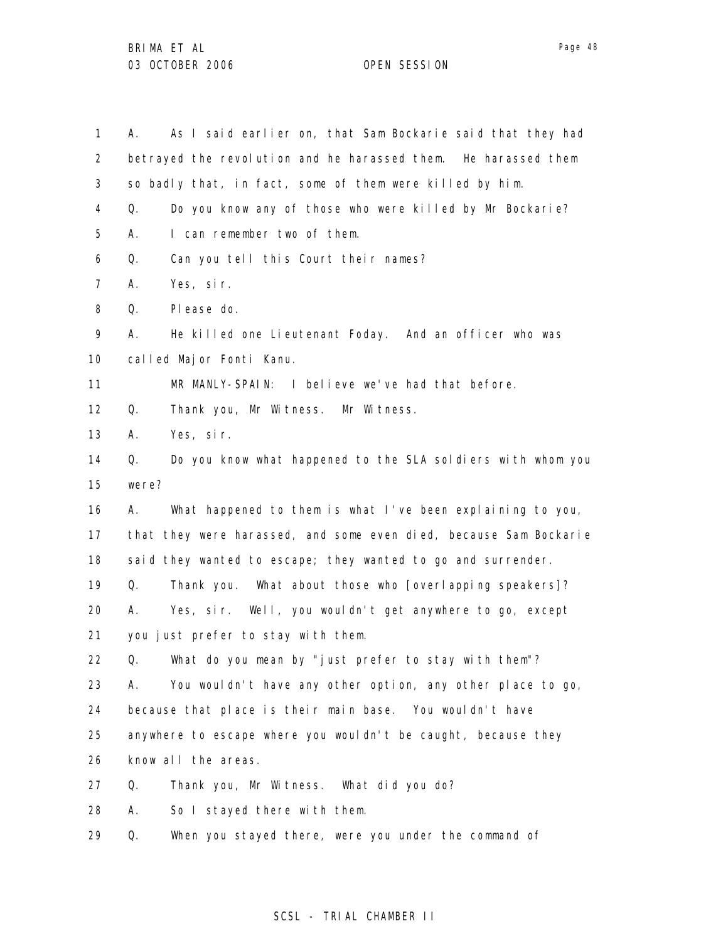1 2 3 4 5 6 7 8 9 10 11 12 13 14 15 16 17 18 19 20 21 22 23 24 25 26 27 28 29 A. As I said earlier on, that Sam Bockarie said that they had betrayed the revolution and he harassed them. He harassed them so badly that, in fact, some of them were killed by him. Q. Do you know any of those who were killed by Mr Bockarie? A. I can remember two of them. Q. Can you tell this Court their names? A. Yes, sir. Q. Please do. A. He killed one Lieutenant Foday. And an officer who was called Major Fonti Kanu. MR MANLY-SPAIN: I believe we've had that before. Q. Thank you, Mr Witness. Mr Witness. A. Yes, sir. Q. Do you know what happened to the SLA soldiers with whom you were? A. What happened to them is what I've been explaining to you, that they were harassed, and some even died, because Sam Bockarie said they wanted to escape; they wanted to go and surrender. Q. Thank you. What about those who [overlapping speakers]? A. Yes, sir. Well, you wouldn't get anywhere to go, except you just prefer to stay with them. Q. What do you mean by "just prefer to stay with them"? A. You wouldn't have any other option, any other place to go, because that place is their main base. You wouldn't have anywhere to escape where you wouldn't be caught, because they know all the areas. Q. Thank you, Mr Witness. What did you do? A. So I stayed there with them. Q. When you stayed there, were you under the command of

### SCSL - TRIAL CHAMBER II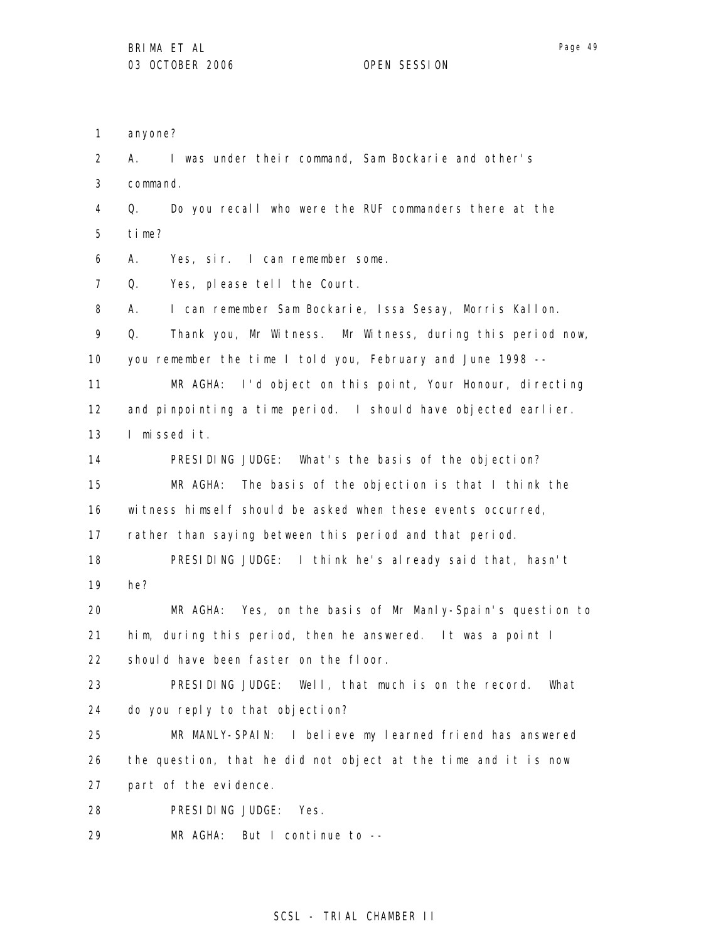1 2 3 4 5 6 7 8 9 10 11 12 13 14 15 16 17 18 19 20 21 22 23 24 25 26 27 28 29 anyone? A. I was under their command, Sam Bockarie and other's command. Q. Do you recall who were the RUF commanders there at the time? A. Yes, sir. I can remember some. Q. Yes, please tell the Court. A. I can remember Sam Bockarie, Issa Sesay, Morris Kallon. Q. Thank you, Mr Witness. Mr Witness, during this period now, you remember the time I told you, February and June 1998 -- MR AGHA: I'd object on this point, Your Honour, directing and pinpointing a time period. I should have objected earlier. I missed it. PRESIDING JUDGE: What's the basis of the objection? MR AGHA: The basis of the objection is that I think the witness himself should be asked when these events occurred, rather than saying between this period and that period. PRESIDING JUDGE: I think he's already said that, hasn't he? MR AGHA: Yes, on the basis of Mr Manly-Spain's question to him, during this period, then he answered. It was a point I should have been faster on the floor. PRESIDING JUDGE: Well, that much is on the record. What do you reply to that objection? MR MANLY-SPAIN: I believe my learned friend has answered the question, that he did not object at the time and it is now part of the evidence. PRESIDING JUDGE: Yes. MR AGHA: But I continue to --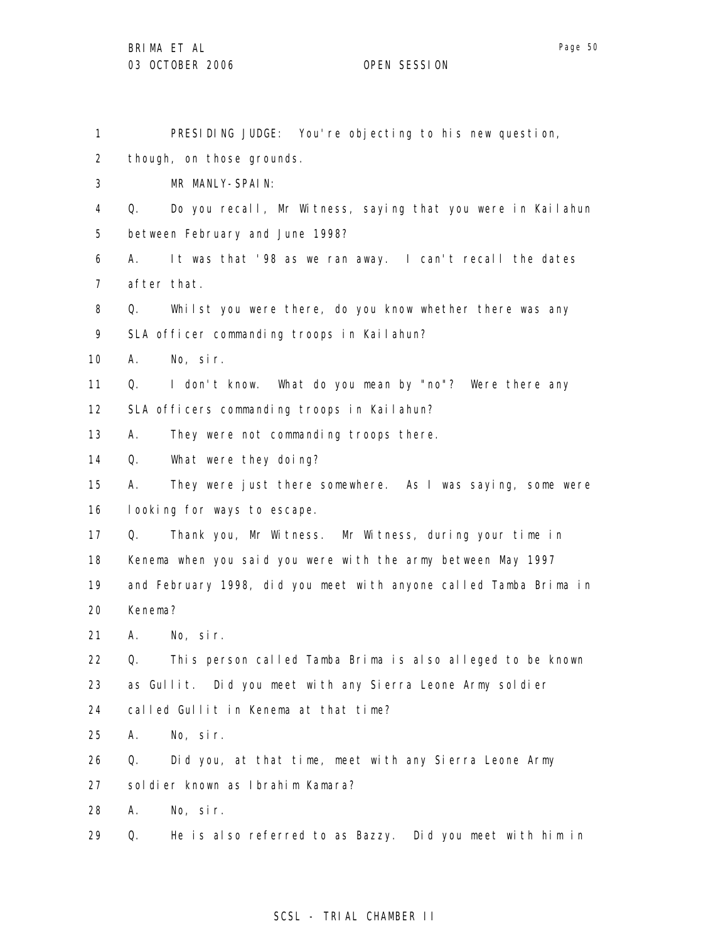| ואי<br>16 | 11 |
|-----------|----|
|-----------|----|

| 1               |         | PRESIDING JUDGE: You're objecting to his new question,            |
|-----------------|---------|-------------------------------------------------------------------|
| $\overline{2}$  |         | though, on those grounds.                                         |
| 3               |         | MR MANLY-SPAIN:                                                   |
| 4               | Q.      | Do you recall, Mr Witness, saying that you were in Kailahun       |
| 5               |         | between February and June 1998?                                   |
| 6               | А.      | It was that '98 as we ran away. I can't recall the dates          |
| $\overline{7}$  |         | after that.                                                       |
| 8               | Q.      | Whilst you were there, do you know whether there was any          |
| 9               |         | SLA officer commanding troops in Kailahun?                        |
| 10 <sup>°</sup> | А.      | No, sir.                                                          |
| 11              | Q.      | I don't know. What do you mean by "no"? Were there any            |
| 12              |         | SLA officers commanding troops in Kailahun?                       |
| 13              | А.      | They were not commanding troops there.                            |
| 14              | Q.      | What were they doing?                                             |
| 15              | А.      | They were just there somewhere. As I was saying, some were        |
| 16              |         | looking for ways to escape.                                       |
| 17              | Q.      | Thank you, Mr Witness. Mr Witness, during your time in            |
| 18              |         | Kenema when you said you were with the army between May 1997      |
| 19              |         | and February 1998, did you meet with anyone called Tamba Brima in |
| 20              | Kenema? |                                                                   |
| 21              |         | A. No, sir.                                                       |
| 22              | Q.      | This person called Tamba Brima is also alleged to be known        |
| 23              |         | as Gullit. Did you meet with any Sierra Leone Army soldier        |
| 24              |         | called Gullit in Kenema at that time?                             |
| 25              | А.      | No, sir.                                                          |
| 26              | Q.      | Did you, at that time, meet with any Sierra Leone Army            |
| 27              |         | sol di er known as Ibrahim Kamara?                                |
| 28              | А.      | No, sir.                                                          |
| 29              | Q.      | He is also referred to as Bazzy.<br>Did you meet with him in      |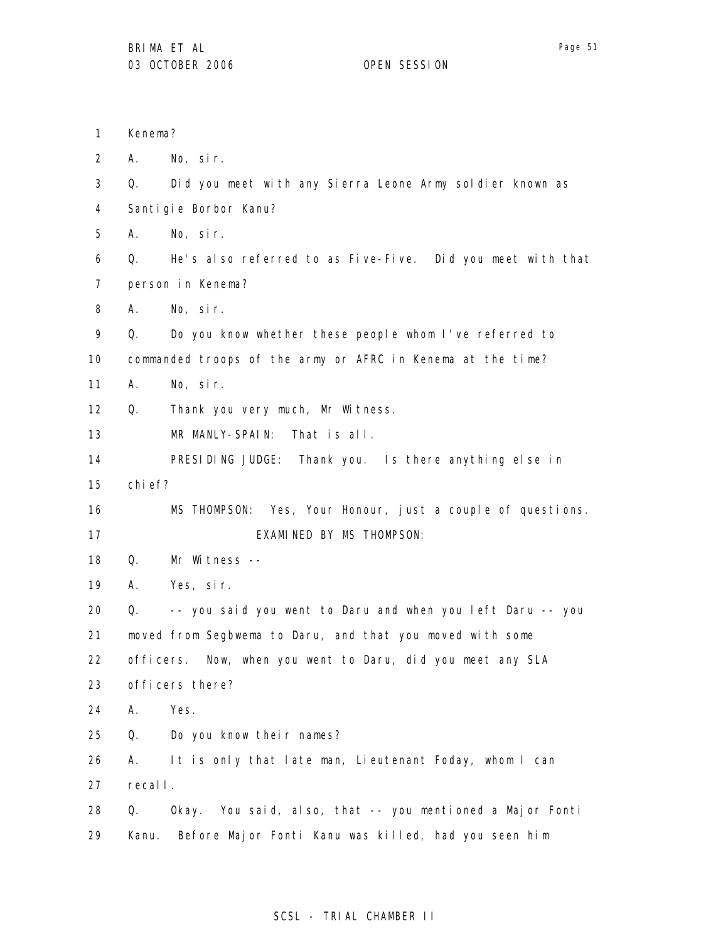1 2 3 4 5 6 7 8 9 10 11 12 13 14 15 16 17 18 19 20 21 22 23 24 25 26 27 28 29 Kenema? A. No, sir. Q. Did you meet with any Sierra Leone Army soldier known as Santigie Borbor Kanu? A. No, sir. Q. He's also referred to as Five-Five. Did you meet with that person in Kenema? A. No, sir. Q. Do you know whether these people whom I've referred to commanded troops of the army or AFRC in Kenema at the time? A. No, sir. Q. Thank you very much, Mr Witness. MR MANLY-SPAIN: That is all. PRESIDING JUDGE: Thank you. Is there anything else in chief? MS THOMPSON: Yes, Your Honour, just a couple of questions. EXAMINED BY MS THOMPSON: Q. Mr Witness -- A. Yes, sir. Q. -- you said you went to Daru and when you left Daru -- you moved from Segbwema to Daru, and that you moved with some officers. Now, when you went to Daru, did you meet any SLA officers there? A. Yes. Q. Do you know their names? A. It is only that late man, Lieutenant Foday, whom I can recall. Q. Okay. You said, also, that -- you mentioned a Major Fonti Kanu. Before Major Fonti Kanu was killed, had you seen him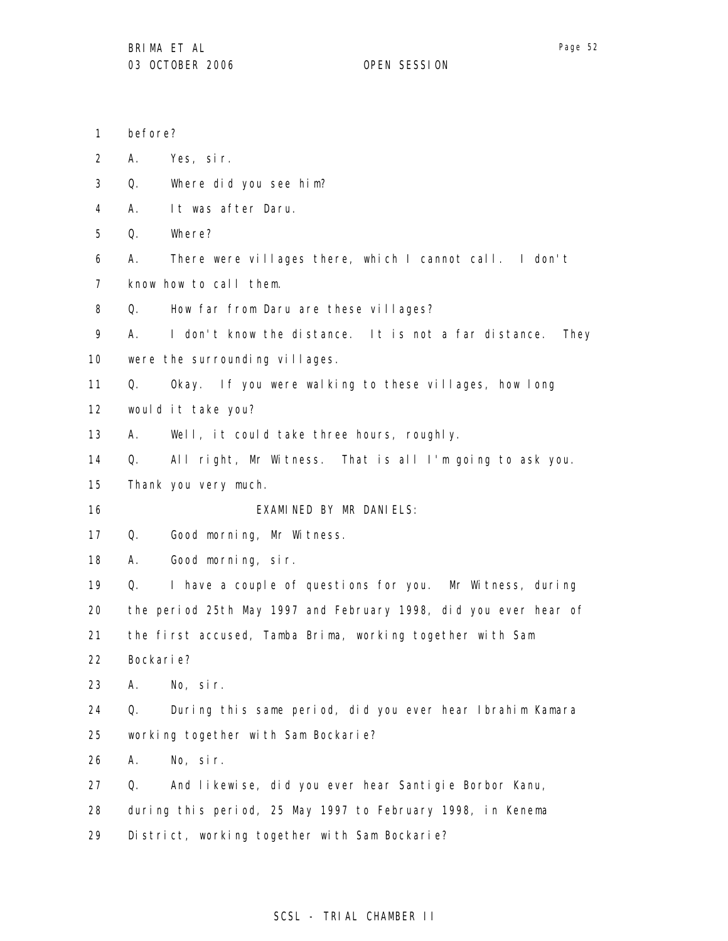- 1 before?
- 2 A. Yes, sir.
- 3 Q. Where did you see him?
- 4 A. It was after Daru.
- 5 Q. Where?
- 6 7 A. There were villages there, which I cannot call. I don't know how to call them.
- 8 Q. How far from Daru are these villages?

9 A. I don't know the distance. It is not a far distance. They

10 were the surrounding villages.

11 Q. Okay. If you were walking to these villages, how long

12 would it take you?

13 A. Well, it could take three hours, roughly.

- 14 Q. All right, Mr Witness. That is all I'm going to ask you.
- 15 Thank you very much.

16 EXAMINED BY MR DANIELS:

- 17 Q. Good morning, Mr Witness.
- 18 A. Good morning, sir.

19 Q. I have a couple of questions for you. Mr Witness, during

20 the period 25th May 1997 and February 1998, did you ever hear of

21 the first accused, Tamba Brima, working together with Sam

- 22 Bockarie?
- 23 A. No, sir.

24 25 Q. During this same period, did you ever hear Ibrahim Kamara working together with Sam Bockarie?

26 A. No, sir.

27 Q. And likewise, did you ever hear Santigie Borbor Kanu,

28 during this period, 25 May 1997 to February 1998, in Kenema

29 District, working together with Sam Bockarie?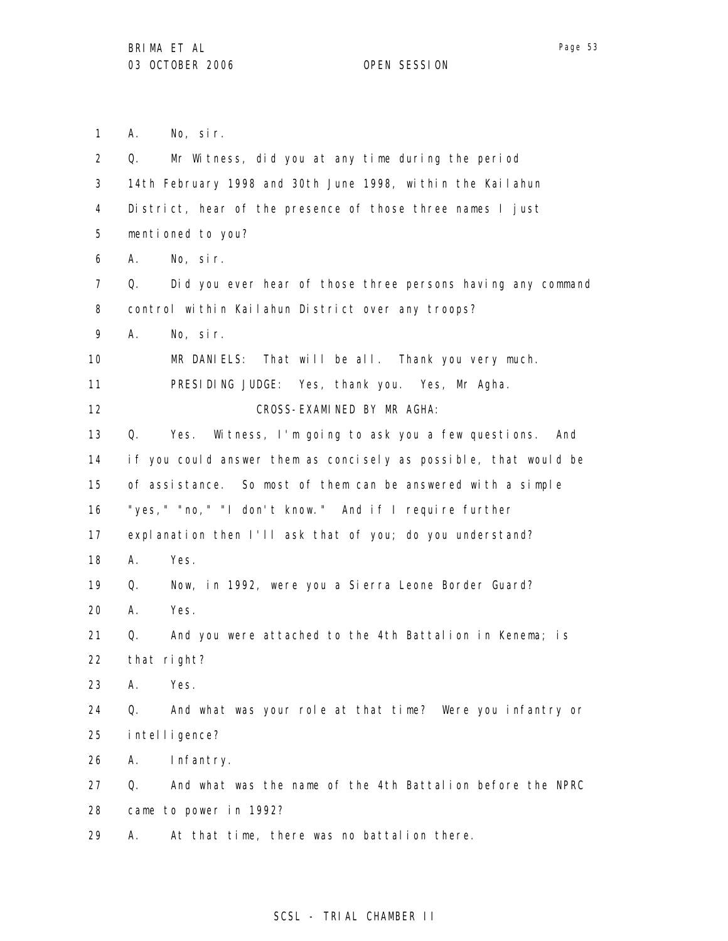1 2 A. No, sir. Q. Mr Witness, did you at any time during the period

3 4 5 6 7 8 9 10 11 12 13 14 15 16 17 18 19 20 21 22 23 24 25 26 27 28 29 14th February 1998 and 30th June 1998, within the Kailahun District, hear of the presence of those three names I just mentioned to you? A. No, sir. Q. Did you ever hear of those three persons having any command control within Kailahun District over any troops? A. No, sir. MR DANIELS: That will be all. Thank you very much. PRESIDING JUDGE: Yes, thank you. Yes, Mr Agha. CROSS-EXAMINED BY MR AGHA: Q. Yes. Witness, I'm going to ask you a few questions. And if you could answer them as concisely as possible, that would be of assistance. So most of them can be answered with a simple "yes," "no," "I don't know." And if I require further explanation then I'll ask that of you; do you understand? A. Yes. Q. Now, in 1992, were you a Sierra Leone Border Guard? A. Yes. Q. And you were attached to the 4th Battalion in Kenema; is that right? A. Yes. Q. And what was your role at that time? Were you infantry or intelligence? A. Infantry. Q. And what was the name of the 4th Battalion before the NPRC came to power in 1992? A. At that time, there was no battalion there.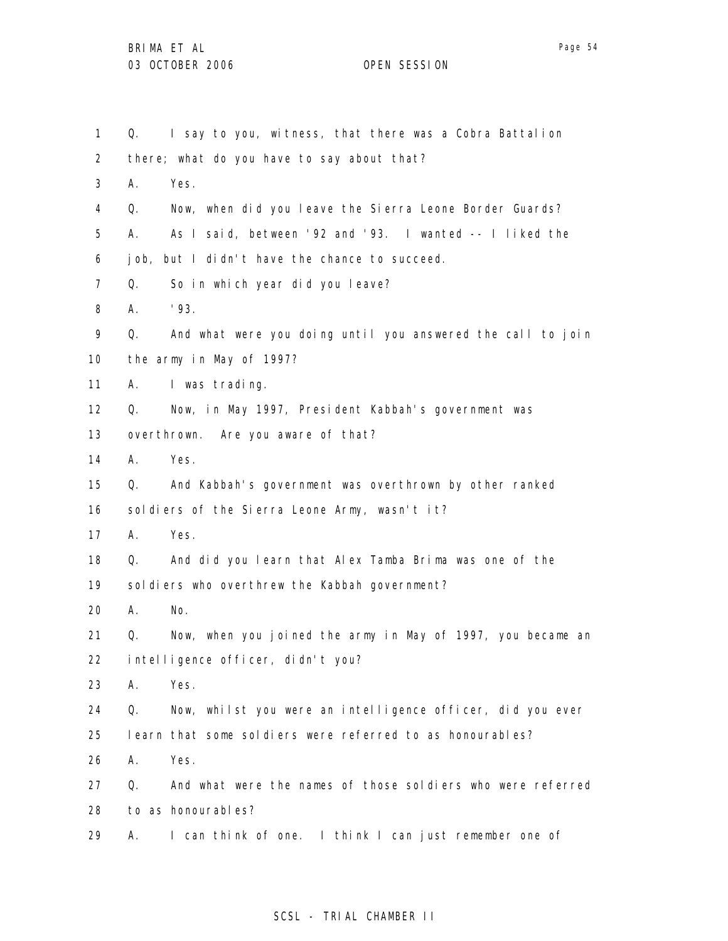1 2 3 4 5 6 7 8 9 10 11 12 13 14 15 16 17 18 19 20 21 22 23 24 25 26 27 28 29 Q. I say to you, witness, that there was a Cobra Battalion there; what do you have to say about that? A. Yes. Q. Now, when did you leave the Sierra Leone Border Guards? A. As I said, between '92 and '93. I wanted -- I liked the job, but I didn't have the chance to succeed. Q. So in which year did you leave? A. '93. Q. And what were you doing until you answered the call to join the army in May of 1997? A. I was trading. Q. Now, in May 1997, President Kabbah's government was overthrown. Are you aware of that? A. Yes. Q. And Kabbah's government was overthrown by other ranked sol diers of the Sierra Leone Army, wasn't it? A. Yes. Q. And did you learn that Alex Tamba Brima was one of the sol diers who overthrew the Kabbah government? A. No. Q. Now, when you joined the army in May of 1997, you became an intelligence officer, didn't you? A. Yes. Q. Now, whilst you were an intelligence officer, did you ever learn that some soldiers were referred to as honourables? A. Yes. Q. And what were the names of those soldiers who were referred to as honourables? A. I can think of one. I think I can just remember one of

# SCSL - TRIAL CHAMBER II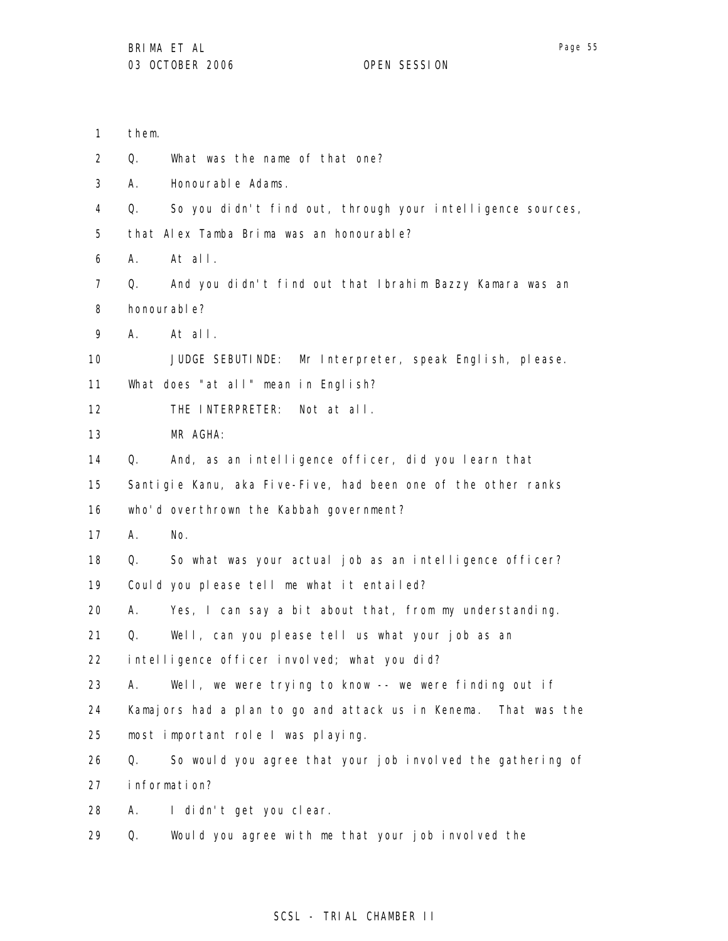- 1 them.
- 2 Q. What was the name of that one?
- 3 A. Honourable Adams.
- 4 Q. So you didn't find out, through your intelligence sources,

5 that Alex Tamba Brima was an honourable?

- 6 A. At all.
- 7 8 Q. And you didn't find out that Ibrahim Bazzy Kamara was an honourable?
- 9 A. At all.

10 JUDGE SEBUTINDE: Mr Interpreter, speak English, please.

11 What does "at all" mean in English?

- 12 THE INTERPRETER: Not at all.
- 13 MR AGHA:

14 Q. And, as an intelligence officer, did you learn that

15 Santigie Kanu, aka Five-Five, had been one of the other ranks

16 who'd overthrown the Kabbah government?

- 17 A. No.
- 18 Q. So what was your actual job as an intelligence officer?
- 19 Could you please tell me what it entailed?

20 A. Yes, I can say a bit about that, from my understanding.

21 Q. Well, can you please tell us what your job as an

22 intelligence officer involved; what you did?

23 A. Well, we were trying to know -- we were finding out if

24 25 Kamajors had a plan to go and attack us in Kenema. That was the most important role I was playing.

- 26 27 Q. So would you agree that your job involved the gathering of information?
- 28 A. I didn't get you clear.
- 29 Q. Would you agree with me that your job involved the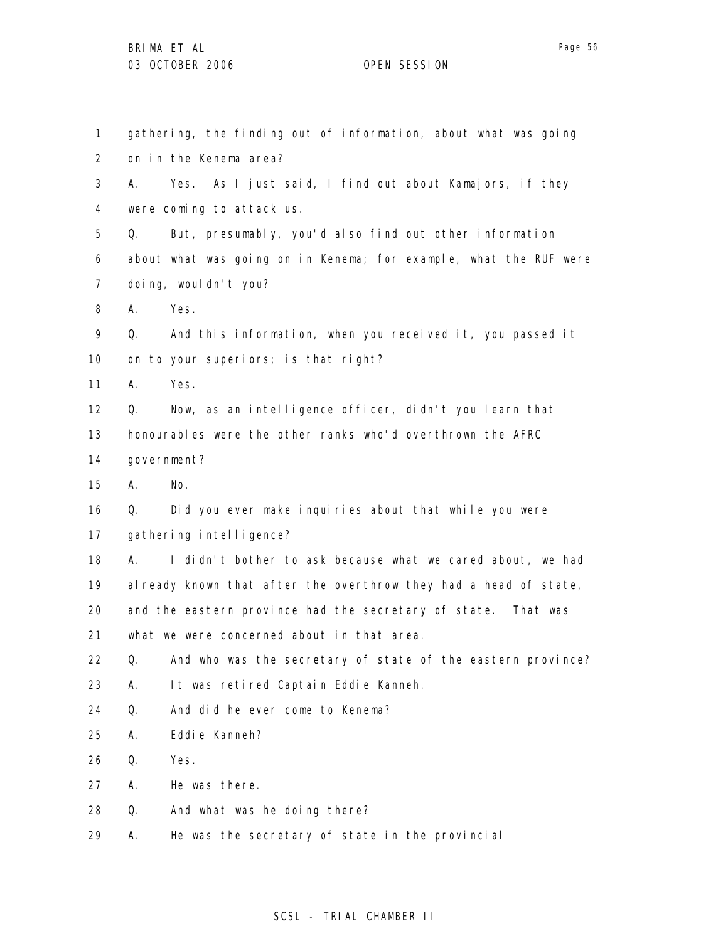1 2 3 4 5 6 7 8 9 10 11 12 13 14 15 16 17 18 19 20 21 22 23 24 25 26 27 28 29 gathering, the finding out of information, about what was going on in the Kenema area? A. Yes. As I just said, I find out about Kamajors, if they were coming to attack us. Q. But, presumably, you'd also find out other information about what was going on in Kenema; for example, what the RUF were doing, wouldn't you? A. Yes. Q. And this information, when you received it, you passed it on to your superiors; is that right? A. Yes. Q. Now, as an intelligence officer, didn't you learn that honourables were the other ranks who'd overthrown the AFRC government? A. No. Q. Did you ever make inquiries about that while you were gathering intelligence? A. I didn't bother to ask because what we cared about, we had already known that after the overthrow they had a head of state, and the eastern province had the secretary of state. That was what we were concerned about in that area. Q. And who was the secretary of state of the eastern province? A. It was retired Captain Eddie Kanneh. Q. And did he ever come to Kenema? A. Eddie Kanneh? Q. Yes. A. He was there. Q. And what was he doing there? A. He was the secretary of state in the provincial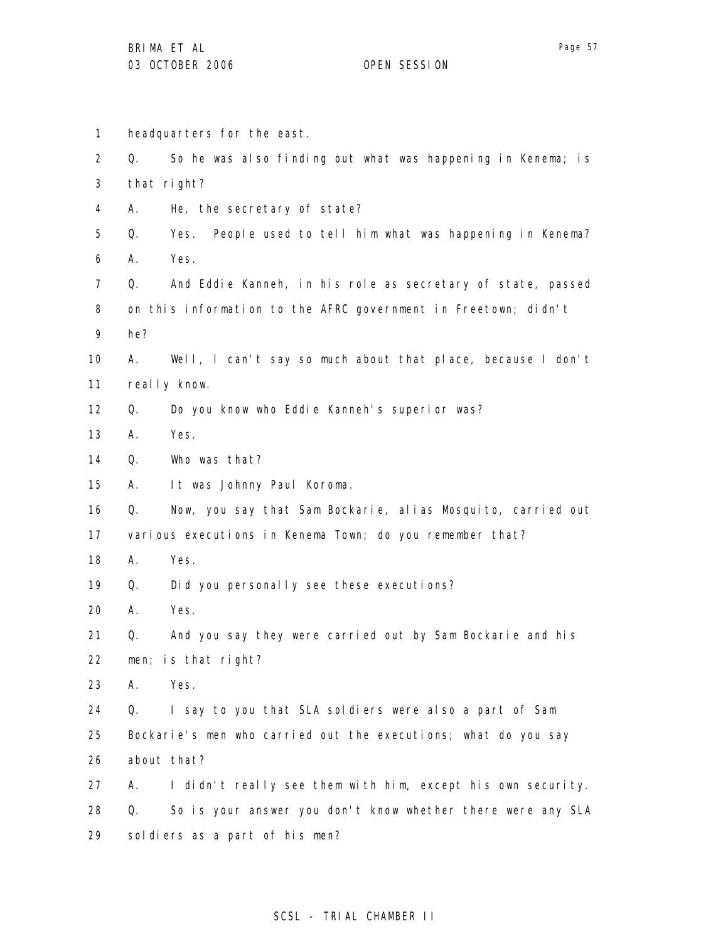1 2 3 4 5 6 7 8 9 10 11 12 13 14 15 16 17 18 19 20 21 22 23 24 25 26 27 28 29 headquarters for the east. Q. So he was also finding out what was happening in Kenema; is that right? A. He, the secretary of state? Q. Yes. People used to tell him what was happening in Kenema? A. Yes. Q. And Eddie Kanneh, in his role as secretary of state, passed on this information to the AFRC government in Freetown; didn't he? A. Well, I can't say so much about that place, because I don't really know. Q. Do you know who Eddie Kanneh's superior was? A. Yes. Q. Who was that? A. It was Johnny Paul Koroma. Q. Now, you say that Sam Bockarie, alias Mosquito, carried out various executions in Kenema Town; do you remember that? A. Yes. Q. Did you personally see these executions? A. Yes. Q. And you say they were carried out by Sam Bockarie and his men; is that right? A. Yes. Q. I say to you that SLA soldiers were also a part of Sam Bockarie's men who carried out the executions; what do you say about that? A. I didn't really see them with him, except his own security. Q. So is your answer you don't know whether there were any SLA soldiers as a part of his men?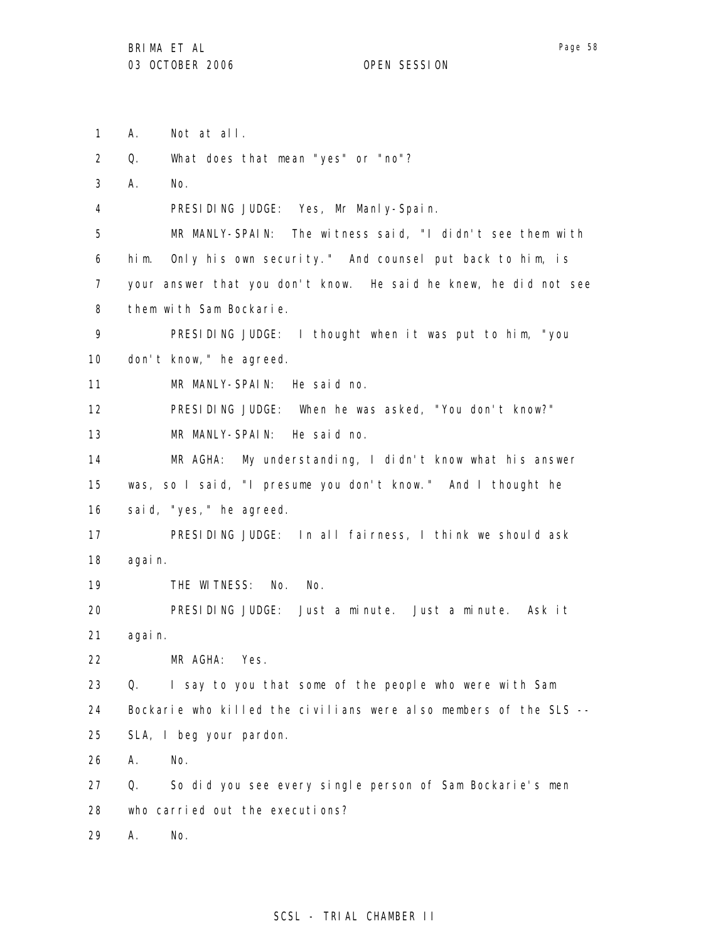1 A. Not at all.

2 Q. What does that mean "yes" or "no"?

3 A. No.

4 PRESIDING JUDGE: Yes, Mr Manly-Spain.

5 6 7 8 MR MANLY-SPAIN: The witness said, "I didn't see them with him. Only his own security." And counsel put back to him, is your answer that you don't know. He said he knew, he did not see them with Sam Bockarie.

9 10 PRESIDING JUDGE: I thought when it was put to him, "you don't know," he agreed.

11 MR MANLY-SPAIN: He said no.

12 PRESIDING JUDGE: When he was asked, "You don't know?"

13 MR MANLY-SPAIN: He said no.

14 15 16 MR AGHA: My understanding, I didn't know what his answer was, so I said, "I presume you don't know." And I thought he said, "yes," he agreed.

17 18 PRESIDING JUDGE: In all fairness, I think we should ask again.

19 THE WITNESS: No. No.

20 21 PRESIDING JUDGE: Just a minute. Just a minute. Ask it again.

22 MR AGHA: Yes.

23 24 25 Q. I say to you that some of the people who were with Sam Bockarie who killed the civilians were also members of the SLS -- SLA, I beg your pardon.

26 A. No.

27 28 Q. So did you see every single person of Sam Bockarie's men who carried out the executions?

29 A. No.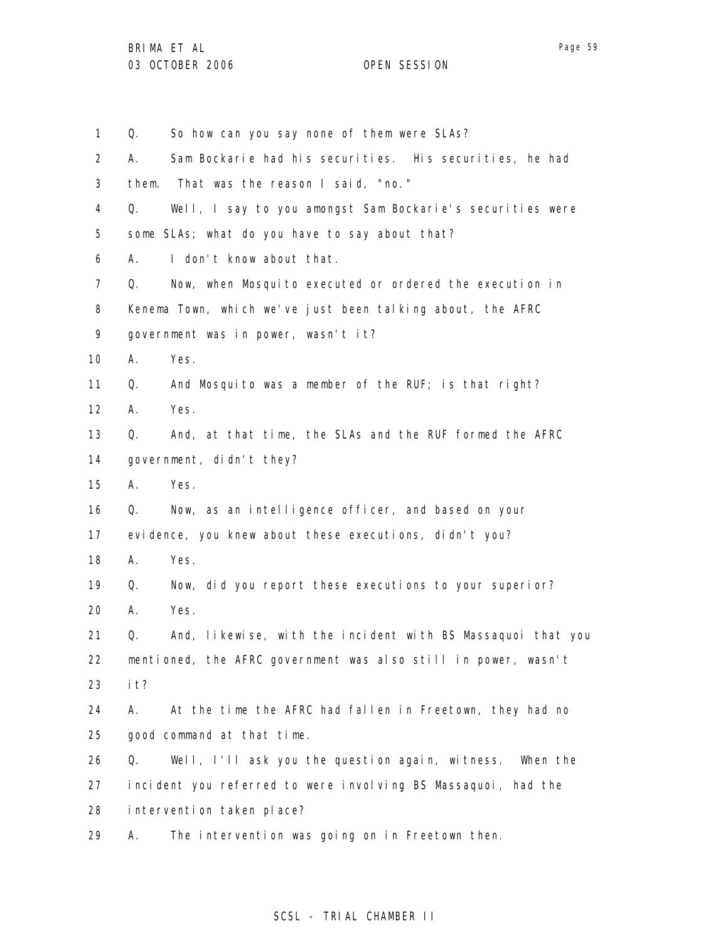1 2 3 4 5 6 7 8 9 10 11 12 13 14 15 16 17 18 19 20 21 22 23 24 25 26 27 28 29 Q. So how can you say none of them were SLAs? A. Sam Bockarie had his securities. His securities, he had them. That was the reason I said, "no." Q. Well, I say to you amongst Sam Bockarie's securities were some SLAs; what do you have to say about that? A. I don't know about that. Q. Now, when Mosquito executed or ordered the execution in Kenema Town, which we've just been talking about, the AFRC government was in power, wasn't it? A. Yes. Q. And Mosquito was a member of the RUF; is that right? A. Yes. Q. And, at that time, the SLAs and the RUF formed the AFRC government, didn't they? A. Yes. Q. Now, as an intelligence officer, and based on your evidence, you knew about these executions, didn't you? A. Yes. Q. Now, did you report these executions to your superior? A. Yes. Q. And, likewise, with the incident with BS Massaquoi that you mentioned, the AFRC government was also still in power, wasn't it? A. At the time the AFRC had fallen in Freetown, they had no good command at that time. Q. Well, I'll ask you the question again, witness. When the incident you referred to were involving BS Massaquoi, had the intervention taken place? A. The intervention was going on in Freetown then.

# SCSL - TRIAL CHAMBER II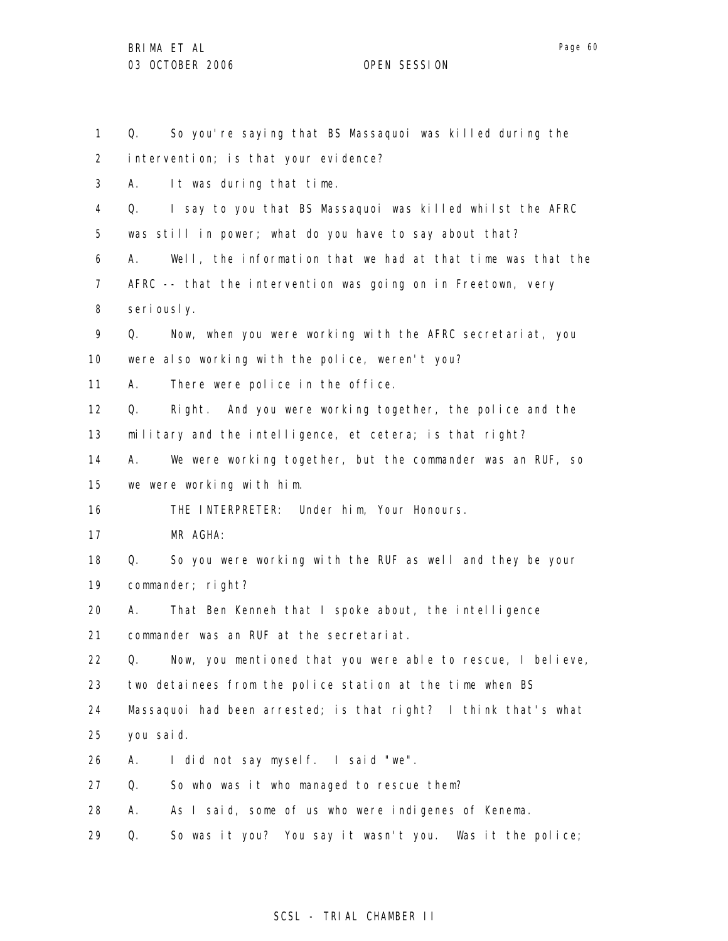1 2 3 4 5 6 7 8 9 10 11 12 13 14 15 16 17 18 19 20 21 22 23 24 25 26 27 28 29 Q. So you're saying that BS Massaquoi was killed during the intervention; is that your evidence? A. It was during that time. Q. I say to you that BS Massaquoi was killed whilst the AFRC was still in power; what do you have to say about that? A. Well, the information that we had at that time was that the AFRC -- that the intervention was going on in Freetown, very seriously. Q. Now, when you were working with the AFRC secretariat, you were also working with the police, weren't you? A. There were police in the office. Q. Right. And you were working together, the police and the military and the intelligence, et cetera; is that right? A. We were working together, but the commander was an RUF, so we were working with him. THE INTERPRETER: Under him, Your Honours. MR AGHA: Q. So you were working with the RUF as well and they be your commander; right? A. That Ben Kenneh that I spoke about, the intelligence commander was an RUF at the secretariat. Q. Now, you mentioned that you were able to rescue, I believe, two detainees from the police station at the time when BS Massaquoi had been arrested; is that right? I think that's what you said. A. I did not say myself. I said "we". Q. So who was it who managed to rescue them? A. As I said, some of us who were indigenes of Kenema. Q. So was it you? You say it wasn't you. Was it the police;

### SCSL - TRIAL CHAMBER II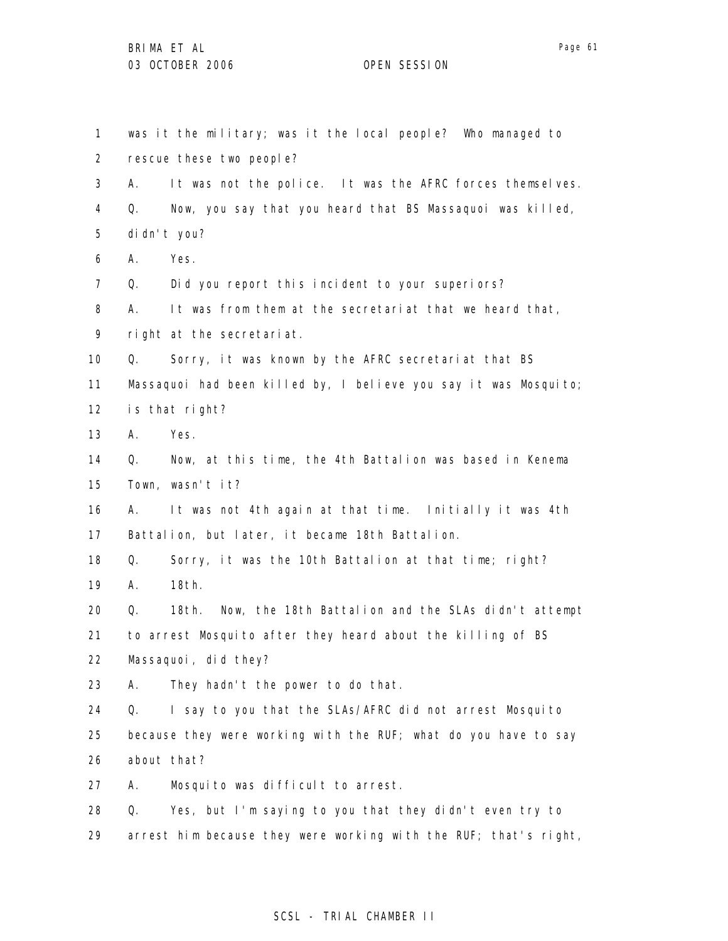| $\mathbf{1}$      |    | was it the military; was it the local people? Who managed to     |
|-------------------|----|------------------------------------------------------------------|
| $\overline{2}$    |    | rescue these two people?                                         |
| 3                 | А. | It was not the police. It was the AFRC forces themselves.        |
| 4                 | Q. | Now, you say that you heard that BS Massaquoi was killed,        |
| 5                 |    | di dn't you?                                                     |
| 6                 | А. | Yes.                                                             |
| $\overline{7}$    | Q. | Did you report this incident to your superiors?                  |
| 8                 | А. | It was from them at the secretariat that we heard that,          |
| 9                 |    | right at the secretariat.                                        |
| 10                | Q. | Sorry, it was known by the AFRC secretariat that BS              |
| 11                |    | Massaquoi had been killed by, I believe you say it was Mosquito; |
| $12 \overline{ }$ |    | is that right?                                                   |
| 13                | А. | Yes.                                                             |
| 14                | Q. | Now, at this time, the 4th Battalion was based in Kenema         |
| 15                |    | Town, wasn't it?                                                 |
| 16                | А. | It was not 4th again at that time. Initially it was 4th          |
| 17                |    | Battalion, but later, it became 18th Battalion.                  |
| 18                | Q. | Sorry, it was the 10th Battalion at that time; right?            |
| 19                | А. | 18th.                                                            |
| 20                | Q. | 18th.<br>Now, the 18th Battalion and the SLAs didn't attempt     |
| 21                |    | to arrest Mosquito after they heard about the killing of BS      |
| 22                |    | Massaquoi, did they?                                             |
| 23                | Α. | They hadn't the power to do that.                                |
| 24                | Q. | I say to you that the SLAs/AFRC did not arrest Mosquito          |
| 25                |    | because they were working with the RUF; what do you have to say  |
| 26                |    | about that?                                                      |
| 27                | Α. | Mosquito was difficult to arrest.                                |
| 28                | Q. | Yes, but I'm saying to you that they didn't even try to          |
| 29                |    | arrest him because they were working with the RUF; that's right, |

# SCSL - TRIAL CHAMBER II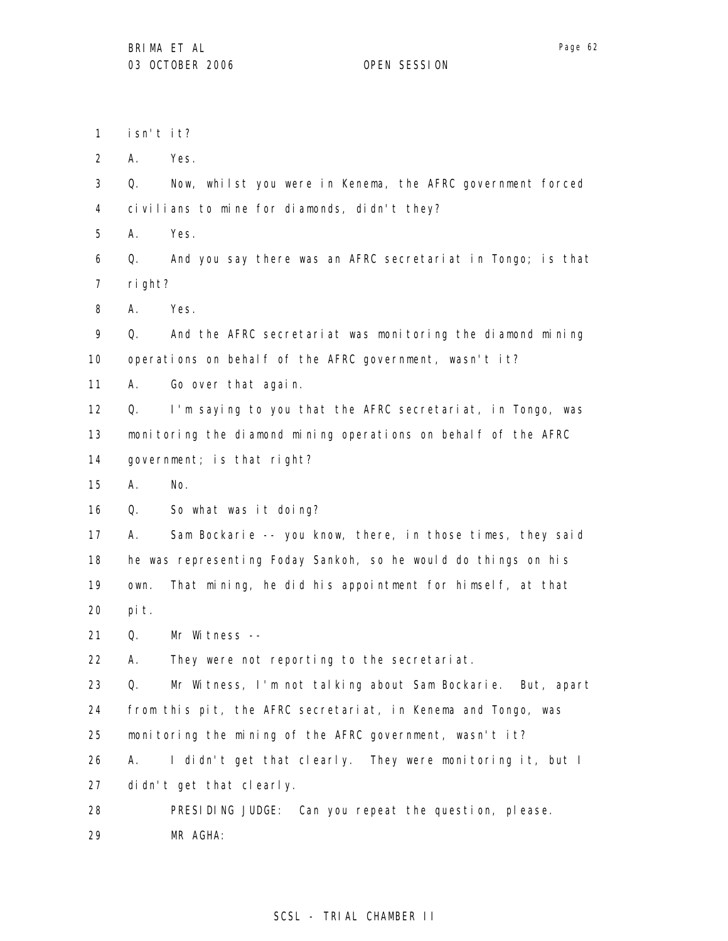1 isn't it?

2 A. Yes.

3 4 Q. Now, whilst you were in Kenema, the AFRC government forced civilians to mine for diamonds, didn't they?

5 A. Yes.

6 7 Q. And you say there was an AFRC secretariat in Tongo; is that right?

8 A. Yes.

9 10 Q. And the AFRC secretariat was monitoring the diamond mining operations on behalf of the AFRC government, wasn't it?

11 A. Go over that again.

12 13 14 Q. I'm saying to you that the AFRC secretariat, in Tongo, was monitoring the diamond mining operations on behalf of the AFRC government; is that right?

15 A. No.

16 Q. So what was it doing?

17 18 19 20 A. Sam Bockarie -- you know, there, in those times, they said he was representing Foday Sankoh, so he would do things on his own. That mining, he did his appointment for himself, at that pit.

21 Q. Mr Witness --

22 A. They were not reporting to the secretariat.

23 24 25 Q. Mr Witness, I'm not talking about Sam Bockarie. But, apart from this pit, the AFRC secretariat, in Kenema and Tongo, was monitoring the mining of the AFRC government, wasn't it?

26 27 A. I didn't get that clearly. They were monitoring it, but I didn't get that clearly.

28 29 PRESIDING JUDGE: Can you repeat the question, please. MR AGHA: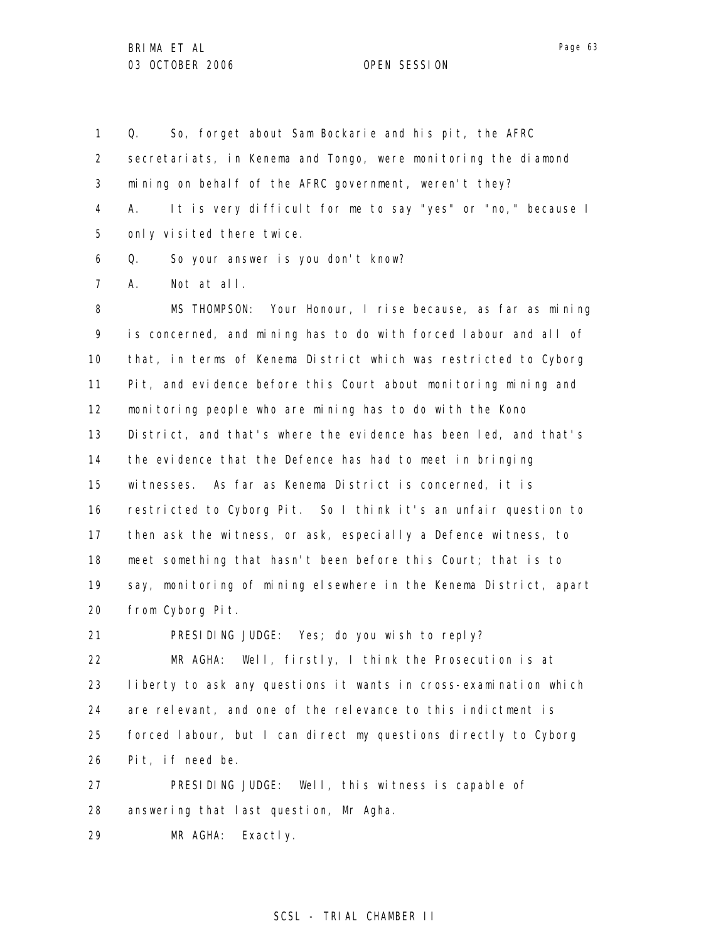1 2 3 4 5 6 7 8 9 10 11 12 13 14 15 16 17 18 19 20 21 22 23 24 25 26 Q. So, forget about Sam Bockarie and his pit, the AFRC secretariats, in Kenema and Tongo, were monitoring the diamond mining on behalf of the AFRC government, weren't they? A. It is very difficult for me to say "yes" or "no," because I only visited there twice. Q. So your answer is you don't know? A. Not at all. MS THOMPSON: Your Honour, I rise because, as far as mining is concerned, and mining has to do with forced labour and all of that, in terms of Kenema District which was restricted to Cyborg Pit, and evidence before this Court about monitoring mining and monitoring people who are mining has to do with the Kono District, and that's where the evidence has been led, and that's the evidence that the Defence has had to meet in bringing witnesses. As far as Kenema District is concerned, it is restricted to Cyborg Pit. So I think it's an unfair question to then ask the witness, or ask, especially a Defence witness, to meet something that hasn't been before this Court; that is to say, monitoring of mining elsewhere in the Kenema District, apart from Cyborg Pit. PRESIDING JUDGE: Yes; do you wish to reply? MR AGHA: Well, firstly, I think the Prosecution is at liberty to ask any questions it wants in cross-examination which are relevant, and one of the relevance to this indictment is forced labour, but I can direct my questions directly to Cyborg Pit, if need be.

27 28 PRESIDING JUDGE: Well, this witness is capable of answering that last question, Mr Agha.

29 MR AGHA: Exactly.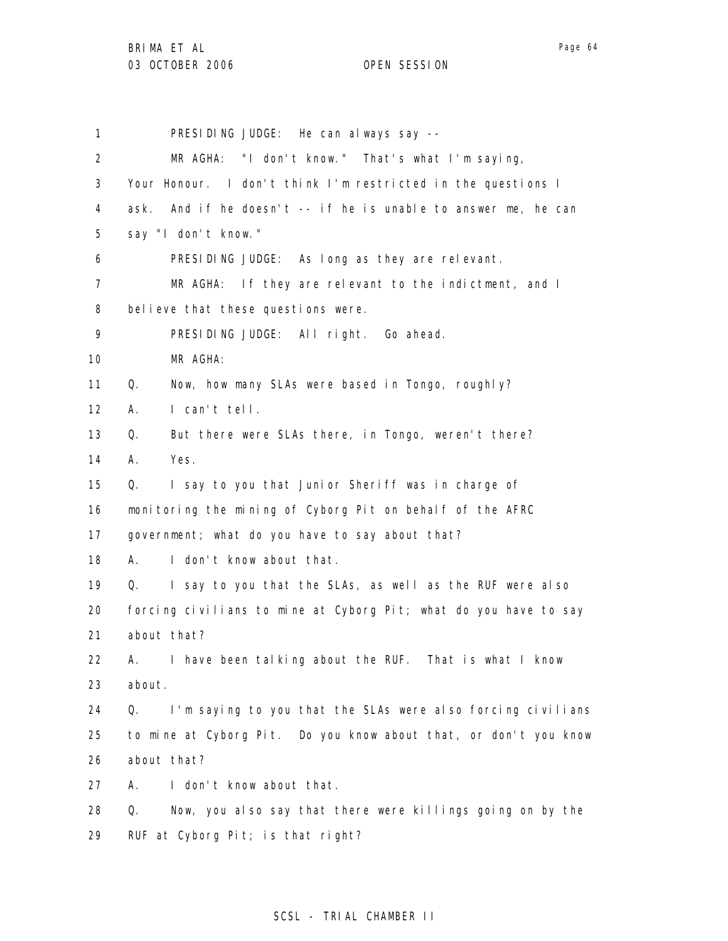1 2 3 4 5 6 7 8 9 10 11 12 13 14 15 16 17 18 19 20 21 22 23 24 25 26 27 28 29 PRESIDING JUDGE: He can always say -- MR AGHA: "I don't know." That's what I'm saying, Your Honour. I don't think I'm restricted in the questions I ask. And if he doesn't -- if he is unable to answer me, he can say "I don't know." PRESIDING JUDGE: As long as they are relevant. MR AGHA: If they are relevant to the indictment, and I believe that these questions were. PRESIDING JUDGE: All right. Go ahead. MR AGHA: Q. Now, how many SLAs were based in Tongo, roughly? A. I can't tell. Q. But there were SLAs there, in Tongo, weren't there? A. Yes. Q. I say to you that Junior Sheriff was in charge of monitoring the mining of Cyborg Pit on behalf of the AFRC government; what do you have to say about that? A. I don't know about that. Q. I say to you that the SLAs, as well as the RUF were also forcing civilians to mine at Cyborg Pit; what do you have to say about that? A. I have been talking about the RUF. That is what I know about. Q. I'm saying to you that the SLAs were also forcing civilians to mine at Cyborg Pit. Do you know about that, or don't you know about that? A. I don't know about that. Q. Now, you also say that there were killings going on by the RUF at Cyborg Pit; is that right?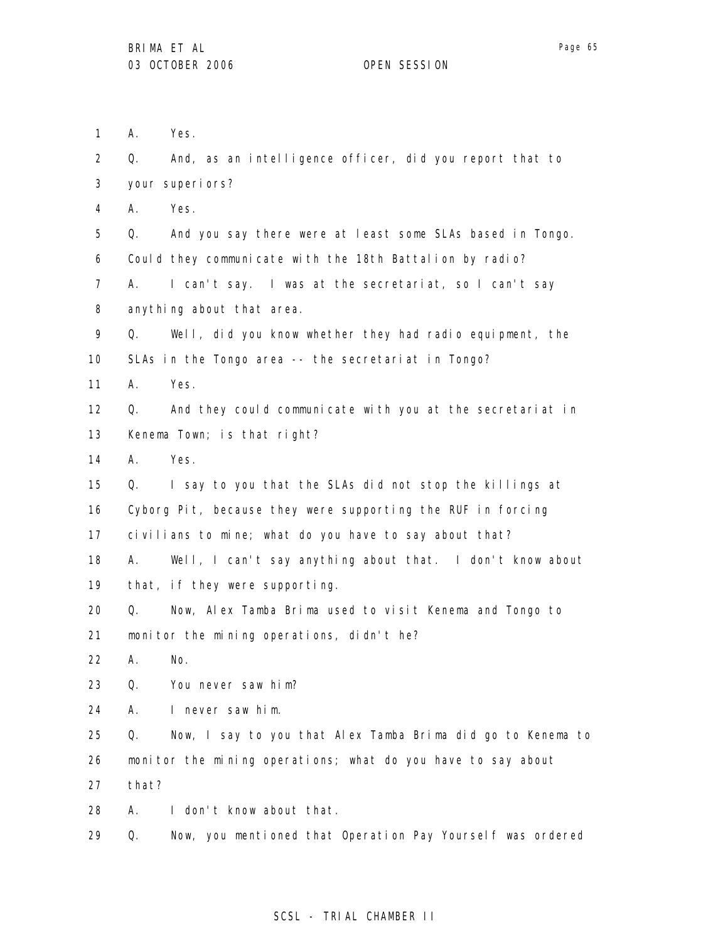1 A. Yes.

2 3 4 5 6 7 8 9 10 11 12 13 14 15 16 17 18 19 20 21 22 23 24 25 26 27 28 29 Q. And, as an intelligence officer, did you report that to your superiors? A. Yes. Q. And you say there were at least some SLAs based in Tongo. Could they communicate with the 18th Battalion by radio? A. I can't say. I was at the secretariat, so I can't say anything about that area. Q. Well, did you know whether they had radio equipment, the SLAs in the Tongo area -- the secretariat in Tongo? A. Yes. Q. And they could communicate with you at the secretariat in Kenema Town; is that right? A. Yes. Q. I say to you that the SLAs did not stop the killings at Cyborg Pit, because they were supporting the RUF in forcing civilians to mine; what do you have to say about that? A. Well, I can't say anything about that. I don't know about that, if they were supporting. Q. Now, Alex Tamba Brima used to visit Kenema and Tongo to monitor the mining operations, didn't he? A. No. Q. You never saw him? A. I never saw him. Q. Now, I say to you that Alex Tamba Brima did go to Kenema to monitor the mining operations; what do you have to say about that? A. I don't know about that. Q. Now, you mentioned that Operation Pay Yourself was ordered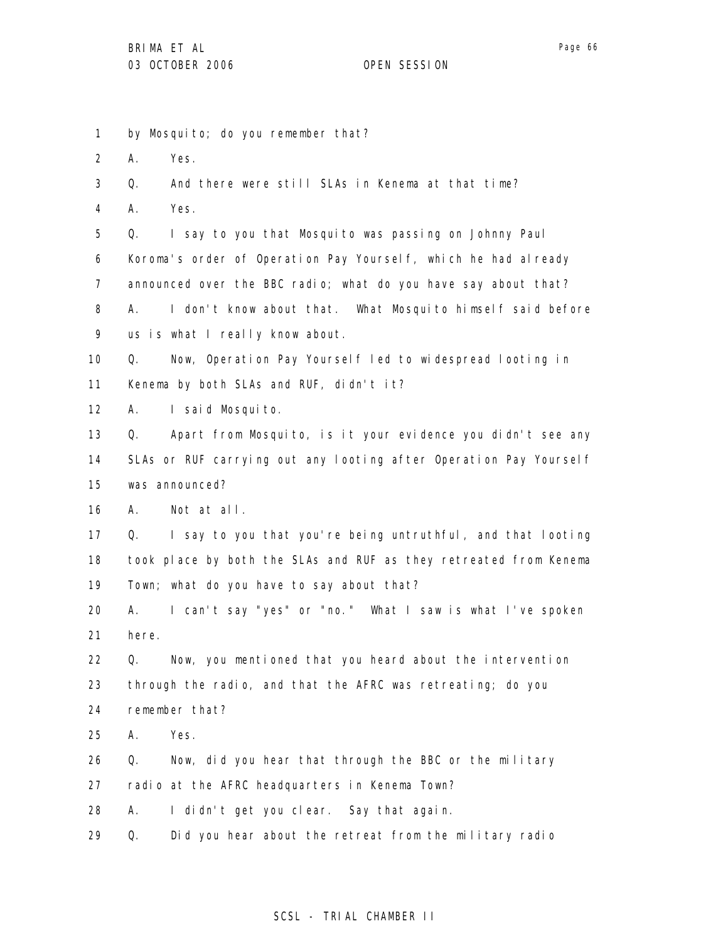1 2 3 4 5 6 7 8 9 10 11 12 13 14 15 16 17 18 19 20 21 22 23 24 25 26 27 28 29 by Mosquito; do you remember that? A. Yes. Q. And there were still SLAs in Kenema at that time? A. Yes. Q. I say to you that Mosquito was passing on Johnny Paul Koroma's order of Operation Pay Yourself, which he had already announced over the BBC radio; what do you have say about that? A. I don't know about that. What Mosquito himself said before us is what I really know about. Q. Now, Operation Pay Yourself led to widespread looting in Kenema by both SLAs and RUF, didn't it? A. I said Mosquito. Q. Apart from Mosquito, is it your evidence you didn't see any SLAs or RUF carrying out any looting after Operation Pay Yourself was announced? A. Not at all. Q. I say to you that you're being untruthful, and that looting took place by both the SLAs and RUF as they retreated from Kenema Town; what do you have to say about that? A. I can't say "yes" or "no." What I saw is what I've spoken here. Q. Now, you mentioned that you heard about the intervention through the radio, and that the AFRC was retreating; do you remember that? A. Yes. Q. Now, did you hear that through the BBC or the military radio at the AFRC headquarters in Kenema Town? A. I didn't get you clear. Say that again. Q. Did you hear about the retreat from the military radio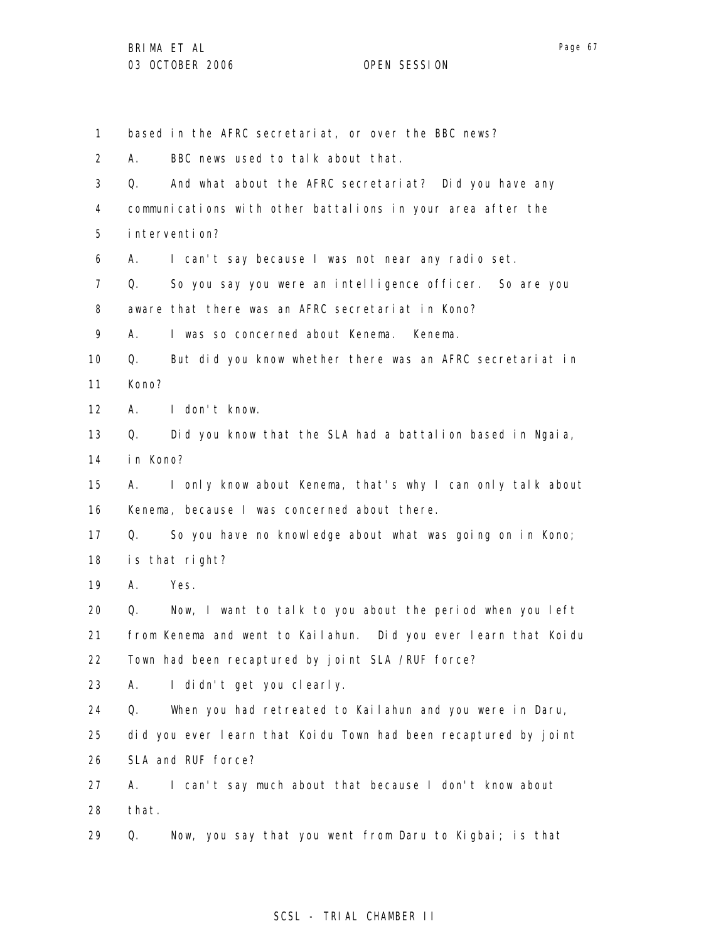Page 67

1 2 3 4 5 6 7 8 9 10 11 12 13 14 15 16 17 18 19 20 21 22 23 24 25 26 27 28 29 based in the AFRC secretariat, or over the BBC news? A. BBC news used to talk about that. Q. And what about the AFRC secretariat? Did you have any communications with other battalions in your area after the intervention? A. I can't say because I was not near any radio set. Q. So you say you were an intelligence officer. So are you aware that there was an AFRC secretariat in Kono? A. I was so concerned about Kenema. Kenema. Q. But did you know whether there was an AFRC secretariat in Kono? A. I don't know. Q. Did you know that the SLA had a battalion based in Ngaia, in Kono? A. I only know about Kenema, that's why I can only talk about Kenema, because I was concerned about there. Q. So you have no knowledge about what was going on in Kono; is that right? A. Yes. Q. Now, I want to talk to you about the period when you left from Kenema and went to Kailahun. Did you ever learn that Koidu Town had been recaptured by joint SLA /RUF force? A. I didn't get you clearly. Q. When you had retreated to Kailahun and you were in Daru, did you ever learn that Koidu Town had been recaptured by joint SLA and RUF force? A. I can't say much about that because I don't know about that. Q. Now, you say that you went from Daru to Kigbai; is that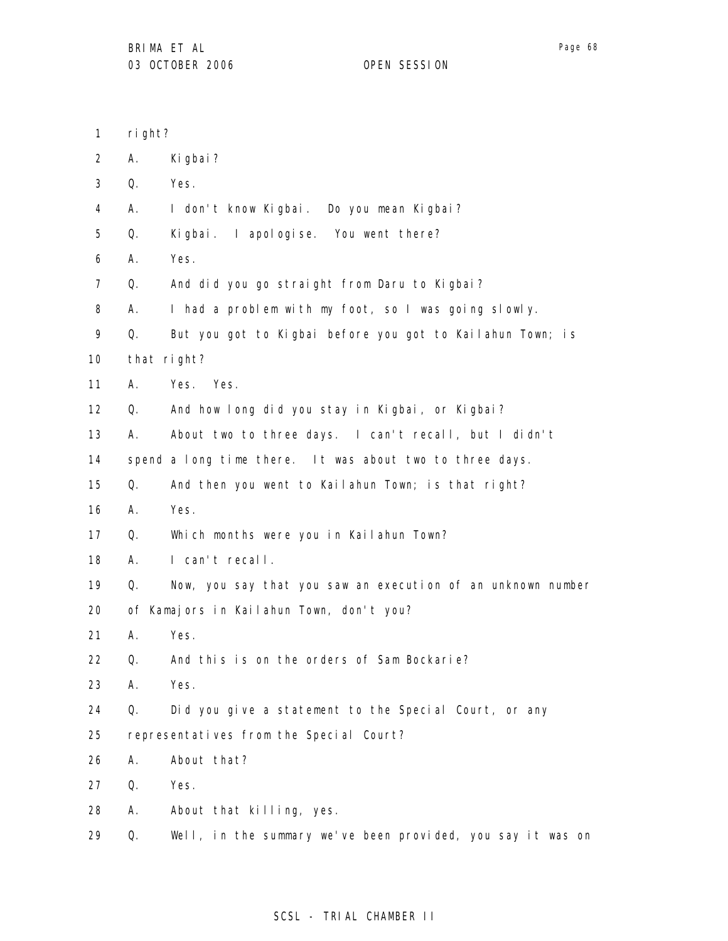| 1              | right?      |                                                             |
|----------------|-------------|-------------------------------------------------------------|
| $\overline{2}$ | А.          | Ki gbai?                                                    |
| 3              | Q.          | Yes.                                                        |
| 4              | Α.          | I don't know Kigbai. Do you mean Kigbai?                    |
| 5              | Q.          | Kigbai. I apologise. You went there?                        |
| 6              | Α.          | Yes.                                                        |
| $\overline{7}$ | Q.          | And did you go straight from Daru to Kigbai?                |
| 8              | А.          | I had a problem with my foot, so I was going slowly.        |
| 9              | Q.          | But you got to Kigbai before you got to Kailahun Town; is   |
| 10             | that right? |                                                             |
| 11             | Α.          | Yes. Yes.                                                   |
| 12             | Q.          | And how long did you stay in Kigbai, or Kigbai?             |
| 13             | А.          | About two to three days. I can't recall, but I didn't       |
| 14             |             | spend a long time there. It was about two to three days.    |
| 15             | Q.          | And then you went to Kailahun Town; is that right?          |
| 16             | А.          | Yes.                                                        |
| 17             | Q.          | Which months were you in Kailahun Town?                     |
| 18             | Α.          | I can't recall.                                             |
| 19             | Q.          | Now, you say that you saw an execution of an unknown number |
| 20             |             | of Kamajors in Kailahun Town, don't you?                    |
| 21             | А.          | Yes.                                                        |
| 22             | Q.          | And this is on the orders of Sam Bockarie?                  |
| 23             | А.          | Yes.                                                        |
| 24             | Q.          | Did you give a statement to the Special Court, or any       |
| 25             |             | representatives from the Special Court?                     |
| 26             | А.          | About that?                                                 |
| 27             | Q.          | Yes.                                                        |
| 28             | А.          | About that killing, yes.                                    |
| 29             | Q.          | Well, in the summary we've been provided, you say it was on |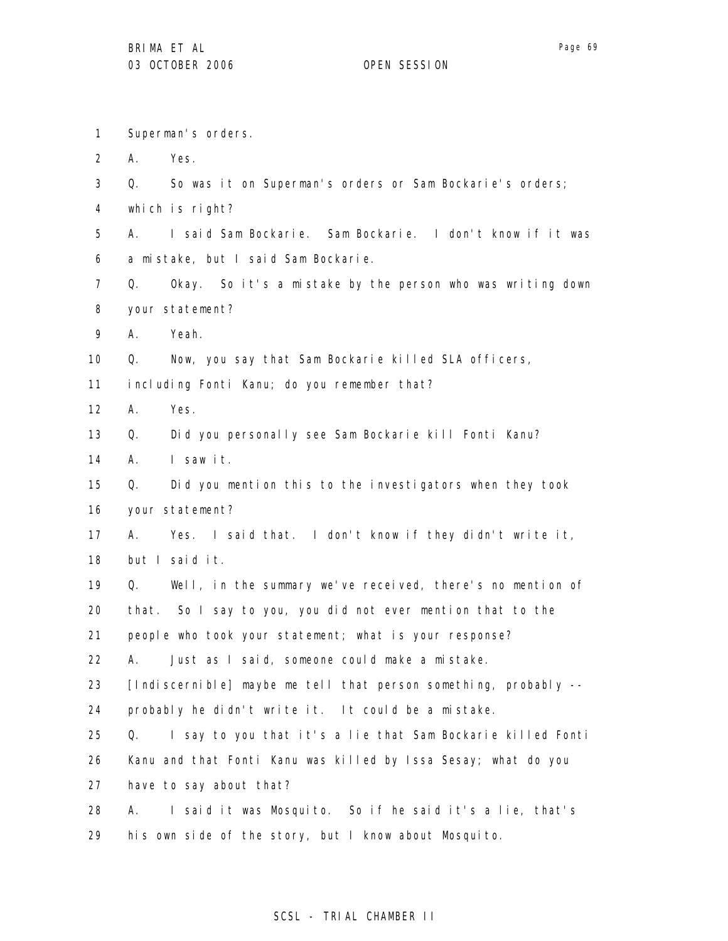1 Superman's orders.

2 A. Yes.

- 3 Q. So was it on Superman's orders or Sam Bockarie's orders;
- 4 which is right?

5 6 A. I said Sam Bockarie. Sam Bockarie. I don't know if it was a mistake, but I said Sam Bockarie.

- 7 8 Q. Okay. So it's a mistake by the person who was writing down your statement?
- 9 A. Yeah.

10 Q. Now, you say that Sam Bockarie killed SLA officers,

11 including Fonti Kanu; do you remember that?

12 A. Yes.

13 Q. Did you personally see Sam Bockarie kill Fonti Kanu?

14 A. I saw it.

15 16 Q. Did you mention this to the investigators when they took your statement?

17 18 A. Yes. I said that. I don't know if they didn't write it, but I said it.

19 Q. Well, in the summary we've received, there's no mention of

20 that. So I say to you, you did not ever mention that to the

21 people who took your statement; what is your response?

22 A. Just as I said, someone could make a mistake.

23 [Indiscernible] maybe me tell that person something, probably --

24 probably he didn't write it. It could be a mistake.

25 26 Q. I say to you that it's a lie that Sam Bockarie killed Fonti Kanu and that Fonti Kanu was killed by Issa Sesay; what do you

27 have to say about that?

28 29 A. I said it was Mosquito. So if he said it's a lie, that's his own side of the story, but I know about Mosquito.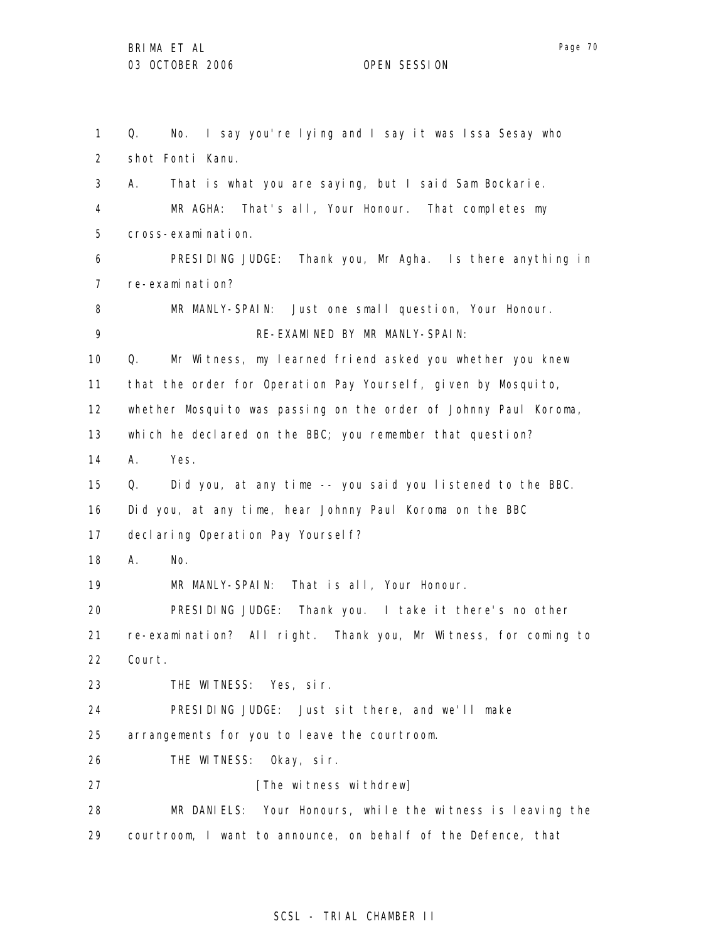1 2 3 4 5 6 7 8 9 10 11 12 13 14 15 16 17 18 19 20 21 22 23 24 25 26 27 28 29 Q. No. I say you're lying and I say it was Issa Sesay who shot Fonti Kanu. A. That is what you are saying, but I said Sam Bockarie. MR AGHA: That's all, Your Honour. That completes my cross-examination. PRESIDING JUDGE: Thank you, Mr Agha. Is there anything in re-examination? MR MANLY-SPAIN: Just one small question, Your Honour. RE-EXAMINED BY MR MANLY-SPAIN: Q. Mr Witness, my learned friend asked you whether you knew that the order for Operation Pay Yourself, given by Mosquito, whether Mosquito was passing on the order of Johnny Paul Koroma, which he declared on the BBC; you remember that question? A. Yes. Q. Did you, at any time -- you said you listened to the BBC. Did you, at any time, hear Johnny Paul Koroma on the BBC declaring Operation Pay Yourself? A. No. MR MANLY-SPAIN: That is all, Your Honour. PRESIDING JUDGE: Thank you. I take it there's no other re-examination? All right. Thank you, Mr Witness, for coming to Court. THE WITNESS: Yes, sir. PRESIDING JUDGE: Just sit there, and we'll make arrangements for you to leave the courtroom. THE WITNESS: Okay, sir. [The witness withdrew] MR DANIELS: Your Honours, while the witness is leaving the courtroom, I want to announce, on behalf of the Defence, that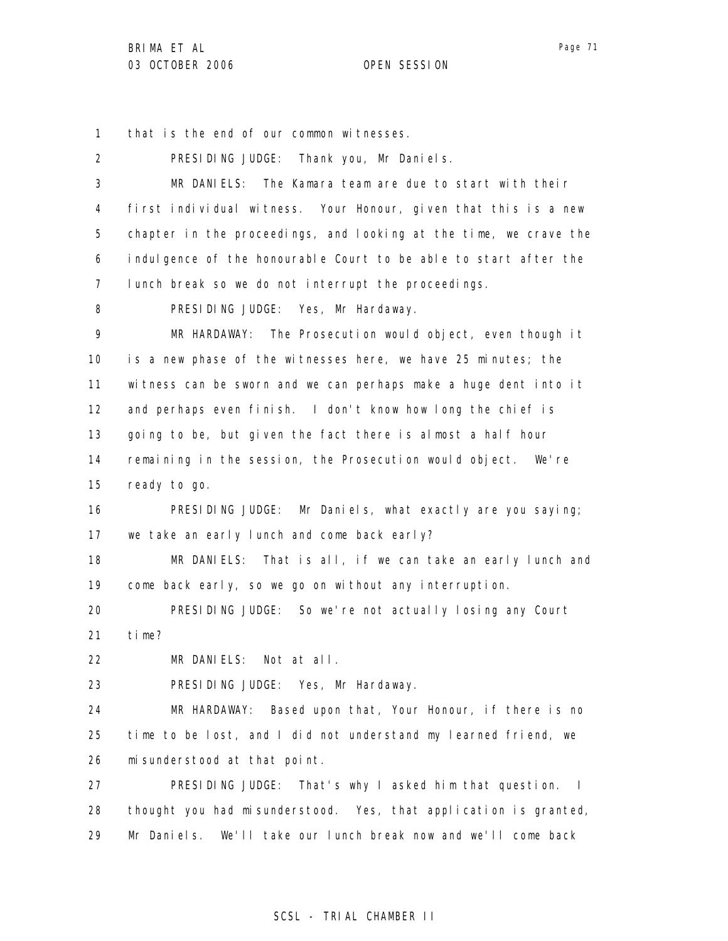1 that is the end of our common witnesses.

| $\overline{2}$ | PRESIDING JUDGE: Thank you, Mr Daniels.                           |
|----------------|-------------------------------------------------------------------|
| 3              | MR DANIELS: The Kamara team are due to start with their           |
| 4              | first individual witness. Your Honour, given that this is a new   |
| 5              | chapter in the proceedings, and looking at the time, we crave the |
| 6              | indulgence of the honourable Court to be able to start after the  |
| 7              | lunch break so we do not interrupt the proceedings.               |
| 8              | PRESIDING JUDGE: Yes, Mr Hardaway.                                |
| 9              | MR HARDAWAY: The Prosecution would object, even though it         |
| 10             | is a new phase of the witnesses here, we have 25 minutes; the     |
| 11             | witness can be sworn and we can perhaps make a huge dent into it  |
| 12             | and perhaps even finish. I don't know how long the chief is       |
| 13             | going to be, but given the fact there is almost a half hour       |
| 14             | remaining in the session, the Prosecution would object. We're     |
| 15             | ready to go.                                                      |
| 16             | PRESIDING JUDGE: Mr Daniels, what exactly are you saying;         |
| 17             | we take an early lunch and come back early?                       |
| 18             | MR DANIELS: That is all, if we can take an early lunch and        |
| 19             | come back early, so we go on without any interruption.            |
| 20             | PRESIDING JUDGE: So we're not actually losing any Court           |
| 21             | time?                                                             |
| 22             | MR DANIELS: Not at all.                                           |
| 23             | PRESIDING JUDGE: Yes, Mr Hardaway.                                |
| 24             | MR HARDAWAY:<br>Based upon that, Your Honour, if there is no      |
| 25             | time to be lost, and I did not understand my learned friend, we   |
| 26             | mi sunderstood at that point.                                     |
| 27             | PRESIDING JUDGE: That's why I asked him that question. I          |
| 28             | thought you had misunderstood. Yes, that application is granted,  |
| 29             | We'll take our lunch break now and we'll come back<br>Mr Daniels. |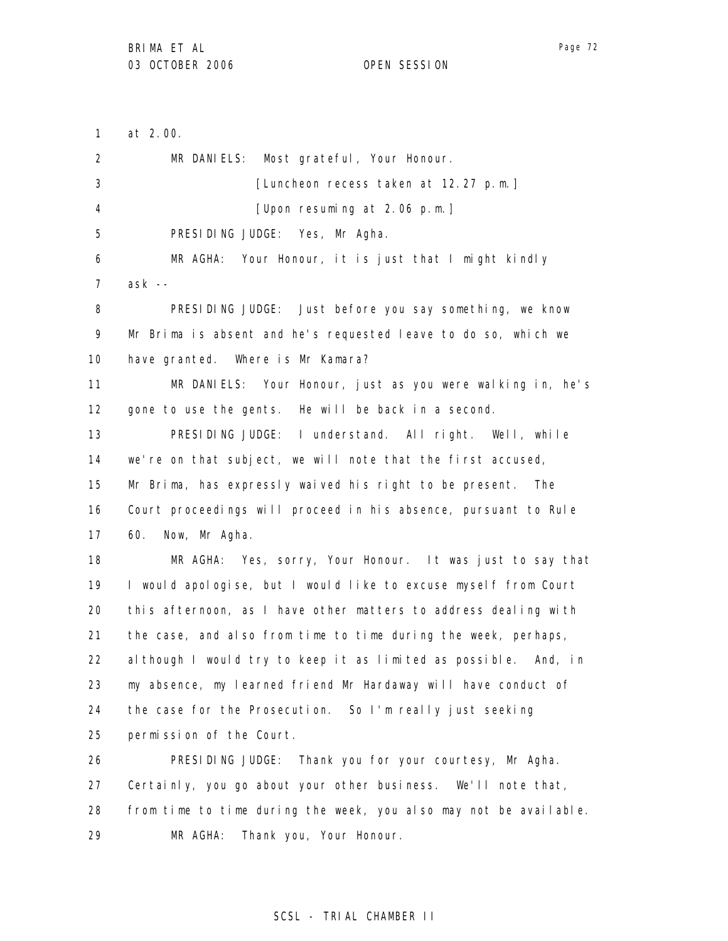29

Page 72

1 2 3 4 5 6 7 8 9 10 11 12 13 14 15 16 17 18 19 20 21 22 23 24 25 26 27 28 at 2.00. MR DANIELS: Most grateful, Your Honour. [Luncheon recess taken at 12.27 p.m.] [Upon resuming at 2.06 p.m.] PRESIDING JUDGE: Yes, Mr Agha. MR AGHA: Your Honour, it is just that I might kindly ask -- PRESIDING JUDGE: Just before you say something, we know Mr Brima is absent and he's requested leave to do so, which we have granted. Where is Mr Kamara? MR DANIELS: Your Honour, just as you were walking in, he's gone to use the gents. He will be back in a second. PRESIDING JUDGE: I understand. All right. Well, while we're on that subject, we will note that the first accused, Mr Brima, has expressly waived his right to be present. The Court proceedings will proceed in his absence, pursuant to Rule 60. Now, Mr Agha. MR AGHA: Yes, sorry, Your Honour. It was just to say that I would apologise, but I would like to excuse myself from Court this afternoon, as I have other matters to address dealing with the case, and also from time to time during the week, perhaps, although I would try to keep it as limited as possible. And, in my absence, my learned friend Mr Hardaway will have conduct of the case for the Prosecution. So I'm really just seeking permission of the Court. PRESIDING JUDGE: Thank you for your courtesy, Mr Agha. Certainly, you go about your other business. We'll note that, from time to time during the week, you also may not be available.

### SCSL - TRIAL CHAMBER II

MR AGHA: Thank you, Your Honour.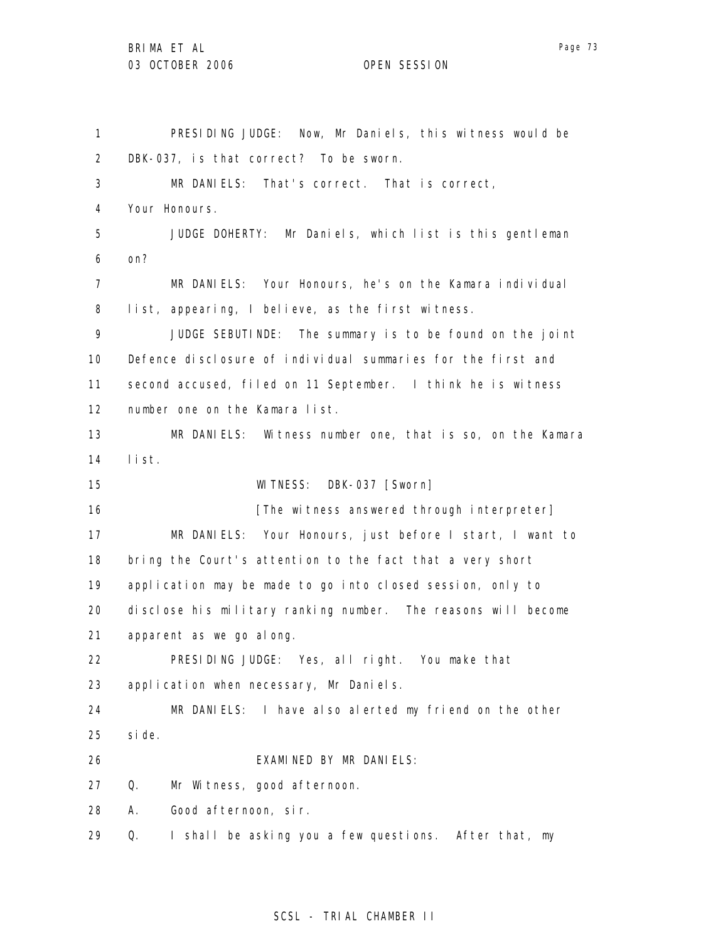1 2 3 4 5 6 7 8 9 10 11 12 13 14 15 16 17 18 19 20 21 22 23 24 25 26 27 28 29 PRESIDING JUDGE: Now, Mr Daniels, this witness would be DBK-037, is that correct? To be sworn. MR DANIELS: That's correct. That is correct, Your Honours. JUDGE DOHERTY: Mr Daniels, which list is this gentleman on? MR DANIELS: Your Honours, he's on the Kamara individual list, appearing, I believe, as the first witness. JUDGE SEBUTINDE: The summary is to be found on the joint Defence disclosure of individual summaries for the first and second accused, filed on 11 September. I think he is witness number one on the Kamara list. MR DANIELS: Witness number one, that is so, on the Kamara list. WITNESS: DBK-037 [Sworn] [The witness answered through interpreter] MR DANIELS: Your Honours, just before I start, I want to bring the Court's attention to the fact that a very short application may be made to go into closed session, only to disclose his military ranking number. The reasons will become apparent as we go along. PRESIDING JUDGE: Yes, all right. You make that application when necessary, Mr Daniels. MR DANIELS: I have also alerted my friend on the other side. EXAMINED BY MR DANIELS: Q. Mr Witness, good afternoon. A. Good afternoon, sir. Q. I shall be asking you a few questions. After that, my

### SCSL - TRIAL CHAMBER II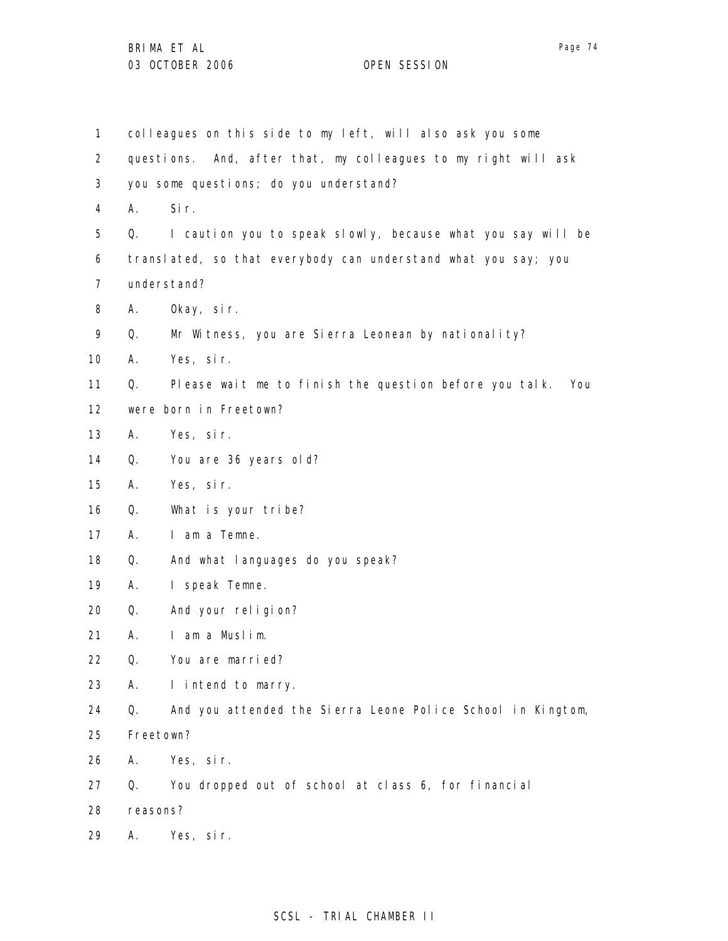| $\mathbf{1}$      |           | colleagues on this side to my left, will also ask you some     |
|-------------------|-----------|----------------------------------------------------------------|
| $\overline{2}$    |           | questions. And, after that, my colleagues to my right will ask |
| 3                 |           | you some questions; do you understand?                         |
| 4                 | А.        | Sir.                                                           |
| 5                 | Q.        | I caution you to speak slowly, because what you say will be    |
| 6                 |           | translated, so that everybody can understand what you say; you |
| 7                 |           | understand?                                                    |
| 8                 | Α.        | Okay, sir.                                                     |
| 9                 | Q.        | Mr Witness, you are Sierra Leonean by nationality?             |
| 10                | А.        | Yes, sir.                                                      |
| 11                | Q.        | Please wait me to finish the question before you talk.<br>You  |
| $12 \overline{ }$ |           | were born in Freetown?                                         |
| 13                | А.        | Yes, sir.                                                      |
| 14                | Q.        | You are 36 years old?                                          |
| 15                | А.        | Yes, sir.                                                      |
| 16                | Q.        | What is your tribe?                                            |
| 17                | А.        | I am a Temne.                                                  |
| 18                | Q.        | And what languages do you speak?                               |
| 19                | А.        | I speak Temne.                                                 |
| 20                | Q.        | And your religion?                                             |
| 21                | А.        | I am a Muslim.                                                 |
| 22                | Q.        | You are married?                                               |
| 23                | А.        | I intend to marry.                                             |
| 24                | Q.        | And you attended the Sierra Leone Police School in Kingtom,    |
| 25                | Freetown? |                                                                |
| 26                | Α.        | Yes, sir.                                                      |
| 27                | Q.        | You dropped out of school at class 6, for financial            |
| 28                | reasons?  |                                                                |
| 29                | Α.        | Yes, sir.                                                      |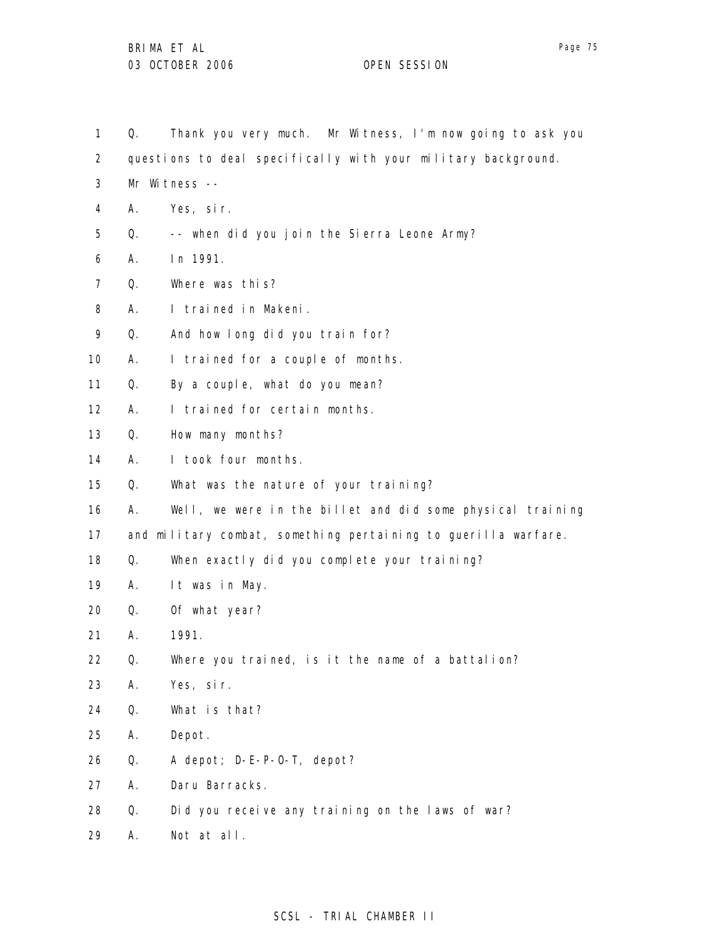- 1 Q. Thank you very much. Mr Witness, I'm now going to ask you
- 2 questions to deal specifically with your military background.
- 3 Mr Witness --
- 4 A. Yes, sir.
- 5 Q. -- when did you join the Sierra Leone Army?
- 6 A. In 1991.
- 7 Q. Where was this?
- 8 A. I trained in Makeni.
- 9 Q. And how long did you train for?
- 10 A. I trained for a couple of months.
- 11 Q. By a couple, what do you mean?
- 12 A. I trained for certain months.
- 13 Q. How many months?
- 14 A. I took four months.
- 15 Q. What was the nature of your training?
- 16 A. Well, we were in the billet and did some physical training
- 17 and military combat, something pertaining to guerilla warfare.
- 18 Q. When exactly did you complete your training?
- 19 A. It was in May.
- 20 Q. Of what year?
- 21 A. 1991.
- 22 Q. Where you trained, is it the name of a battalion?
- 23 A. Yes, sir.
- 24 Q. What is that?
- 25 A. Depot.
- 26 Q. A depot; D-E-P-O-T, depot?
- 27 A. Daru Barracks.
- 28 Q. Did you receive any training on the laws of war?
- 29 A. Not at all.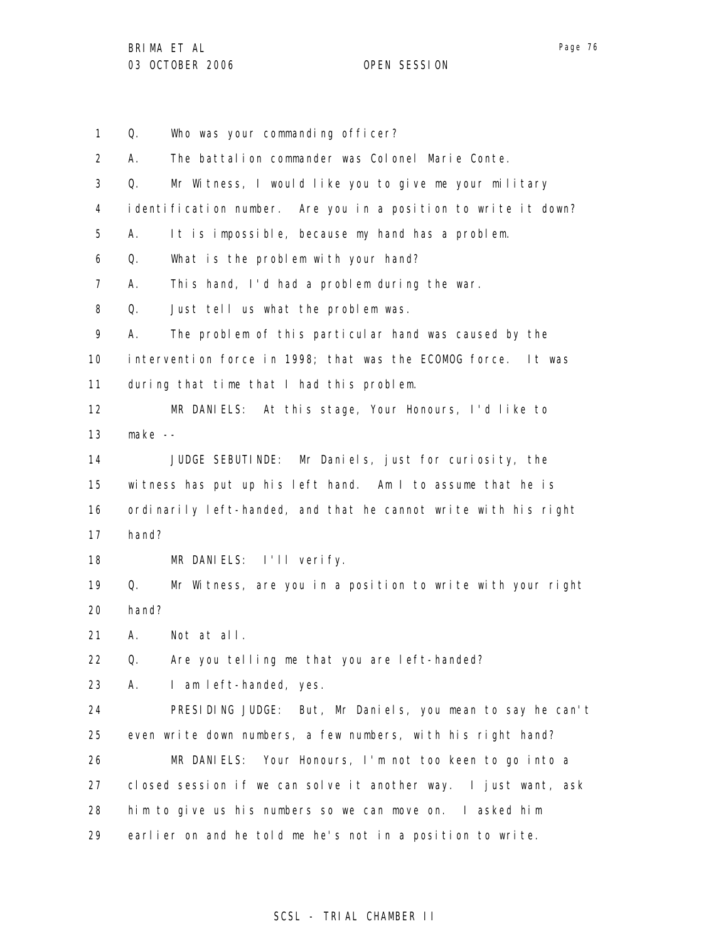1 2 3 4 5 6 7 8 9 10 11 12 13 14 15 16 17 18 19 20 21 22 23 24 25 26 27 28 29 Q. Who was your commanding officer? A. The battalion commander was Colonel Marie Conte. Q. Mr Witness, I would like you to give me your military identification number. Are you in a position to write it down? A. It is impossible, because my hand has a problem. Q. What is the problem with your hand? A. This hand, I'd had a problem during the war. Q. Just tell us what the problem was. A. The problem of this particular hand was caused by the intervention force in 1998; that was the ECOMOG force. It was during that time that I had this problem. MR DANIELS: At this stage, Your Honours, I'd like to make -- JUDGE SEBUTINDE: Mr Daniels, just for curiosity, the witness has put up his left hand. Am I to assume that he is ordinarily left-handed, and that he cannot write with his right hand? MR DANIELS: I'll verify. Q. Mr Witness, are you in a position to write with your right hand? A. Not at all. Q. Are you telling me that you are left-handed? A. I am left-handed, yes. PRESIDING JUDGE: But, Mr Daniels, you mean to say he can't even write down numbers, a few numbers, with his right hand? MR DANIELS: Your Honours, I'm not too keen to go into a closed session if we can solve it another way. I just want, ask him to give us his numbers so we can move on. I asked him earlier on and he told me he's not in a position to write.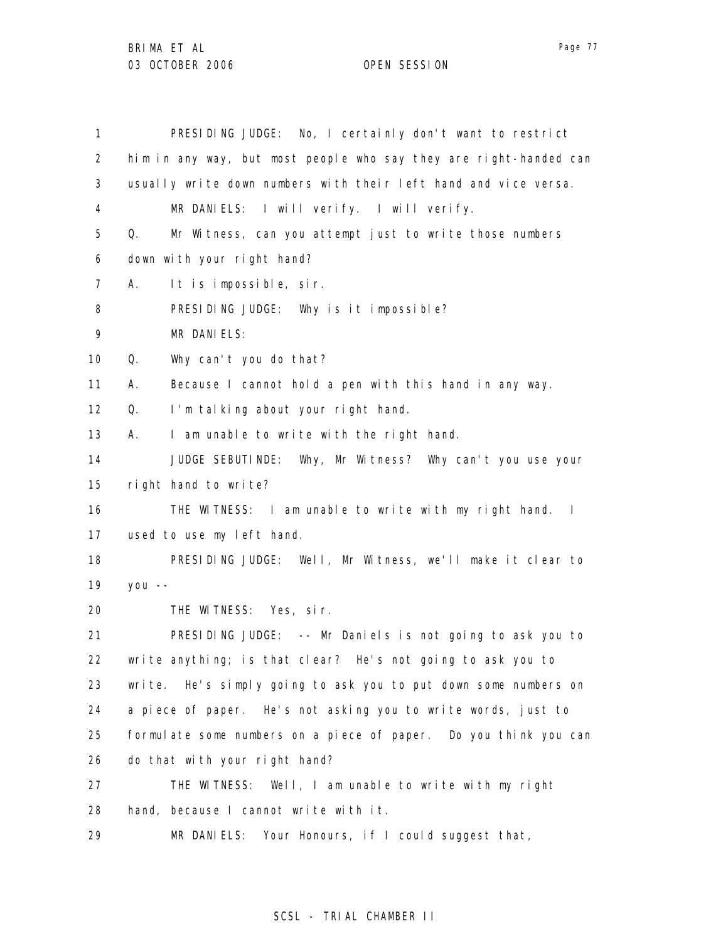| $\mathbf{1}$      | PRESIDING JUDGE: No, I certainly don't want to restrict           |
|-------------------|-------------------------------------------------------------------|
| $\overline{2}$    | him in any way, but most people who say they are right-handed can |
| 3                 | usually write down numbers with their left hand and vice versa.   |
| 4                 | MR DANIELS: I will verify. I will verify.                         |
| 5                 | Mr Witness, can you attempt just to write those numbers<br>Q.     |
| 6                 | down with your right hand?                                        |
| 7                 | It is impossible, sir.<br>А.                                      |
| 8                 | PRESIDING JUDGE: Why is it impossible?                            |
| 9                 | MR DANIELS:                                                       |
| 10                | Q.<br>Why can't you do that?                                      |
| 11                | А.<br>Because I cannot hold a pen with this hand in any way.      |
| $12 \overline{ }$ | I'm talking about your right hand.<br>Q.                          |
| 13                | I am unable to write with the right hand.<br>А.                   |
| 14                | JUDGE SEBUTINDE: Why, Mr Witness? Why can't you use your          |
| 15                | right hand to write?                                              |
| 16                | THE WITNESS: I am unable to write with my right hand. I           |
| 17                | used to use my left hand.                                         |
| 18                | PRESIDING JUDGE: Well, Mr Witness, we'll make it clear to         |
| 19                | $you --$                                                          |
| 20                | THE WITNESS: Yes, sir.                                            |
| 21                | PRESIDING JUDGE: -- Mr Daniels is not going to ask you to         |
| 22                | write anything; is that clear? He's not going to ask you to       |
| 23                | write. He's simply going to ask you to put down some numbers on   |
| 24                | a piece of paper. He's not asking you to write words, just to     |
| 25                | formulate some numbers on a piece of paper. Do you think you can  |
| 26                | do that with your right hand?                                     |
| 27                | THE WITNESS: Well, I am unable to write with my right             |
| 28                | hand, because I cannot write with it.                             |
| 29                | MR DANIELS: Your Honours, if I could suggest that,                |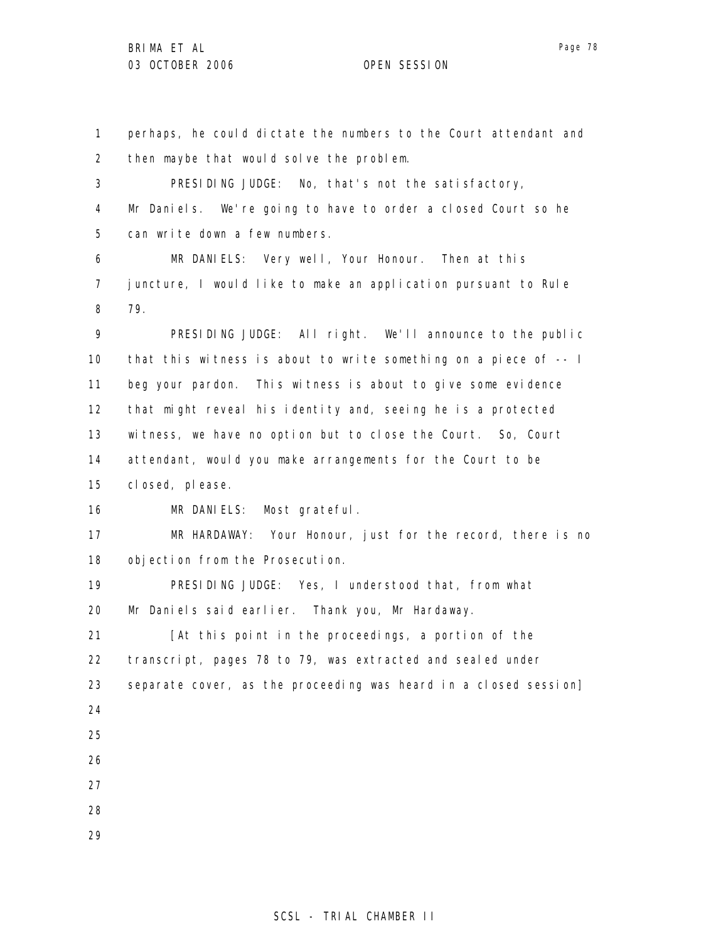1 2 3 4 5 6 7 8 9 10 11 12 13 14 15 16 17 18 19 20 21 22 23 24 25 26 27 28 29 perhaps, he could dictate the numbers to the Court attendant and then maybe that would solve the problem. PRESIDING JUDGE: No, that's not the satisfactory, Mr Daniels. We're going to have to order a closed Court so he can write down a few numbers. MR DANIELS: Very well, Your Honour. Then at this juncture, I would like to make an application pursuant to Rule 79. PRESIDING JUDGE: All right. We'll announce to the public that this witness is about to write something on a piece of -- I beg your pardon. This witness is about to give some evidence that might reveal his identity and, seeing he is a protected witness, we have no option but to close the Court. So, Court attendant, would you make arrangements for the Court to be closed, please. MR DANIELS: Most grateful. MR HARDAWAY: Your Honour, just for the record, there is no objection from the Prosecution. PRESIDING JUDGE: Yes, I understood that, from what Mr Daniels said earlier. Thank you, Mr Hardaway. [At this point in the proceedings, a portion of the transcript, pages 78 to 79, was extracted and sealed under separate cover, as the proceeding was heard in a closed session]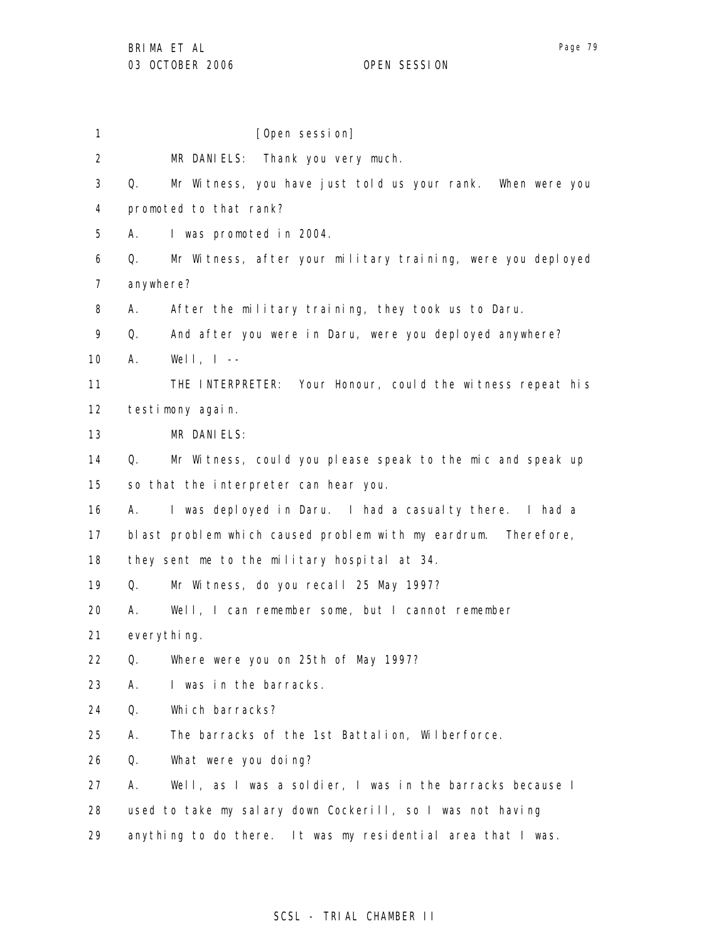1 2 3 4 5 6 7 8 9 10 11 12 13 14 15 16 17 18 19 20 21 22 23 24 25 26 27 28 29 [Open session] MR DANIELS: Thank you very much. Q. Mr Witness, you have just told us your rank. When were you promoted to that rank? A. I was promoted in 2004. Q. Mr Witness, after your military training, were you deployed anywhere? A. After the military training, they took us to Daru. Q. And after you were in Daru, were you deployed anywhere? A. Well, I -- THE INTERPRETER: Your Honour, could the witness repeat his testimony again. MR DANIELS: Q. Mr Witness, could you please speak to the mic and speak up so that the interpreter can hear you. A. I was deployed in Daru. I had a casualty there. I had a blast problem which caused problem with my eardrum. Therefore, they sent me to the military hospital at 34. Q. Mr Witness, do you recall 25 May 1997? A. Well, I can remember some, but I cannot remember everything. Q. Where were you on 25th of May 1997? A. I was in the barracks. Q. Which barracks? A. The barracks of the 1st Battalion, Wilberforce. Q. What were you doing? A. Well, as I was a soldier, I was in the barracks because I used to take my salary down Cockerill, so I was not having anything to do there. It was my residential area that I was.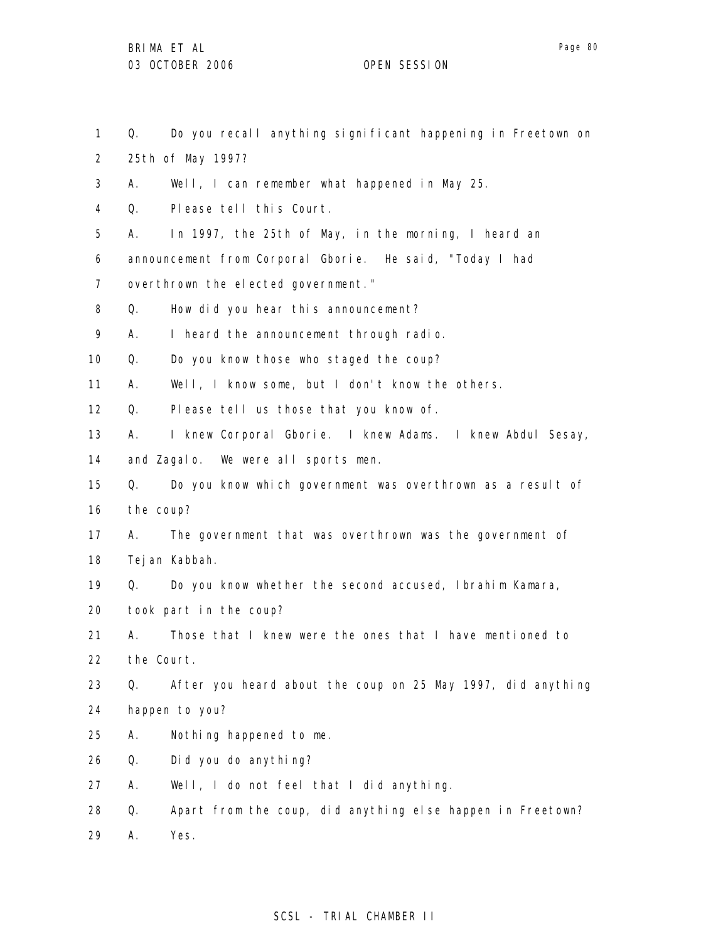1 2 3 4 5 6 7 8 9 10 11 12 13 14 15 16 17 18 19 20 21 22 23 24 25 26 27 28 Q. Do you recall anything significant happening in Freetown on 25th of May 1997? A. Well, I can remember what happened in May 25. Q. Please tell this Court. A. In 1997, the 25th of May, in the morning, I heard an announcement from Corporal Gborie. He said, "Today I had overthrown the elected government." Q. How did you hear this announcement? A. I heard the announcement through radio. Q. Do you know those who staged the coup? A. Well, I know some, but I don't know the others. Q. Please tell us those that you know of. A. I knew Corporal Gborie. I knew Adams. I knew Abdul Sesay, and Zagalo. We were all sports men. Q. Do you know which government was overthrown as a result of the coup? A. The government that was overthrown was the government of Tejan Kabbah. Q. Do you know whether the second accused, Ibrahim Kamara, took part in the coup? A. Those that I knew were the ones that I have mentioned to the Court. Q. After you heard about the coup on 25 May 1997, did anything happen to you? A. Nothing happened to me. Q. Did you do anything? A. Well, I do not feel that I did anything. Q. Apart from the coup, did anything else happen in Freetown?

29 A. Yes.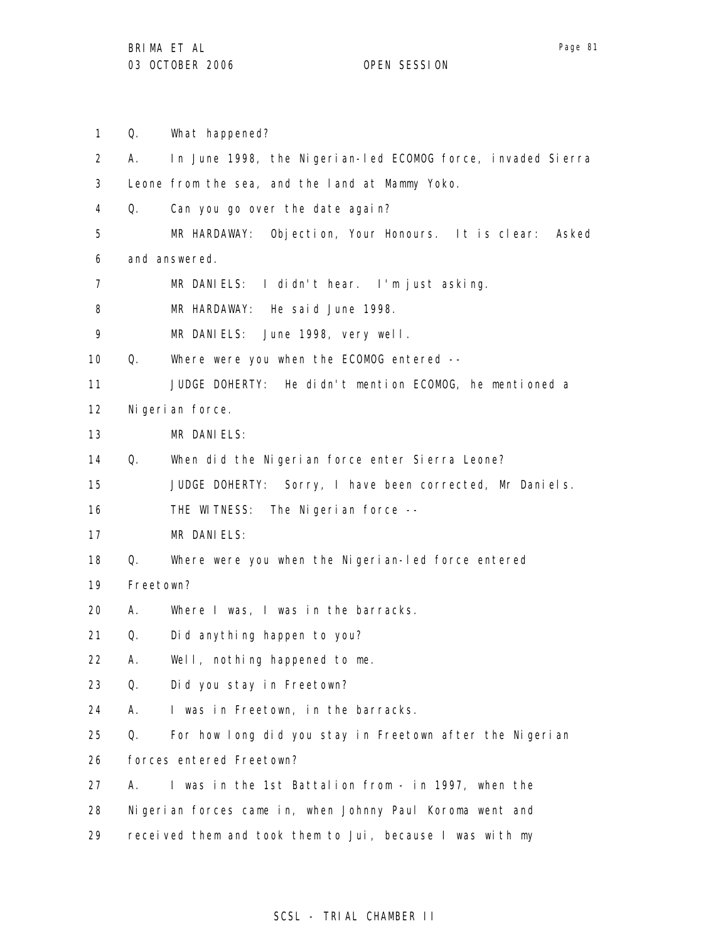1 Q. What happened?

2 3 4 5 6 7 8 9 10 11 12 13 14 15 16 17 18 19 20 21 22 23 24 25 26 27 28 29 A. In June 1998, the Nigerian-led ECOMOG force, invaded Sierra Leone from the sea, and the land at Mammy Yoko. Q. Can you go over the date again? MR HARDAWAY: Objection, Your Honours. It is clear: Asked and answered. MR DANIELS: I didn't hear. I'm just asking. MR HARDAWAY: He said June 1998. MR DANIELS: June 1998, very well. Q. Where were you when the ECOMOG entered -- JUDGE DOHERTY: He didn't mention ECOMOG, he mentioned a Nigerian force. MR DANIELS: Q. When did the Nigerian force enter Sierra Leone? JUDGE DOHERTY: Sorry, I have been corrected, Mr Daniels. THE WITNESS: The Nigerian force --MR DANIELS: Q. Where were you when the Nigerian-led force entered Freetown? A. Where I was, I was in the barracks. Q. Did anything happen to you? A. Well, nothing happened to me. Q. Did you stay in Freetown? A. I was in Freetown, in the barracks. Q. For how long did you stay in Freetown after the Nigerian forces entered Freetown? A. I was in the 1st Battalion from - in 1997, when the Nigerian forces came in, when Johnny Paul Koroma went and received them and took them to Jui, because I was with my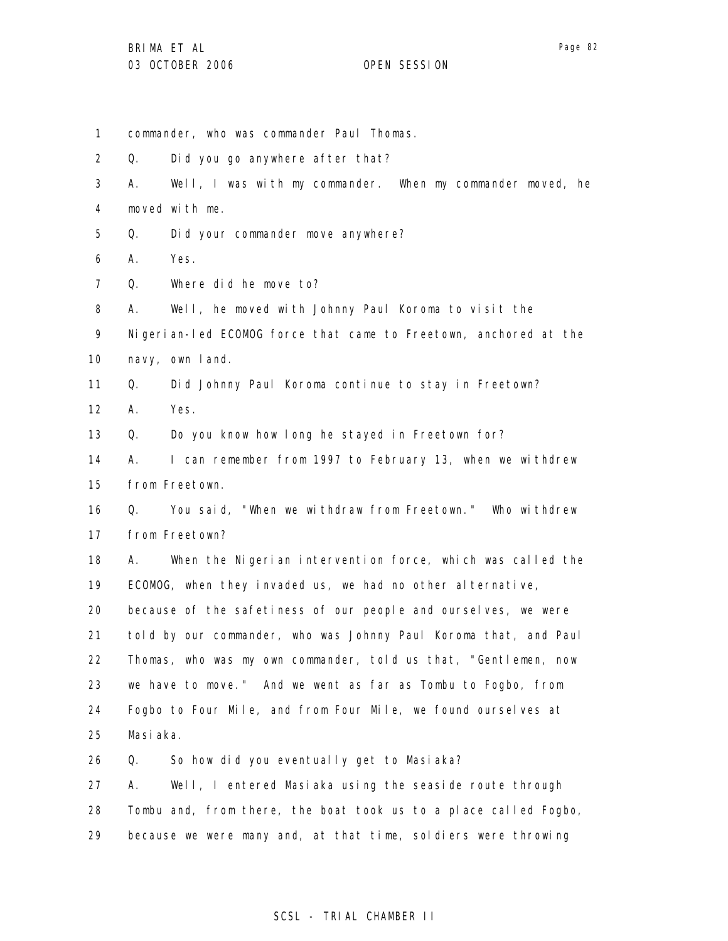1 2 3 4 5 6 7 8 9 10 11 12 13 14 15 16 17 18 19 20 21 22 23 24 25 26 27 28 29 commander, who was commander Paul Thomas. Q. Did you go anywhere after that? A. Well, I was with my commander. When my commander moved, he moved with me. Q. Did your commander move anywhere? A. Yes. Q. Where did he move to? A. Well, he moved with Johnny Paul Koroma to visit the Nigerian-led ECOMOG force that came to Freetown, anchored at the navy, own land. Q. Did Johnny Paul Koroma continue to stay in Freetown? A. Yes. Q. Do you know how long he stayed in Freetown for? A. I can remember from 1997 to February 13, when we withdrew from Freetown. Q. You said, "When we withdraw from Freetown." Who withdrew from Freetown? A. When the Nigerian intervention force, which was called the ECOMOG, when they invaded us, we had no other alternative, because of the safetiness of our people and ourselves, we were told by our commander, who was Johnny Paul Koroma that, and Paul Thomas, who was my own commander, told us that, "Gentlemen, now we have to move." And we went as far as Tombu to Fogbo, from Fogbo to Four Mile, and from Four Mile, we found ourselves at Masiaka. Q. So how did you eventually get to Masiaka? A. Well, I entered Masiaka using the seaside route through Tombu and, from there, the boat took us to a place called Fogbo, because we were many and, at that time, soldiers were throwing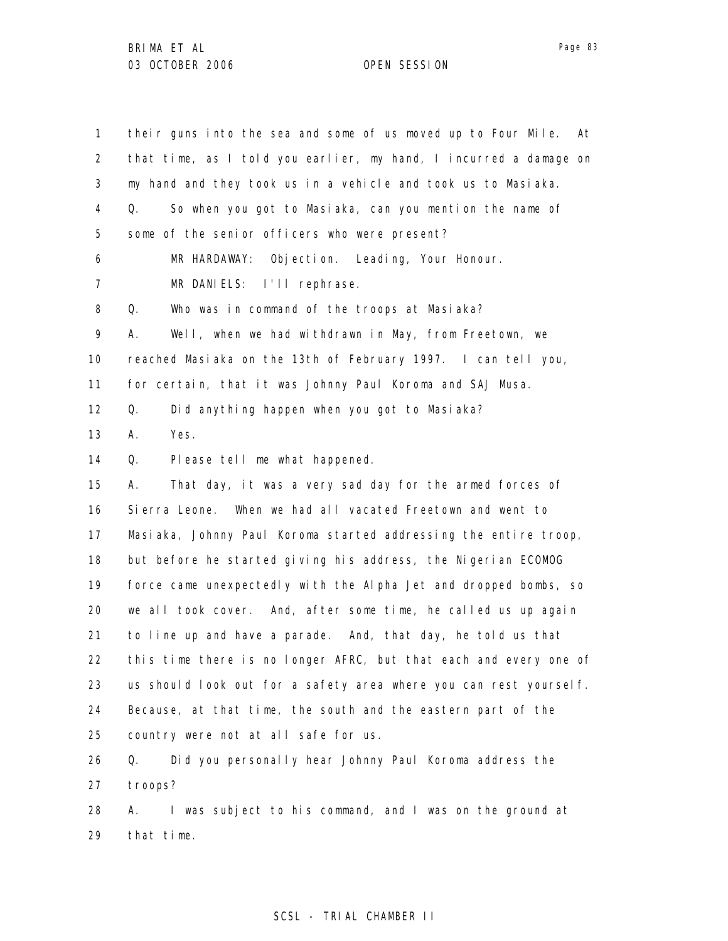| 1                 | their guns into the sea and some of us moved up to Four Mile.<br>At |
|-------------------|---------------------------------------------------------------------|
| $\overline{2}$    | that time, as I told you earlier, my hand, I incurred a damage on   |
| 3                 | my hand and they took us in a vehicle and took us to Masiaka.       |
| 4                 | So when you got to Masiaka, can you mention the name of<br>Q.       |
| 5                 | some of the senior officers who were present?                       |
| 6                 | Objection. Leading, Your Honour.<br>MR HARDAWAY:                    |
| 7                 | MR DANIELS: I'll rephrase.                                          |
| 8                 | Who was in command of the troops at Masiaka?<br>Q.                  |
| 9                 | Well, when we had withdrawn in May, from Freetown, we<br>А.         |
| 10                | reached Masiaka on the 13th of February 1997. I can tell you,       |
| 11                | for certain, that it was Johnny Paul Koroma and SAJ Musa.           |
| $12 \overline{ }$ | Did anything happen when you got to Masiaka?<br>Q.                  |
| 13                | Yes.<br>А.                                                          |
| 14                | Q.<br>Please tell me what happened.                                 |
| 15                | That day, it was a very sad day for the armed forces of<br>А.       |
| 16                | Sierra Leone. When we had all vacated Freetown and went to          |
| 17                | Masiaka, Johnny Paul Koroma started addressing the entire troop,    |
| 18                | but before he started giving his address, the Nigerian ECOMOG       |
| 19                | force came unexpectedly with the Alpha Jet and dropped bombs, so    |
| 20                | we all took cover. And, after some time, he called us up again      |
| 21                | to line up and have a parade. And, that day, he told us that        |
| 22                | this time there is no longer AFRC, but that each and every one of   |
| 23                | us should look out for a safety area where you can rest yourself.   |
| 24                | Because, at that time, the south and the eastern part of the        |
| 25                | country were not at all safe for us.                                |
| 26                | Did you personally hear Johnny Paul Koroma address the<br>Q.        |
| 27                | troops?                                                             |
| 28                | I was subject to his command, and I was on the ground at<br>А.      |
| 29                | that time.                                                          |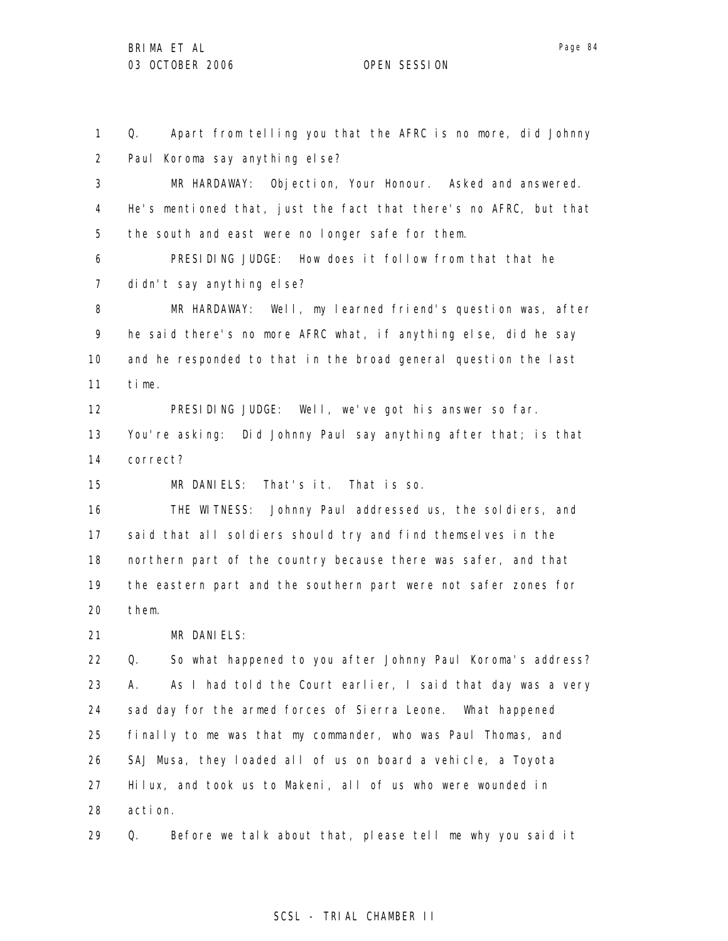1 2 Q. Apart from telling you that the AFRC is no more, did Johnny Paul Koroma say anything else?

3 4 5 MR HARDAWAY: Objection, Your Honour. Asked and answered. He's mentioned that, just the fact that there's no AFRC, but that the south and east were no longer safe for them.

6 7 PRESIDING JUDGE: How does it follow from that that he didn't say anything else?

8 9 10 11 MR HARDAWAY: Well, my learned friend's question was, after he said there's no more AFRC what, if anything else, did he say and he responded to that in the broad general question the last time.

12 13 14 PRESIDING JUDGE: Well, we've got his answer so far. You're asking: Did Johnny Paul say anything after that; is that correct?

15 MR DANIELS: That's it. That is so.

16 17 18 19 20 THE WITNESS: Johnny Paul addressed us, the soldiers, and said that all soldiers should try and find themselves in the northern part of the country because there was safer, and that the eastern part and the southern part were not safer zones for them.

21 MR DANIELS:

22 23 24 25 26 27 28 Q. So what happened to you after Johnny Paul Koroma's address? A. As I had told the Court earlier, I said that day was a very sad day for the armed forces of Sierra Leone. What happened finally to me was that my commander, who was Paul Thomas, and SAJ Musa, they loaded all of us on board a vehicle, a Toyota Hilux, and took us to Makeni, all of us who were wounded in action.

29 Q. Before we talk about that, please tell me why you said it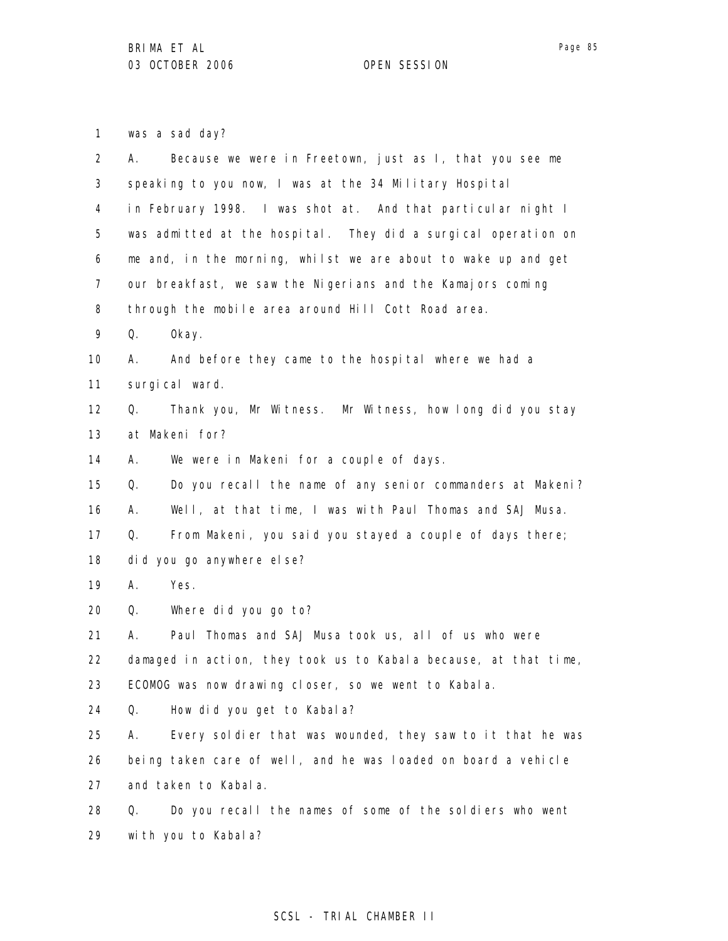1 was a sad day?

| $\overline{2}$ | Because we were in Freetown, just as I, that you see me<br>А.    |
|----------------|------------------------------------------------------------------|
| 3              | speaking to you now, I was at the 34 Military Hospital           |
| 4              | in February 1998. I was shot at. And that particular night I     |
| 5              | was admitted at the hospital. They did a surgical operation on   |
| 6              | me and, in the morning, whilst we are about to wake up and get   |
| 7              | our breakfast, we saw the Nigerians and the Kamajors coming      |
| 8              | through the mobile area around Hill Cott Road area.              |
| 9              | Q.<br>0kay.                                                      |
| 10             | And before they came to the hospital where we had a<br>А.        |
| 11             | surgical ward.                                                   |
| 12             | Thank you, Mr Witness. Mr Witness, how long did you stay<br>Q.   |
| 13             | at Makeni for?                                                   |
| 14             | We were in Makeni for a couple of days.<br>А.                    |
| 15             | Do you recall the name of any senior commanders at Makeni?<br>Q. |
| 16             | Well, at that time, I was with Paul Thomas and SAJ Musa.<br>А.   |
| 17             | From Makeni, you said you stayed a couple of days there;<br>Q.   |
| 18             | did you go anywhere else?                                        |
| 19             | Yes.<br>А.                                                       |
| 20             | Q.<br>Where did you go to?                                       |
| 21             | Paul Thomas and SAJ Musa took us, all of us who were<br>А.       |
| 22             | damaged in action, they took us to Kabala because, at that time, |
| 23             | ECOMOG was now drawing closer, so we went to Kabala.             |
| 24             | How did you get to Kabala?<br>Q.                                 |
| 25             | Every soldier that was wounded, they saw to it that he was<br>А. |
| 26             | being taken care of well, and he was loaded on board a vehicle   |
| 27             | and taken to Kabala.                                             |
| 28             | Do you recall the names of some of the soldiers who went<br>Q.   |
| 29             | with you to Kabala?                                              |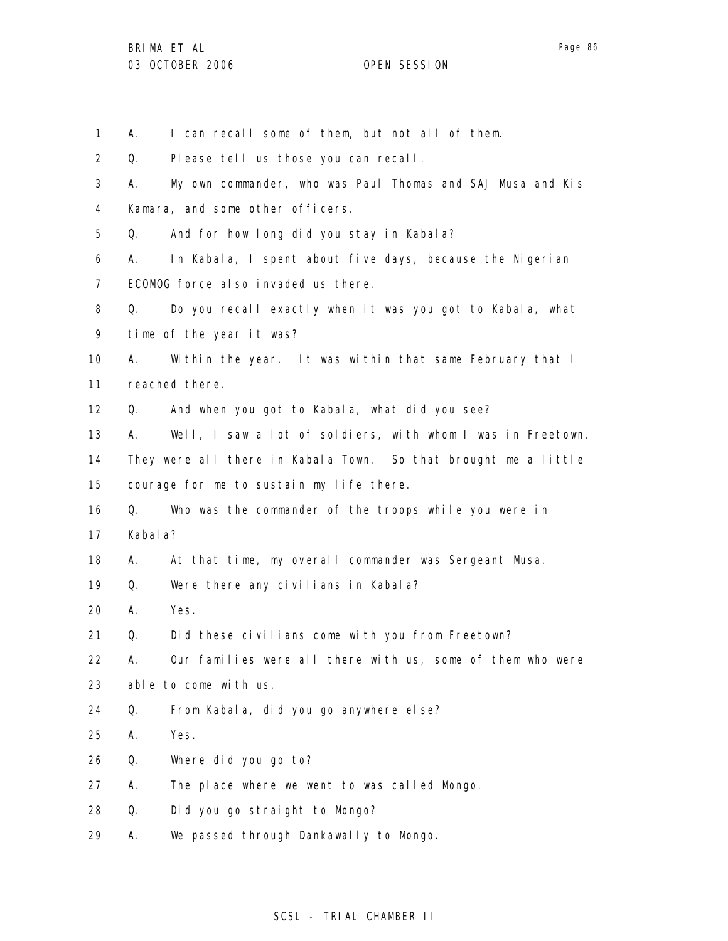1 2 3 4 5 6 7 8 9 10 11 12 13 14 15 16 17 18 19 20 21 22 23 24 25 26 27 28 29 A. I can recall some of them, but not all of them. Q. Please tell us those you can recall. A. My own commander, who was Paul Thomas and SAJ Musa and Kis Kamara, and some other officers. Q. And for how long did you stay in Kabala? A. In Kabala, I spent about five days, because the Nigerian ECOMOG force also invaded us there. Q. Do you recall exactly when it was you got to Kabala, what time of the year it was? A. Within the year. It was within that same February that I reached there. Q. And when you got to Kabala, what did you see? A. Well, I saw a lot of soldiers, with whom I was in Freetown. They were all there in Kabala Town. So that brought me a little courage for me to sustain my life there. Q. Who was the commander of the troops while you were in Kabala? A. At that time, my overall commander was Sergeant Musa. Q. Were there any civilians in Kabala? A. Yes. Q. Did these civilians come with you from Freetown? A. Our families were all there with us, some of them who were able to come with us. Q. From Kabala, did you go anywhere else? A. Yes. Q. Where did you go to? A. The place where we went to was called Mongo. Q. Did you go straight to Mongo? A. We passed through Dankawally to Mongo.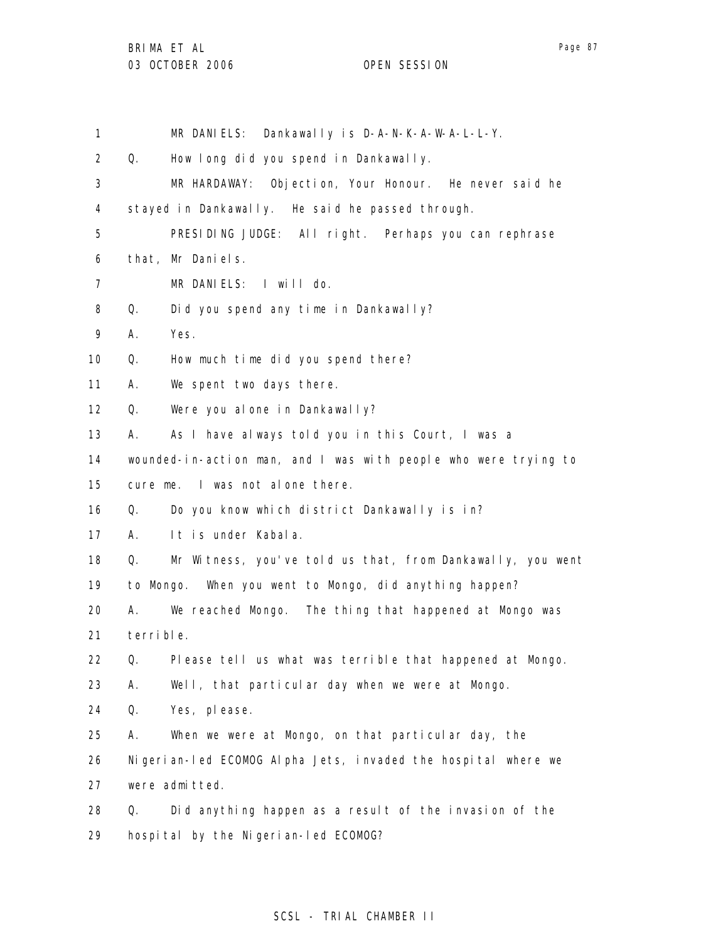1 2 3 4 5 6 7 8 9 10 11 12 13 14 15 16 17 18 19 20 21 22 23 24 25 26 27 28 29 MR DANIELS: Dankawally is D-A-N-K-A-W-A-L-L-Y. Q. How long did you spend in Dankawally. MR HARDAWAY: Objection, Your Honour. He never said he stayed in Dankawally. He said he passed through. PRESIDING JUDGE: All right. Perhaps you can rephrase that, Mr Daniels. MR DANIELS: I will do. Q. Did you spend any time in Dankawally? A. Yes. Q. How much time did you spend there? A. We spent two days there. Q. Were you alone in Dankawally? A. As I have always told you in this Court, I was a wounded-in-action man, and I was with people who were trying to cure me. I was not alone there. Q. Do you know which district Dankawally is in? A. It is under Kabala. Q. Mr Witness, you've told us that, from Dankawally, you went to Mongo. When you went to Mongo, did anything happen? A. We reached Mongo. The thing that happened at Mongo was terrible. Q. Please tell us what was terrible that happened at Mongo. A. Well, that particular day when we were at Mongo. Q. Yes, please. A. When we were at Mongo, on that particular day, the Nigerian-led ECOMOG Alpha Jets, invaded the hospital where we were admitted. Q. Did anything happen as a result of the invasion of the hospital by the Nigerian-led ECOMOG?

## SCSL - TRIAL CHAMBER II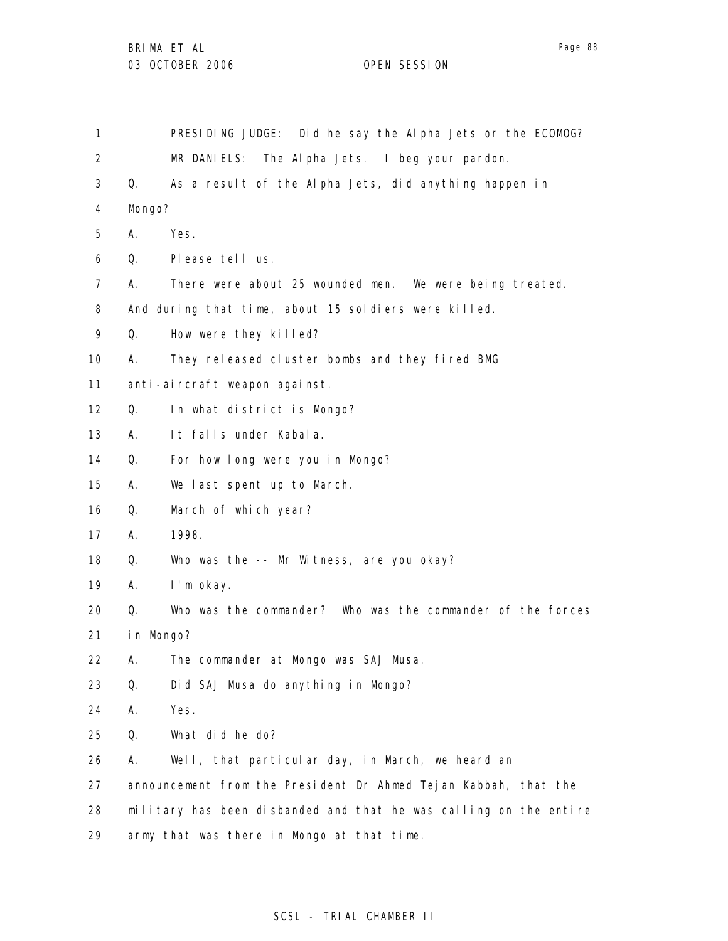1 2 3 4 5 6 7 8 9 10 11 12 13 14 15 16 17 18 19 20 21 22 23 24 25 26 27 28 29 PRESIDING JUDGE: Did he say the Alpha Jets or the ECOMOG? MR DANIELS: The Alpha Jets. I beg your pardon. Q. As a result of the Alpha Jets, did anything happen in Mongo? A. Yes. Q. Please tell us. A. There were about 25 wounded men. We were being treated. And during that time, about 15 soldiers were killed. Q. How were they killed? A. They released cluster bombs and they fired BMG anti-aircraft weapon against. Q. In what district is Mongo? A. It falls under Kabala. Q. For how long were you in Mongo? A. We last spent up to March. Q. March of which year? A. 1998. Q. Who was the -- Mr Witness, are you okay? A. I'm okay. Q. Who was the commander? Who was the commander of the forces in Mongo? A. The commander at Mongo was SAJ Musa. Q. Did SAJ Musa do anything in Mongo? A. Yes. Q. What did he do? A. Well, that particular day, in March, we heard an announcement from the President Dr Ahmed Tejan Kabbah, that the military has been disbanded and that he was calling on the entire army that was there in Mongo at that time.

### SCSL - TRIAL CHAMBER II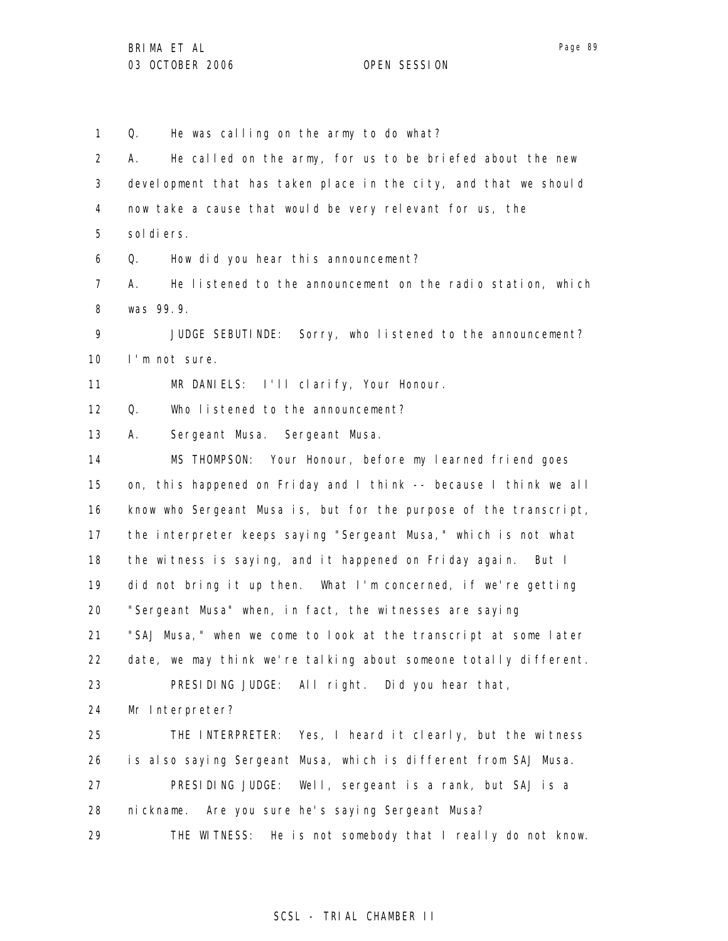1 2 3 4 5 6 7 8 9 10 11 12 13 14 15 16 17 18 19 20 21 22 23 24 25 26 27 28 29 Q. He was calling on the army to do what? A. He called on the army, for us to be briefed about the new development that has taken place in the city, and that we should now take a cause that would be very relevant for us, the sol di ers. Q. How did you hear this announcement? A. He listened to the announcement on the radio station, which was 99.9. JUDGE SEBUTINDE: Sorry, who listened to the announcement? I'm not sure. MR DANIELS: I'll clarify, Your Honour. Q. Who listened to the announcement? A. Sergeant Musa. Sergeant Musa. MS THOMPSON: Your Honour, before my learned friend goes on, this happened on Friday and I think -- because I think we all know who Sergeant Musa is, but for the purpose of the transcript, the interpreter keeps saying "Sergeant Musa," which is not what the witness is saying, and it happened on Friday again. But I did not bring it up then. What I'm concerned, if we're getting "Sergeant Musa" when, in fact, the witnesses are saying "SAJ Musa," when we come to look at the transcript at some later date, we may think we're talking about someone totally different. PRESIDING JUDGE: All right. Did you hear that, Mr Interpreter? THE INTERPRETER: Yes, I heard it clearly, but the witness is also saying Sergeant Musa, which is different from SAJ Musa. PRESIDING JUDGE: Well, sergeant is a rank, but SAJ is a nickname. Are you sure he's saying Sergeant Musa? THE WITNESS: He is not somebody that I really do not know.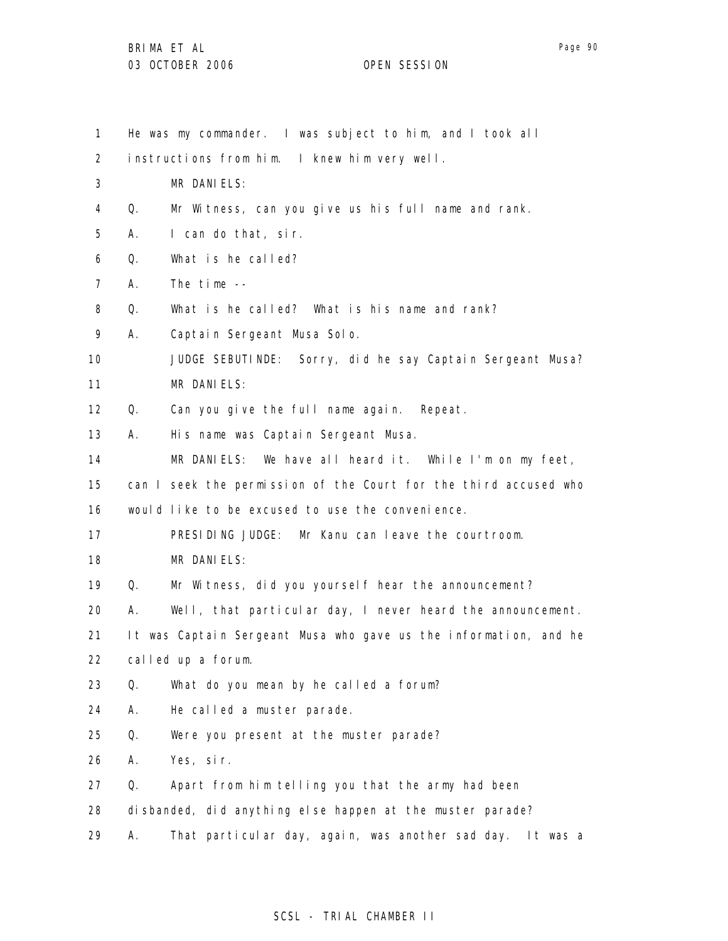Page 90

1 2 3 4 5 6 7 8 9 10 11 12 13 14 15 16 17 18 19 20 21 22 23 24 25 26 27 28 29 He was my commander. I was subject to him, and I took all instructions from him. I knew him very well. MR DANIELS: Q. Mr Witness, can you give us his full name and rank. A. I can do that, sir. Q. What is he called? A. The time -- Q. What is he called? What is his name and rank? A. Captain Sergeant Musa Solo. JUDGE SEBUTINDE: Sorry, did he say Captain Sergeant Musa? MR DANIELS: Q. Can you give the full name again. Repeat. A. His name was Captain Sergeant Musa. MR DANIELS: We have all heard it. While I'm on my feet, can I seek the permission of the Court for the third accused who would like to be excused to use the convenience. PRESIDING JUDGE: Mr Kanu can leave the courtroom. MR DANIELS: Q. Mr Witness, did you yourself hear the announcement? A. Well, that particular day, I never heard the announcement. It was Captain Sergeant Musa who gave us the information, and he called up a forum. Q. What do you mean by he called a forum? A. He called a muster parade. Q. Were you present at the muster parade? A. Yes, sir. Q. Apart from him telling you that the army had been disbanded, did anything else happen at the muster parade? A. That particular day, again, was another sad day. It was a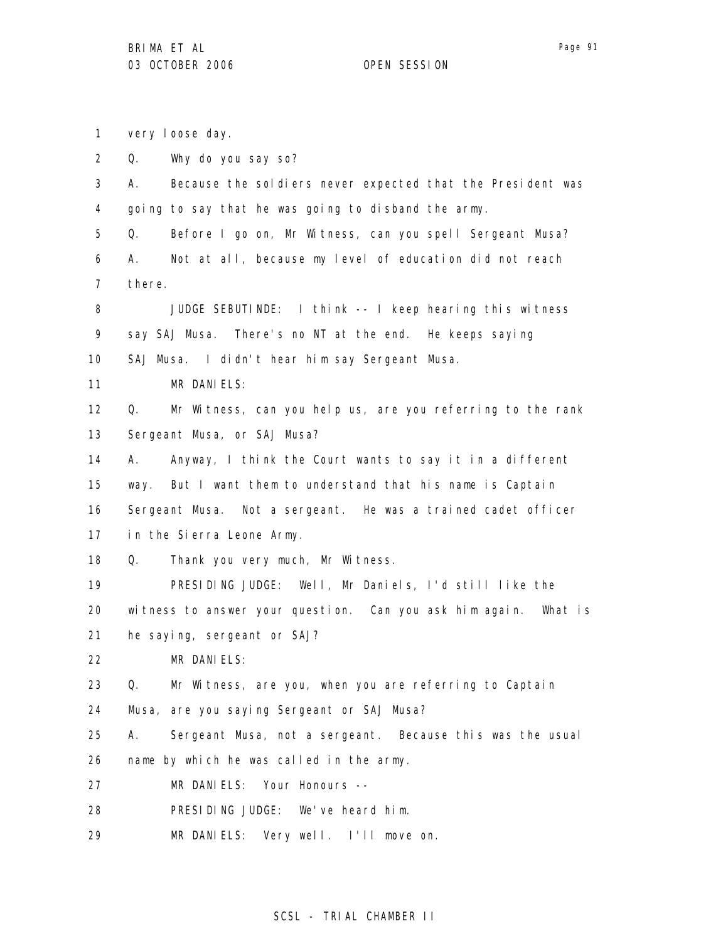1 2 3 4 5 6 7 8 9 10 11 12 13 14 15 16 17 18 19 20 21 22 23 24 25 26 27 28 29 very loose day. Q. Why do you say so? A. Because the soldiers never expected that the President was going to say that he was going to disband the army. Q. Before I go on, Mr Witness, can you spell Sergeant Musa? A. Not at all, because my level of education did not reach there. JUDGE SEBUTINDE: I think -- I keep hearing this witness say SAJ Musa. There's no NT at the end. He keeps saying SAJ Musa. I didn't hear him say Sergeant Musa. MR DANIELS: Q. Mr Witness, can you help us, are you referring to the rank Sergeant Musa, or SAJ Musa? A. Anyway, I think the Court wants to say it in a different way. But I want them to understand that his name is Captain Sergeant Musa. Not a sergeant. He was a trained cadet officer in the Sierra Leone Army. Q. Thank you very much, Mr Witness. PRESIDING JUDGE: Well, Mr Daniels, I'd still like the witness to answer your question. Can you ask him again. What is he saying, sergeant or SAJ? MR DANIELS: Q. Mr Witness, are you, when you are referring to Captain Musa, are you saying Sergeant or SAJ Musa? A. Sergeant Musa, not a sergeant. Because this was the usual name by which he was called in the army. MR DANIELS: Your Honours -- PRESIDING JUDGE: We've heard him. MR DANIELS: Very well. I'll move on.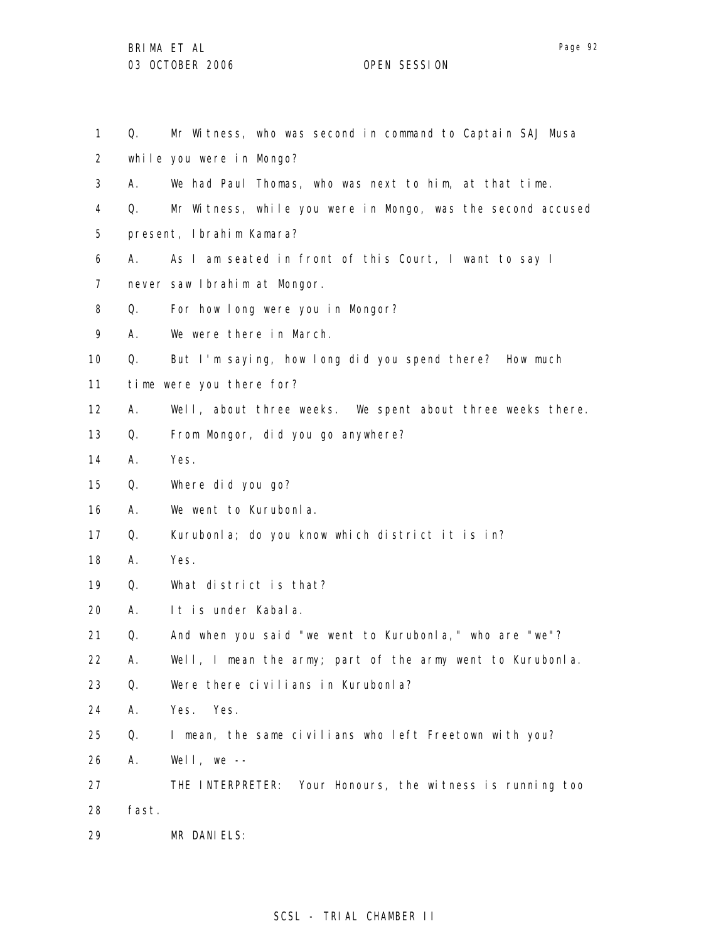| 1               | Q.    | Mr Witness, who was second in command to Captain SAJ Musa    |
|-----------------|-------|--------------------------------------------------------------|
| $\overline{2}$  |       | while you were in Mongo?                                     |
| 3               | А.    | We had Paul Thomas, who was next to him, at that time.       |
| 4               | Q.    | Mr Witness, while you were in Mongo, was the second accused  |
| 5               |       | present, Ibrahim Kamara?                                     |
| 6               | А.    | As I am seated in front of this Court, I want to say I       |
| $\overline{7}$  |       | never saw Ibrahim at Mongor.                                 |
| 8               | Q.    | For how long were you in Mongor?                             |
| 9               | А.    | We were there in March.                                      |
| 10              | Q.    | But I'm saying, how long did you spend there? How much       |
| 11              |       | time were you there for?                                     |
| 12 <sup>2</sup> | А.    | Well, about three weeks. We spent about three weeks there.   |
| 13              | Q.    | From Mongor, did you go anywhere?                            |
| 14              | А.    | Yes.                                                         |
| 15              | Q.    | Where did you go?                                            |
| 16              | А.    | We went to Kurubonla.                                        |
| 17              | Q.    | Kurubonla; do you know which district it is in?              |
| 18              | А.    | Yes.                                                         |
| 19              | Q.    | What district is that?                                       |
| 20              | А.    | It is under Kabala.                                          |
| 21              | Q.    | And when you said "we went to Kurubonla," who are "we"?      |
| 22              | Α.    | Well, I mean the army; part of the army went to Kurubonla.   |
| 23              | Q.    | Were there civilians in Kurubonla?                           |
| 24              | Α.    | Yes.<br>Yes.                                                 |
| 25              | Q.    | I mean, the same civilians who left Freetown with you?       |
| 26              | А.    | Well, we $--$                                                |
| 27              |       | Your Honours, the witness is running too<br>THE INTERPRETER: |
| 28              | fast. |                                                              |
| 29              |       | MR DANIELS:                                                  |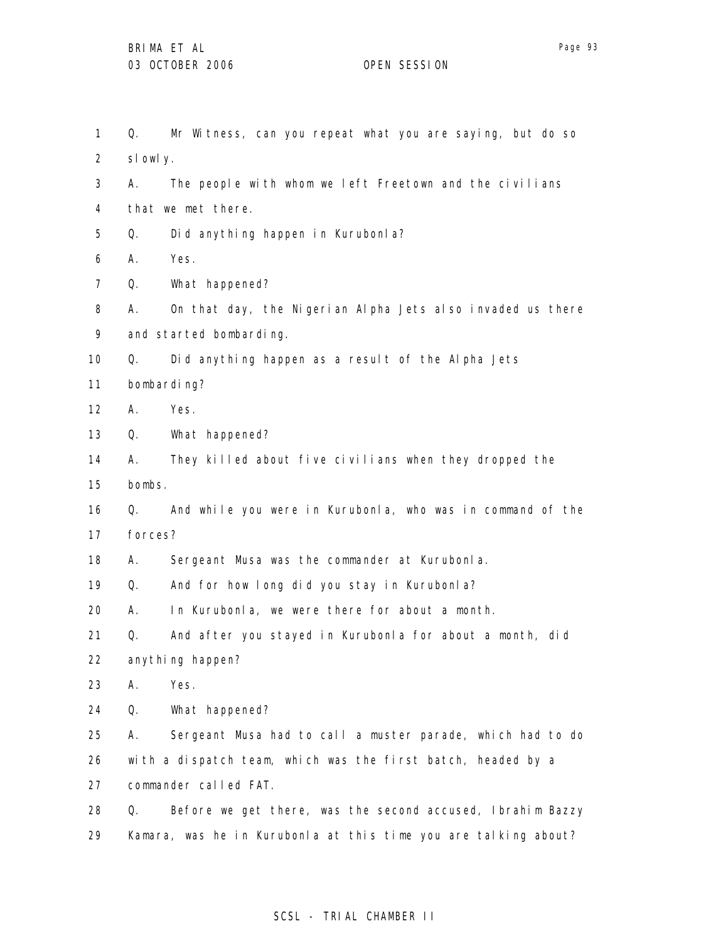1 2 3 4 5 6 7 8 9 10 11 12 13 14 15 16 17 18 19 20 21 22 23 24 25 26 27 28 29 Q. Mr Witness, can you repeat what you are saying, but do so slowly. A. The people with whom we left Freetown and the civilians that we met there. Q. Did anything happen in Kurubonla? A. Yes. Q. What happened? A. On that day, the Nigerian Alpha Jets also invaded us there and started bombarding. Q. Did anything happen as a result of the Alpha Jets bombarding? A. Yes. Q. What happened? A. They killed about five civilians when they dropped the bombs. Q. And while you were in Kurubonla, who was in command of the forces? A. Sergeant Musa was the commander at Kurubonla. Q. And for how long did you stay in Kurubonla? A. In Kurubonla, we were there for about a month. Q. And after you stayed in Kurubonla for about a month, did anything happen? A. Yes. Q. What happened? A. Sergeant Musa had to call a muster parade, which had to do with a dispatch team, which was the first batch, headed by a commander called FAT. Q. Before we get there, was the second accused, Ibrahim Bazzy Kamara, was he in Kurubonla at this time you are talking about?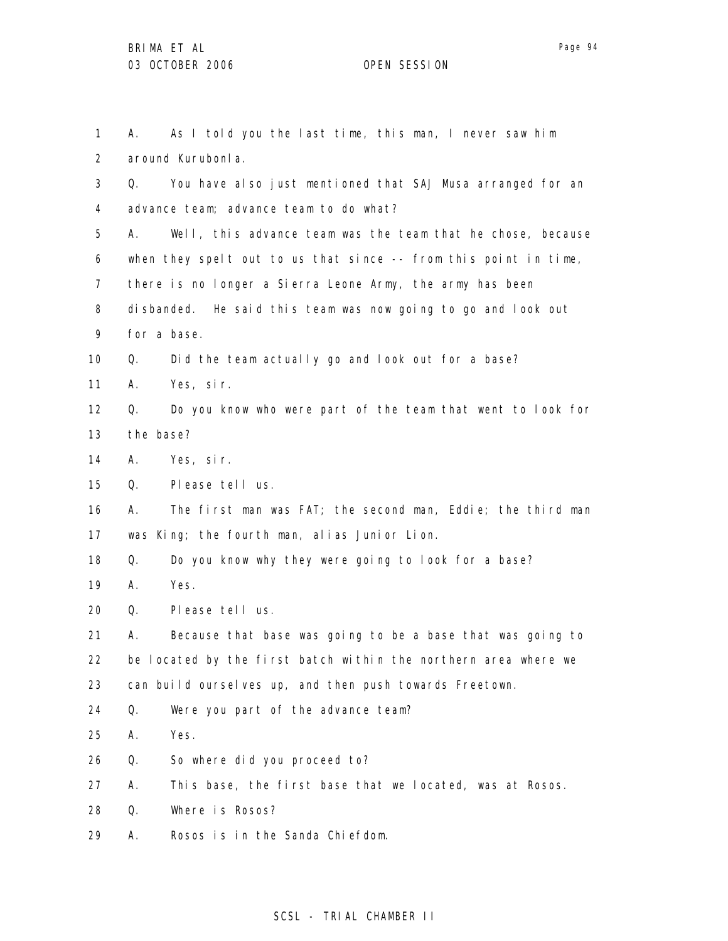| 1              | А.        | As I told you the last time, this man, I never saw him              |
|----------------|-----------|---------------------------------------------------------------------|
| $\overline{2}$ |           | around Kurubonla.                                                   |
| 3              | Q.        | You have also just mentioned that SAJ Musa arranged for an          |
| 4              |           | advance team; advance team to do what?                              |
| 5              | А.        | Well, this advance team was the team that he chose, because         |
| 6              |           | when they spelt out to us that since $-$ - from this point in time, |
| 7              |           | there is no longer a Sierra Leone Army, the army has been           |
| 8              |           | disbanded. He said this team was now going to go and look out       |
| 9              |           | for a base.                                                         |
| 10             | Q.        | Did the team actually go and look out for a base?                   |
| 11             | А.        | Yes, sir.                                                           |
| $12 \,$        | Q.        | Do you know who were part of the team that went to look for         |
| 13             | the base? |                                                                     |
| 14             | А.        | Yes, sir.                                                           |
| 15             | Q.        | Please tell us.                                                     |
| 16             | А.        | The first man was FAT; the second man, Eddie; the third man         |
| 17             |           | was King; the fourth man, alias Junior Lion.                        |
| 18             | Q.        | Do you know why they were going to look for a base?                 |
| 19             | А.        | Yes.                                                                |
| 20             | Q.        | Please tell us.                                                     |
| 21             | А.        | Because that base was going to be a base that was going to          |
| 22             |           | be located by the first batch within the northern area where we     |
| 23             |           | can build ourselves up, and then push towards Freetown.             |
| 24             | Q.        | Were you part of the advance team?                                  |
| 25             | Α.        | Yes.                                                                |
| 26             | Q.        | So where did you proceed to?                                        |
| 27             | А.        | This base, the first base that we located, was at Rosos.            |
| 28             | Q.        | Where is Rosos?                                                     |
| 29             | Α.        | Rosos is in the Sanda Chiefdom.                                     |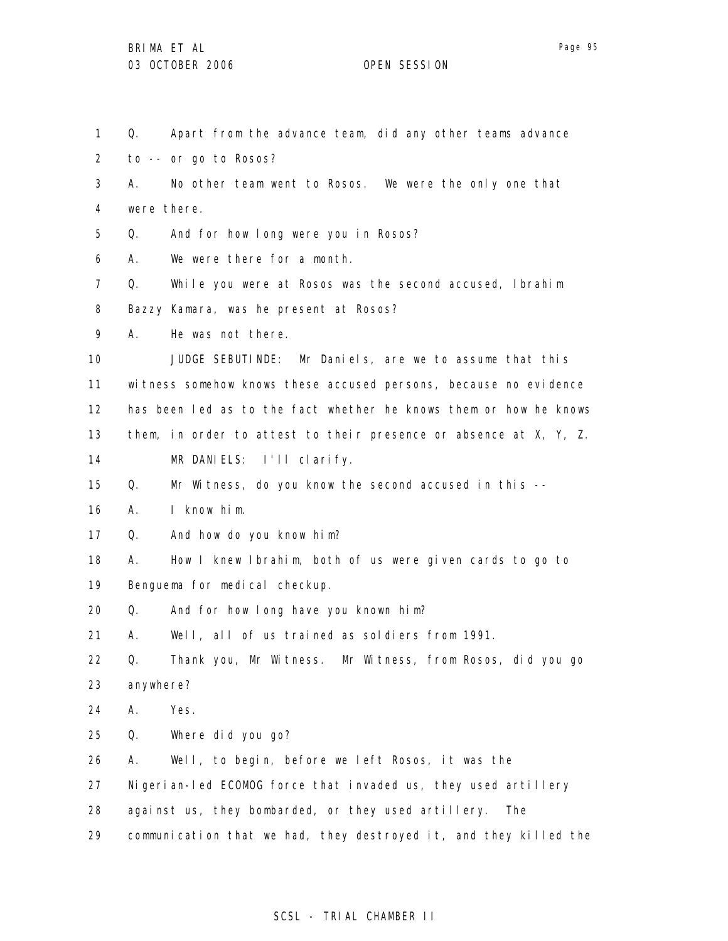| $\mathbf{1}$      | Q.        | Apart from the advance team, did any other teams advance          |
|-------------------|-----------|-------------------------------------------------------------------|
| $\overline{2}$    |           | to -- or go to Rosos?                                             |
| 3                 | А.        | No other team went to Rosos. We were the only one that            |
| 4                 |           | were there.                                                       |
| 5                 | Q.        | And for how long were you in Rosos?                               |
| 6                 | А.        | We were there for a month.                                        |
| $\mathcal{I}$     | Q.        | While you were at Rosos was the second accused, Ibrahim           |
| 8                 |           | Bazzy Kamara, was he present at Rosos?                            |
| 9                 | А.        | He was not there.                                                 |
| 10                |           | JUDGE SEBUTINDE: Mr Daniels, are we to assume that this           |
| 11                |           | witness somehow knows these accused persons, because no evidence  |
| $12 \overline{ }$ |           | has been led as to the fact whether he knows them or how he knows |
| 13                |           | them, in order to attest to their presence or absence at X, Y, Z. |
| 14                |           | MR DANIELS: I'll clarify.                                         |
| 15                | Q.        | Mr Witness, do you know the second accused in this --             |
| 16                | А.        | I know him.                                                       |
| 17                | Q.        | And how do you know him?                                          |
| 18                | А.        | How I knew Ibrahim, both of us were given cards to go to          |
| 19                |           | Benguema for medical checkup.                                     |
| 20                | Q.        | And for how long have you known him?                              |
| 21                | А.        | Well, all of us trained as soldiers from 1991.                    |
| 22                | Q.        | Thank you, Mr Witness. Mr Witness, from Rosos, did you go         |
| 23                | anywhere? |                                                                   |
| 24                | А.        | Yes.                                                              |
| 25                | Q.        | Where did you go?                                                 |
| 26                | А.        | Well, to begin, before we left Rosos, it was the                  |
| 27                |           | Nigerian-led ECOMOG force that invaded us, they used artillery    |
| 28                |           | against us, they bombarded, or they used artillery.<br>The        |
| 29                |           | communication that we had, they destroyed it, and they killed the |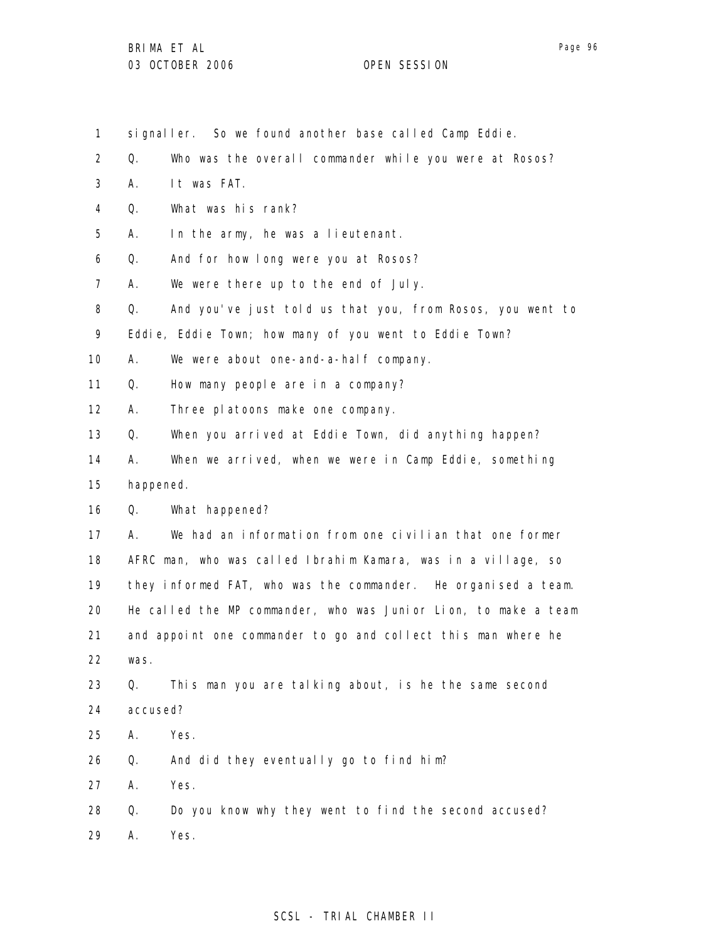- signaller. So we found another base called Camp Eddie.
- 2 Q. Who was the overall commander while you were at Rosos?
- 3 A. It was FAT.

1

- 4 Q. What was his rank?
- 5 A. In the army, he was a lieutenant.
- 6 Q. And for how long were you at Rosos?
- 7 A. We were there up to the end of July.
- 8 Q. And you've just told us that you, from Rosos, you went to
- 9 Eddie, Eddie Town; how many of you went to Eddie Town?
- 10 A. We were about one-and-a-half company.
- 11 Q. How many people are in a company?
- 12 A. Three platoons make one company.
- 13 Q. When you arrived at Eddie Town, did anything happen?
- 14 A. When we arrived, when we were in Camp Eddie, something
- 15 happened.
- 16 Q. What happened?
- 17 18 19 20 21 22 A. We had an information from one civilian that one former AFRC man, who was called Ibrahim Kamara, was in a village, so they informed FAT, who was the commander. He organised a team. He called the MP commander, who was Junior Lion, to make a team and appoint one commander to go and collect this man where he was.
- 23 24 Q. This man you are talking about, is he the same second accused?
- 25 A. Yes.
- 26 Q. And did they eventually go to find him?
- 27 A. Yes.
- 28 Q. Do you know why they went to find the second accused?
- 29 A. Yes.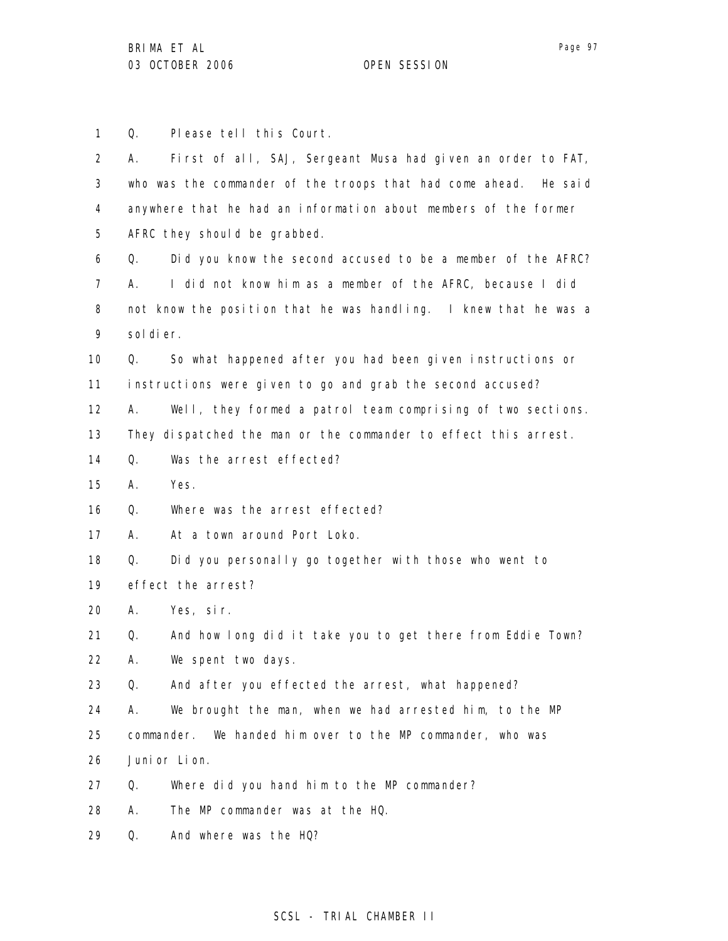1 Q. Please tell this Court.

2 3 4 5 6 7 8 9 10 11 12 13 14 15 16 17 18 19 20 21 22 23 24 25 26 27 28 29 A. First of all, SAJ, Sergeant Musa had given an order to FAT, who was the commander of the troops that had come ahead. He said anywhere that he had an information about members of the former AFRC they should be grabbed. Q. Did you know the second accused to be a member of the AFRC? A. I did not know him as a member of the AFRC, because I did not know the position that he was handling. I knew that he was a sol di er. Q. So what happened after you had been given instructions or instructions were given to go and grab the second accused? A. Well, they formed a patrol team comprising of two sections. They dispatched the man or the commander to effect this arrest. Q. Was the arrest effected? A. Yes. Q. Where was the arrest effected? A. At a town around Port Loko. Q. Did you personally go together with those who went to effect the arrest? A. Yes, sir. Q. And how long did it take you to get there from Eddie Town? A. We spent two days. Q. And after you effected the arrest, what happened? A. We brought the man, when we had arrested him, to the MP commander. We handed him over to the MP commander, who was Junior Lion. Q. Where did you hand him to the MP commander? A. The MP commander was at the HQ. Q. And where was the HQ?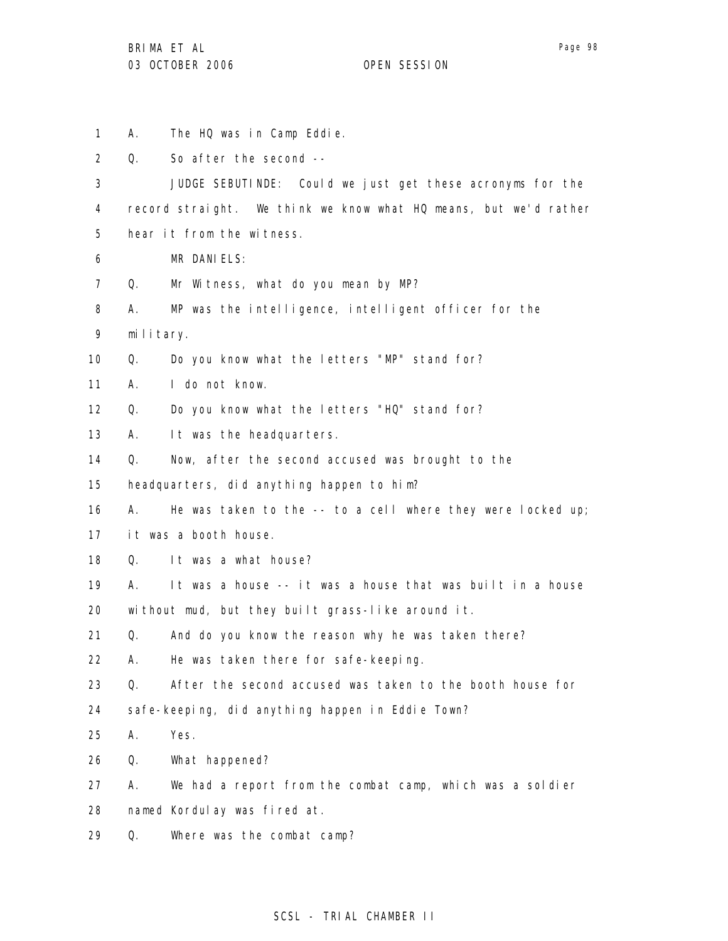1

2

3

4

5

6

7

8

9

10

11

12

13

14

15

16

17

18

19

20

21

22

23

24

25

26

27

28

29

A. The HQ was in Camp Eddie. Q. So after the second -- JUDGE SEBUTINDE: Could we just get these acronyms for the record straight. We think we know what HQ means, but we'd rather hear it from the witness. MR DANIELS: Q. Mr Witness, what do you mean by MP? A. MP was the intelligence, intelligent officer for the military. Q. Do you know what the letters "MP" stand for? A. I do not know. Q. Do you know what the letters "HQ" stand for? A. It was the headquarters. Q. Now, after the second accused was brought to the headquarters, did anything happen to him? A. He was taken to the -- to a cell where they were locked up; it was a booth house. Q. It was a what house? A. It was a house -- it was a house that was built in a house without mud, but they built grass-like around it. Q. And do you know the reason why he was taken there? A. He was taken there for safe-keeping. Q. After the second accused was taken to the booth house for safe-keeping, did anything happen in Eddie Town? A. Yes. Q. What happened? A. We had a report from the combat camp, which was a soldier named Kordulay was fired at. Q. Where was the combat camp?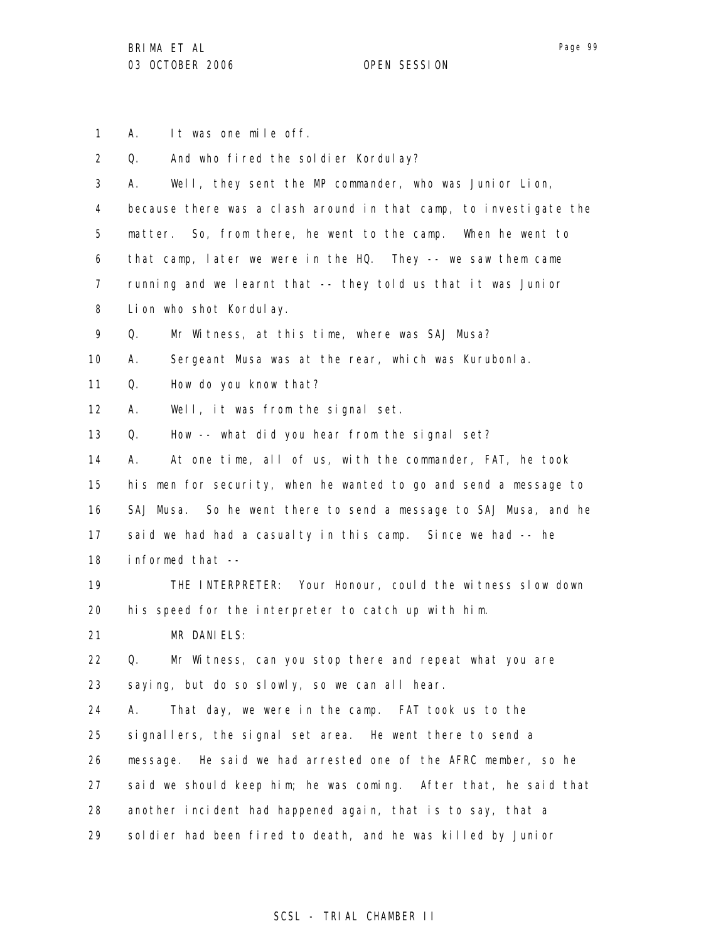1 A. It was one mile off.

2 3 4 5 6 7 8 9 10 11 12 13 14 15 16 17 18 19 20 21 22 23 24 25 26 27 28 29 Q. And who fired the soldier Kordulay? A. Well, they sent the MP commander, who was Junior Lion, because there was a clash around in that camp, to investigate the matter. So, from there, he went to the camp. When he went to that camp, later we were in the HQ. They -- we saw them came running and we learnt that -- they told us that it was Junior Lion who shot Kordulay. Q. Mr Witness, at this time, where was SAJ Musa? A. Sergeant Musa was at the rear, which was Kurubonla. Q. How do you know that? A. Well, it was from the signal set. Q. How -- what did you hear from the signal set? A. At one time, all of us, with the commander, FAT, he took his men for security, when he wanted to go and send a message to SAJ Musa. So he went there to send a message to SAJ Musa, and he said we had had a casualty in this camp. Since we had -- he informed that -- THE INTERPRETER: Your Honour, could the witness slow down his speed for the interpreter to catch up with him. MR DANIELS: Q. Mr Witness, can you stop there and repeat what you are saying, but do so slowly, so we can all hear. A. That day, we were in the camp. FAT took us to the signallers, the signal set area. He went there to send a message. He said we had arrested one of the AFRC member, so he said we should keep him; he was coming. After that, he said that another incident had happened again, that is to say, that a soldier had been fired to death, and he was killed by Junior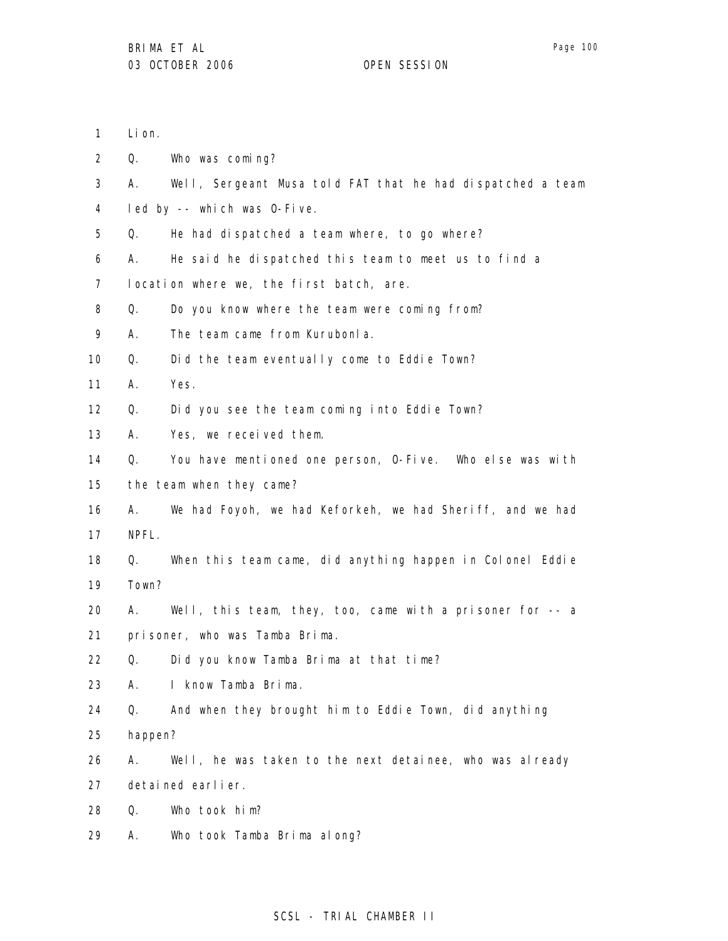2 3 4 5 6 7 8 9 10 11 12 13 14 15 16 17 18 19 20 21 22 23 24 25 26 27 28 Q. Who was coming? A. Well, Sergeant Musa told FAT that he had dispatched a team led by -- which was O-Five. Q. He had dispatched a team where, to go where? A. He said he dispatched this team to meet us to find a location where we, the first batch, are. Q. Do you know where the team were coming from? A. The team came from Kurubonla. Q. Did the team eventually come to Eddie Town? A. Yes. Q. Did you see the team coming into Eddie Town? A. Yes, we received them. Q. You have mentioned one person, O-Five. Who else was with the team when they came? A. We had Foyoh, we had Keforkeh, we had Sheriff, and we had NPFL. Q. When this team came, did anything happen in Colonel Eddie Town? A. Well, this team, they, too, came with a prisoner for -- a prisoner, who was Tamba Brima. Q. Did you know Tamba Brima at that time? A. I know Tamba Brima. Q. And when they brought him to Eddie Town, did anything happen? A. Well, he was taken to the next detainee, who was already detained earlier. Q. Who took him?

29 A. Who took Tamba Brima along?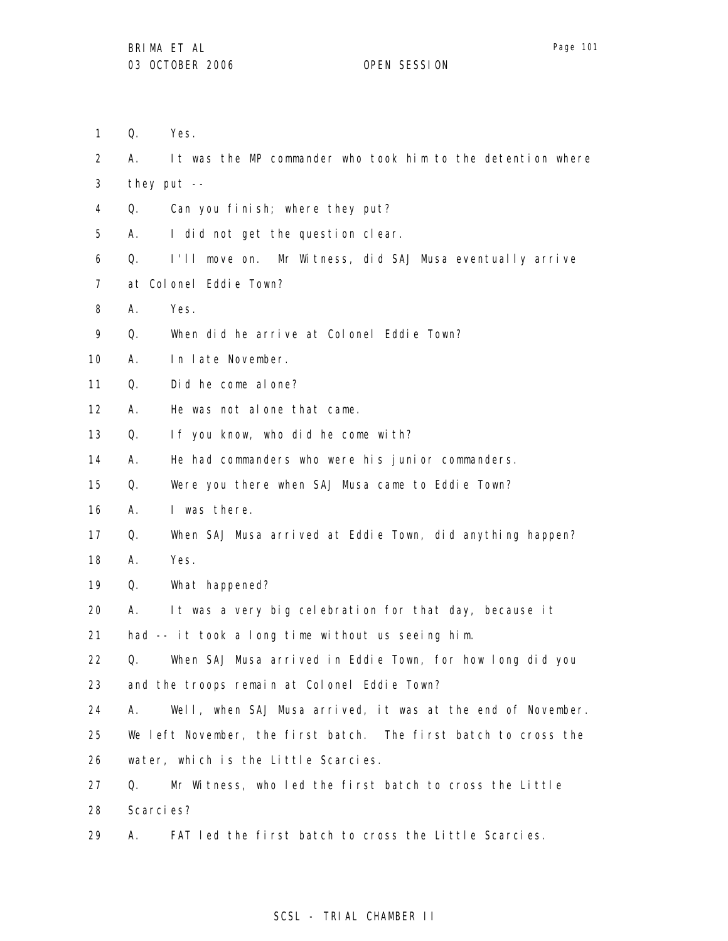It was the MP commander who took him to the detention where

1 Yes.

2 A.

| 3  | they put $--$ |                                                                 |  |
|----|---------------|-----------------------------------------------------------------|--|
| 4  | Q.            | Can you finish; where they put?                                 |  |
| 5  | А.            | I did not get the question clear.                               |  |
| 6  | Q.            | I'll move on. Mr Witness, did SAJ Musa eventually arrive        |  |
| 7  |               | at Colonel Eddie Town?                                          |  |
| 8  | А.            | Yes.                                                            |  |
| 9  | Q.            | When did he arrive at Colonel Eddie Town?                       |  |
| 10 | А.            | In late November.                                               |  |
| 11 | Q.            | Did he come al one?                                             |  |
| 12 | А.            | He was not alone that came.                                     |  |
| 13 | Q.            | If you know, who did he come with?                              |  |
| 14 | А.            | He had commanders who were his junior commanders.               |  |
| 15 | Q.            | Were you there when SAJ Musa came to Eddie Town?                |  |
| 16 | А.            | I was there.                                                    |  |
| 17 | Q.            | When SAJ Musa arrived at Eddie Town, did anything happen?       |  |
| 18 | А.            | Yes.                                                            |  |
| 19 | Q.            | What happened?                                                  |  |
| 20 | А.            | It was a very big celebration for that day, because it          |  |
| 21 |               | had -- it took a long time without us seeing him.               |  |
| 22 | Q.            | When SAJ Musa arrived in Eddie Town, for how long did you       |  |
| 23 |               | and the troops remain at Colonel Eddie Town?                    |  |
| 24 | А.            | Well, when SAJ Musa arrived, it was at the end of November.     |  |
| 25 |               | We left November, the first batch. The first batch to cross the |  |
| 26 |               | water, which is the Little Scarcies.                            |  |
| 27 | Q.            | Mr Witness, who led the first batch to cross the Little         |  |

- 28 Scarcies?
- 29 A. FAT led the first batch to cross the Little Scarcies.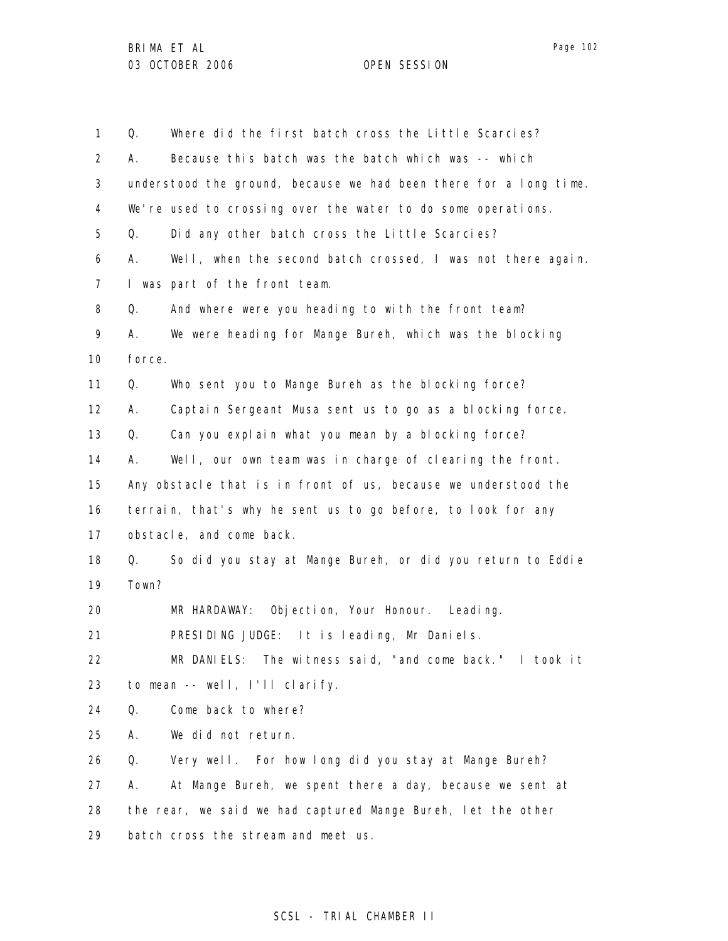| 1                 | Q.                                                             | Where did the first batch cross the Little Scarcies?              |
|-------------------|----------------------------------------------------------------|-------------------------------------------------------------------|
| $\overline{2}$    | А.                                                             | Because this batch was the batch which was -- which               |
| 3                 |                                                                | understood the ground, because we had been there for a long time. |
| 4                 |                                                                | We're used to crossing over the water to do some operations.      |
| 5                 | Q.                                                             | Did any other batch cross the Little Scarcies?                    |
| 6                 | А.                                                             | Well, when the second batch crossed, I was not there again.       |
| $\overline{7}$    |                                                                | I was part of the front team.                                     |
| 8                 | Q.                                                             | And where were you heading to with the front team?                |
| 9                 | А.                                                             | We were heading for Mange Bureh, which was the blocking           |
| 10                | force.                                                         |                                                                   |
| 11                | Q.                                                             | Who sent you to Mange Bureh as the blocking force?                |
| $12 \overline{ }$ | А.                                                             | Captain Sergeant Musa sent us to go as a blocking force.          |
| 13                | Q.                                                             | Can you explain what you mean by a blocking force?                |
| 14                | Α.                                                             | Well, our own team was in charge of clearing the front.           |
| 15                | Any obstacle that is in front of us, because we understood the |                                                                   |
| 16                |                                                                | terrain, that's why he sent us to go before, to look for any      |
| 17                |                                                                | obstacle, and come back.                                          |
| 18                | Q.                                                             | So did you stay at Mange Bureh, or did you return to Eddie        |
| 19                | Town?                                                          |                                                                   |
| 20                |                                                                | MR HARDAWAY: Objection, Your Honour. Leading.                     |
| 21                |                                                                | PRESIDING JUDGE: It is leading, Mr Daniels.                       |
| 22                |                                                                | MR DANIELS: The witness said, "and come back." I took it          |
| 23                |                                                                | to mean -- well, I'll clarify.                                    |
| 24                | Q.                                                             | Come back to where?                                               |
| 25                | А.                                                             | We did not return.                                                |
| 26                | Q.                                                             | Very well. For how long did you stay at Mange Bureh?              |
| 27                | А.                                                             | At Mange Bureh, we spent there a day, because we sent at          |
| 28                |                                                                | the rear, we said we had captured Mange Bureh, let the other      |
|                   |                                                                |                                                                   |
| 29                |                                                                | batch cross the stream and meet us.                               |

# SCSL - TRIAL CHAMBER II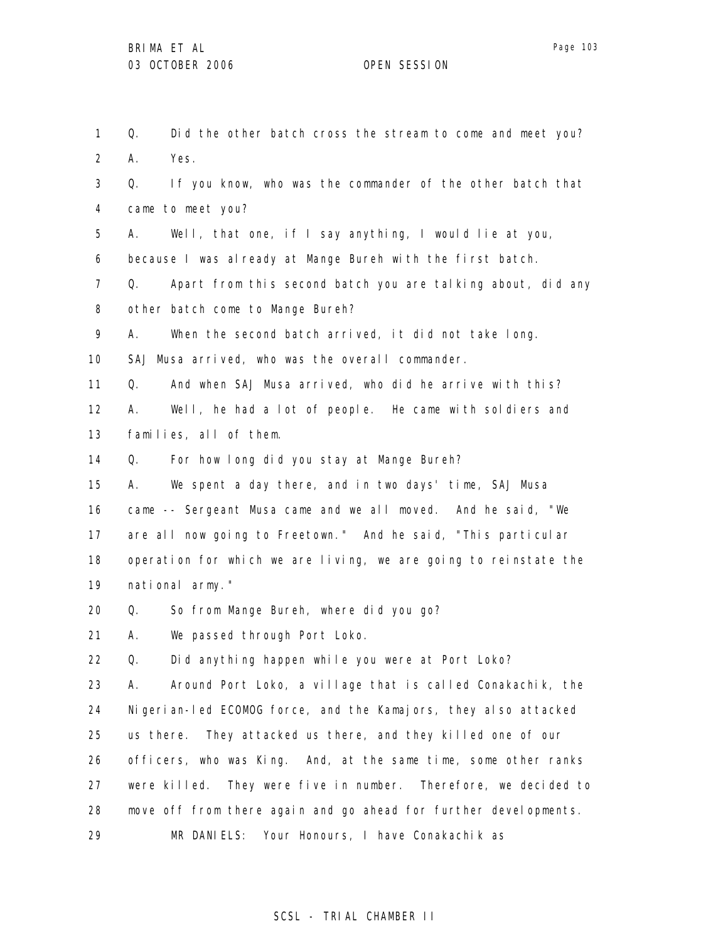1 2 3 4 5 6 7 8 9 10 11 12 13 14 15 16 17 18 19 20 21 22 23 24 25 26 27 28 29 Q. Did the other batch cross the stream to come and meet you? A. Yes. Q. If you know, who was the commander of the other batch that came to meet you? A. Well, that one, if I say anything, I would lie at you, because I was already at Mange Bureh with the first batch. Q. Apart from this second batch you are talking about, did any other batch come to Mange Bureh? A. When the second batch arrived, it did not take long. SAJ Musa arrived, who was the overall commander. Q. And when SAJ Musa arrived, who did he arrive with this? A. Well, he had a lot of people. He came with soldiers and families, all of them. Q. For how long did you stay at Mange Bureh? A. We spent a day there, and in two days' time, SAJ Musa came -- Sergeant Musa came and we all moved. And he said, "We are all now going to Freetown." And he said, "This particular operation for which we are living, we are going to reinstate the national army." Q. So from Mange Bureh, where did you go? A. We passed through Port Loko. Q. Did anything happen while you were at Port Loko? A. Around Port Loko, a village that is called Conakachik, the Nigerian-led ECOMOG force, and the Kamajors, they also attacked us there. They attacked us there, and they killed one of our officers, who was King. And, at the same time, some other ranks were killed. They were five in number. Therefore, we decided to move off from there again and go ahead for further developments. MR DANIELS: Your Honours, I have Conakachik as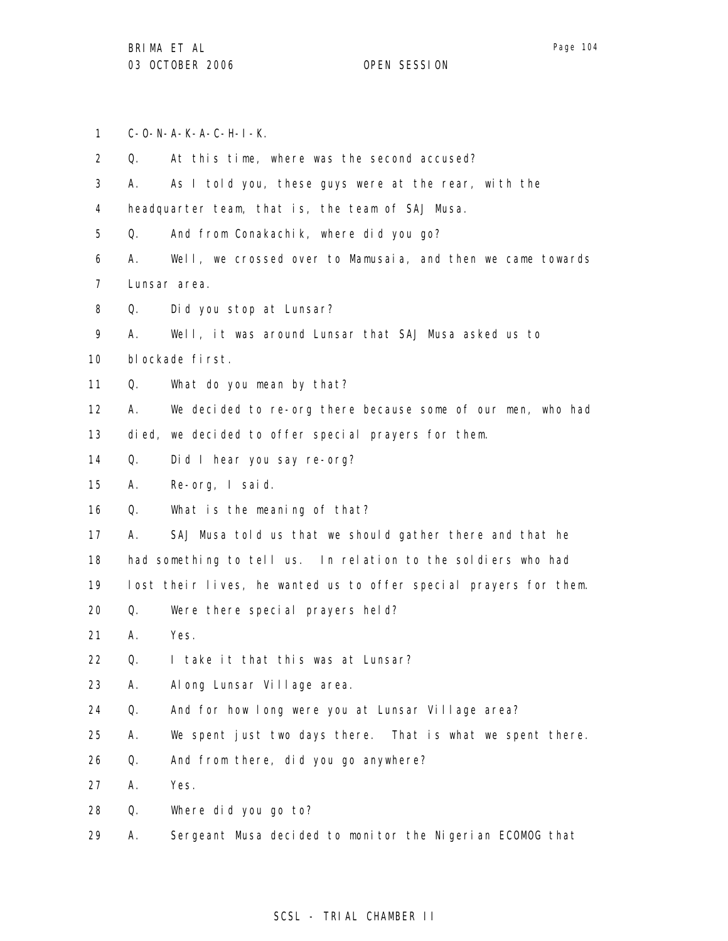1 C-O-N-A-K-A-C-H-I-K.

| $\overline{2}$ | Q. | At this time, where was the second accused?                       |
|----------------|----|-------------------------------------------------------------------|
| 3              | А. | As I told you, these guys were at the rear, with the              |
| 4              |    | headquarter team, that is, the team of SAJ Musa.                  |
| 5              | Q. | And from Conakachik, where did you go?                            |
| 6              | А. | Well, we crossed over to Mamusaia, and then we came towards       |
| $\overline{7}$ |    | Lunsar area.                                                      |
| 8              | Q. | Did you stop at Lunsar?                                           |
| 9              | А. | Well, it was around Lunsar that SAJ Musa asked us to              |
| 10             |    | blockade first.                                                   |
| 11             | Q. | What do you mean by that?                                         |
| 12             | А. | We decided to re-org there because some of our men, who had       |
| 13             |    | died, we decided to offer special prayers for them.               |
| 14             | Q. | Did I hear you say re-org?                                        |
| 15             | А. | Re-org, I said.                                                   |
| 16             | Q. | What is the meaning of that?                                      |
| 17             | А. | SAJ Musa told us that we should gather there and that he          |
| 18             |    | had something to tell us. In relation to the soldiers who had     |
| 19             |    | lost their lives, he wanted us to offer special prayers for them. |
| 20             | Q. | Were there special prayers held?                                  |
| 21             | А. | Yes.                                                              |
| 22             | Q. | I take it that this was at Lunsar?                                |
| 23             | Α. | Al ong Lunsar Village area.                                       |
| 24             | Q. | And for how long were you at Lunsar Village area?                 |
| 25             | Α. | We spent just two days there. That is what we spent there.        |
| 26             | Q. | And from there, did you go anywhere?                              |
| 27             | Α. | Yes.                                                              |
| 28             | Q. | Where did you go to?                                              |
| 29             | Α. | Sergeant Musa decided to monitor the Nigerian ECOMOG that         |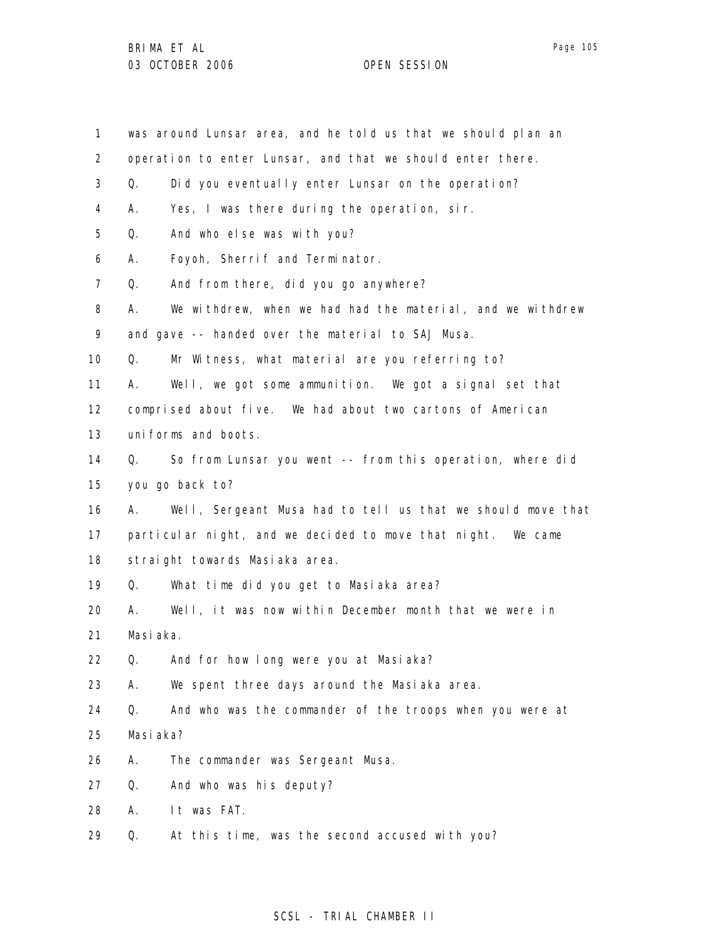| 1                 |           | was around Lunsar area, and he told us that we should plan an |
|-------------------|-----------|---------------------------------------------------------------|
| $\overline{2}$    |           | operation to enter Lunsar, and that we should enter there.    |
| 3                 | Q.        | Did you eventually enter Lunsar on the operation?             |
| 4                 | А.        | Yes, I was there during the operation, sir.                   |
| 5                 | Q.        | And who else was with you?                                    |
| 6                 | А.        | Foyoh, Sherrif and Terminator.                                |
| 7                 | Q.        | And from there, did you go anywhere?                          |
| 8                 | А.        | We withdrew, when we had had the material, and we withdrew    |
| 9                 |           | and gave -- handed over the material to SAJ Musa.             |
| 10                | Q.        | Mr Witness, what material are you referring to?               |
| 11                | А.        | Well, we got some ammunition. We got a signal set that        |
| $12 \overline{ }$ |           | comprised about five. We had about two cartons of American    |
| 13                |           | uniforms and boots.                                           |
| 14                | Q.        | So from Lunsar you went -- from this operation, where did     |
| 15                |           | you go back to?                                               |
| 16                | А.        | Well, Sergeant Musa had to tell us that we should move that   |
| 17                |           | particular night, and we decided to move that night. We came  |
| 18                |           | straight towards Masiaka area.                                |
| 19                | Q.        | What time did you get to Masiaka area?                        |
| 20                | А.        | Well, it was now within December month that we were in        |
| 21                | Masiaka.  |                                                               |
| 22                | Q.        | And for how long were you at Masiaka?                         |
| 23                | А.        | We spent three days around the Masiaka area.                  |
| 24                | Q.        | And who was the commander of the troops when you were at      |
| 25                | Masi aka? |                                                               |
| 26                | Α.        | The commander was Sergeant Musa.                              |
| 27                | Q.        | And who was his deputy?                                       |
| 28                | Α.        | It was FAT.                                                   |
| 29                | Q.        | At this time, was the second accused with you?                |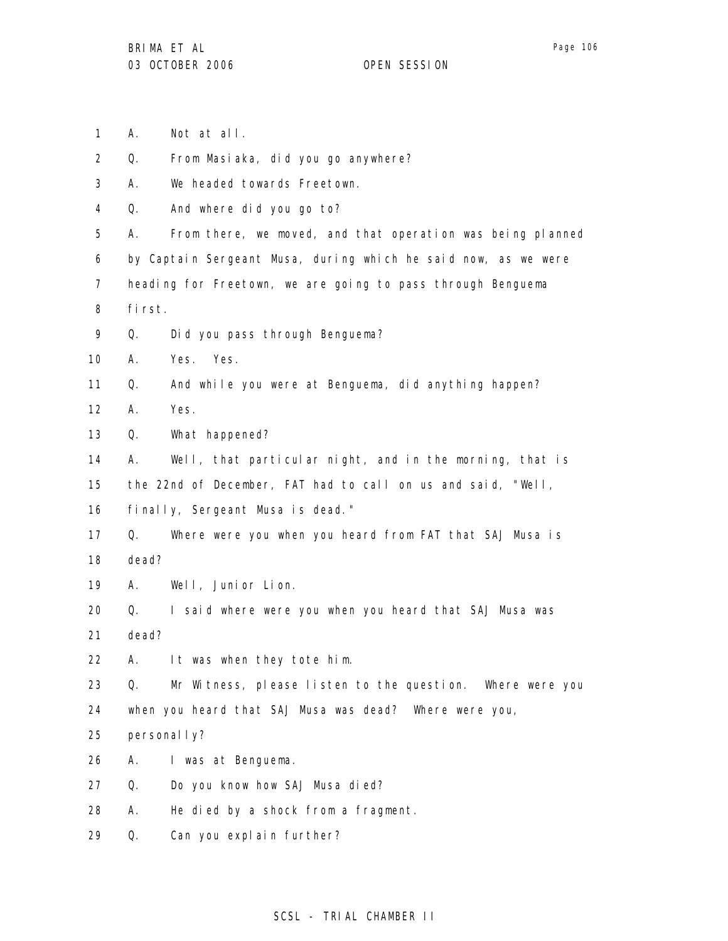- 1 A. Not at all.
- 2 Q. From Masiaka, did you go anywhere?
- 3 A. We headed towards Freetown.
- 4 Q. And where did you go to?
- 5 A. From there, we moved, and that operation was being planned
- 6 by Captain Sergeant Musa, during which he said now, as we were
- 7 heading for Freetown, we are going to pass through Benguema
- 8 first.
- 9 Q. Did you pass through Benguema?
- 10 A. Yes. Yes.
- 11 Q. And while you were at Benguema, did anything happen?
- 12 A. Yes.
- 13 Q. What happened?
- 14 15 A. Well, that particular night, and in the morning, that is the 22nd of December, FAT had to call on us and said, "Well,
- 16 finally, Sergeant Musa is dead."
- 17 18 Q. Where were you when you heard from FAT that SAJ Musa is dead?
- 19 A. Well, Junior Lion.
- 20 21 Q. I said where were you when you heard that SAJ Musa was dead?
- 22 A. It was when they tote him.
- 23 Q. Mr Witness, please listen to the question. Where were you
- 24 when you heard that SAJ Musa was dead? Where were you,
- 25 personal I y?
- 26 A. I was at Benguema.
- 27 Q. Do you know how SAJ Musa died?
- 28 A. He died by a shock from a fragment.
- 29 Q. Can you explain further?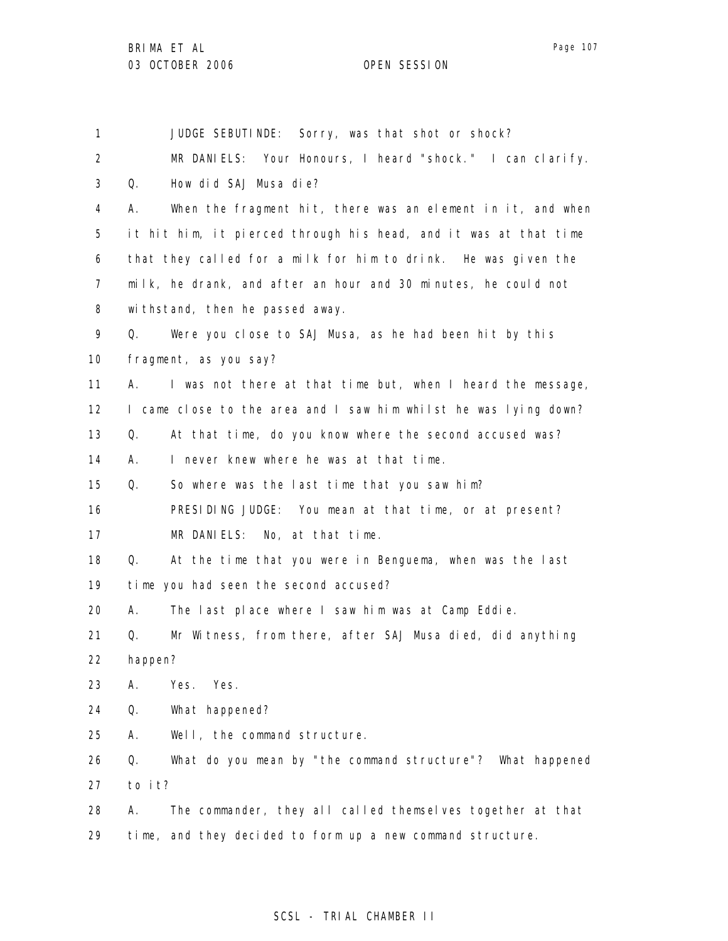1 2 3 4 5 6 7 8 9 10 11 12 13 14 15 16 17 18 19 20 21 22 23 24 25 26 27 28 29 JUDGE SEBUTINDE: Sorry, was that shot or shock? MR DANIELS: Your Honours, I heard "shock." I can clarify. Q. How did SAJ Musa die? A. When the fragment hit, there was an element in it, and when it hit him, it pierced through his head, and it was at that time that they called for a milk for him to drink. He was given the milk, he drank, and after an hour and 30 minutes, he could not withstand, then he passed away. Q. Were you close to SAJ Musa, as he had been hit by this fragment, as you say? A. I was not there at that time but, when I heard the message, I came close to the area and I saw him whilst he was lying down? Q. At that time, do you know where the second accused was? A. I never knew where he was at that time. Q. So where was the last time that you saw him? PRESIDING JUDGE: You mean at that time, or at present? MR DANIELS: No, at that time. Q. At the time that you were in Benguema, when was the last time you had seen the second accused? A. The last place where I saw him was at Camp Eddie. Q. Mr Witness, from there, after SAJ Musa died, did anything happen? A. Yes. Yes. Q. What happened? A. Well, the command structure. Q. What do you mean by "the command structure"? What happened to it? A. The commander, they all called themselves together at that time, and they decided to form up a new command structure.

### SCSL - TRIAL CHAMBER II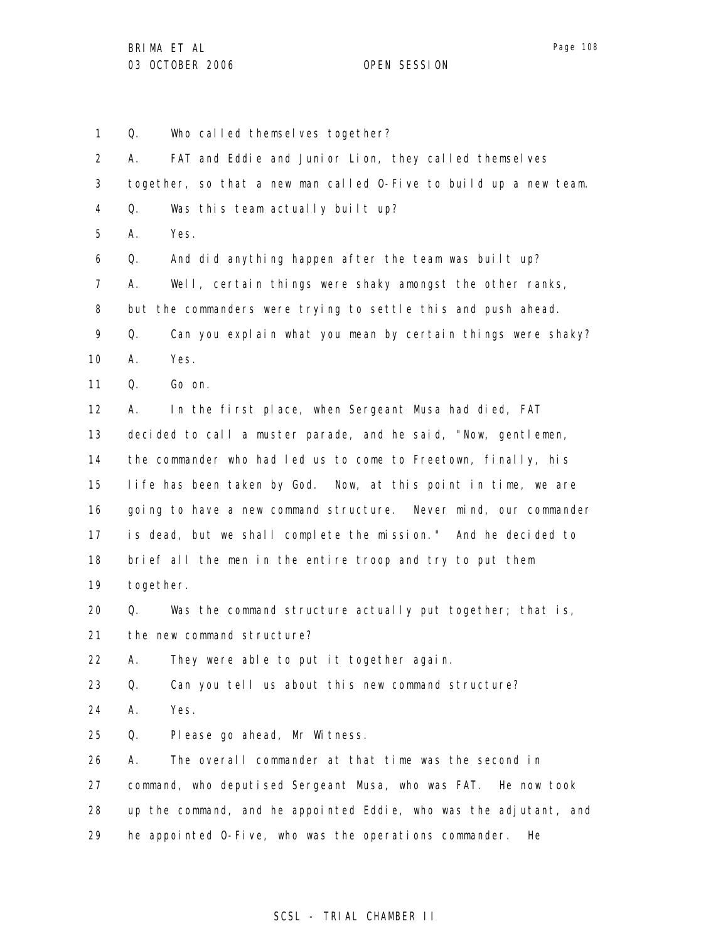1 2 3 4 5 6 7 8 9 10 11 12 13 14 15 16 17 18 19 20 21 22 23 24 25 26 27 28 29 Q. Who called themselves together? A. FAT and Eddie and Junior Lion, they called themselves together, so that a new man called O-Five to build up a new team. Q. Was this team actually built up? A. Yes. Q. And did anything happen after the team was built up? A. Well, certain things were shaky amongst the other ranks, but the commanders were trying to settle this and push ahead. Q. Can you explain what you mean by certain things were shaky? A. Yes. Q. Go on. A. In the first place, when Sergeant Musa had died, FAT decided to call a muster parade, and he said, "Now, gentlemen, the commander who had led us to come to Freetown, finally, his life has been taken by God. Now, at this point in time, we are going to have a new command structure. Never mind, our commander is dead, but we shall complete the mission." And he decided to brief all the men in the entire troop and try to put them together. Q. Was the command structure actually put together; that is, the new command structure? A. They were able to put it together again. Q. Can you tell us about this new command structure? A. Yes. Q. Please go ahead, Mr Witness. A. The overall commander at that time was the second in command, who deputised Sergeant Musa, who was FAT. He now took up the command, and he appointed Eddie, who was the adjutant, and he appointed O-Five, who was the operations commander. He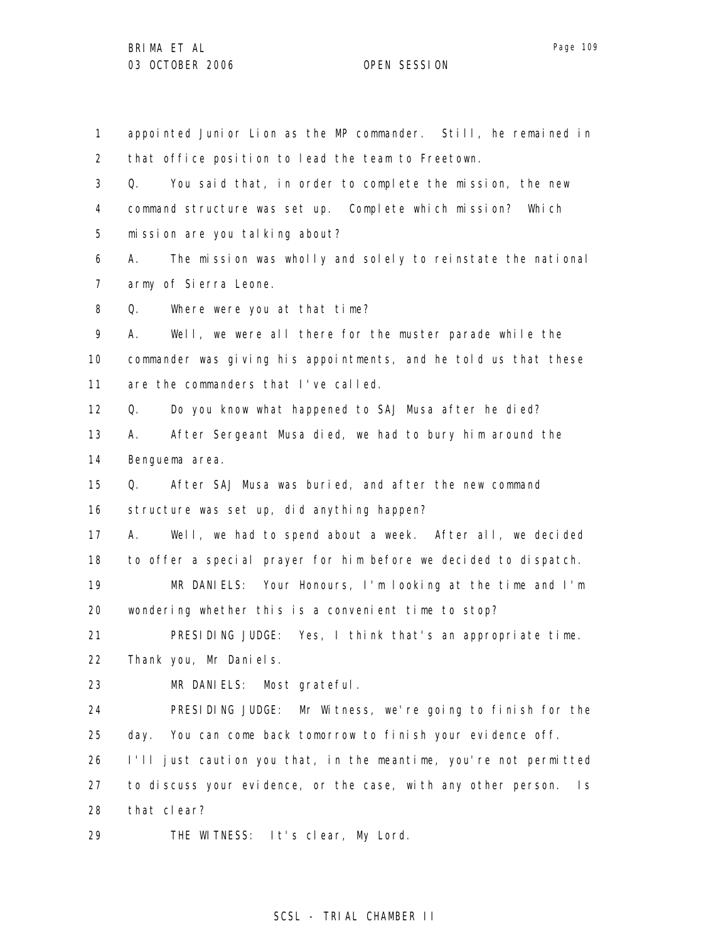1 2 3 4 5 6 7 8 9 10 11 12 13 14 15 16 17 18 19 20 21 22 23 24 25 26 27 28 29 appointed Junior Lion as the MP commander. Still, he remained in that office position to lead the team to Freetown. Q. You said that, in order to complete the mission, the new command structure was set up. Complete which mission? Which mission are you talking about? A. The mission was wholly and solely to reinstate the national army of Sierra Leone. Q. Where were you at that time? A. Well, we were all there for the muster parade while the commander was giving his appointments, and he told us that these are the commanders that I've called. Q. Do you know what happened to SAJ Musa after he died? A. After Sergeant Musa died, we had to bury him around the Benguema area. Q. After SAJ Musa was buried, and after the new command structure was set up, did anything happen? A. Well, we had to spend about a week. After all, we decided to offer a special prayer for him before we decided to dispatch. MR DANIELS: Your Honours, I'm looking at the time and I'm wondering whether this is a convenient time to stop? PRESIDING JUDGE: Yes, I think that's an appropriate time. Thank you, Mr Daniels. MR DANIELS: Most grateful. PRESIDING JUDGE: Mr Witness, we're going to finish for the day. You can come back tomorrow to finish your evidence off. I'll just caution you that, in the meantime, you're not permitted to discuss your evidence, or the case, with any other person. Is that clear? THE WITNESS: It's clear, My Lord.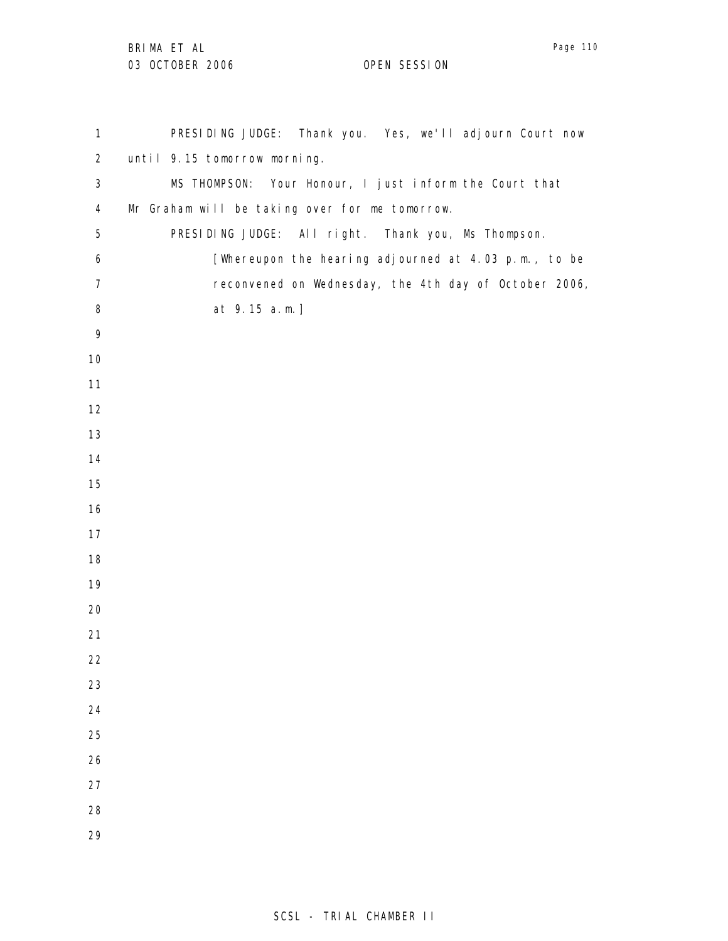Page 110

| $\mathbf{1}$   | PRESIDING JUDGE: Thank you. Yes, we'll adjourn Court now |
|----------------|----------------------------------------------------------|
| $\overline{2}$ | until 9.15 tomorrow morning.                             |
| $\mathfrak{S}$ | MS THOMPSON: Your Honour, I just inform the Court that   |
| 4              | Mr Graham will be taking over for me tomorrow.           |
| 5              | PRESIDING JUDGE: All right. Thank you, Ms Thompson.      |
| 6              | [Whereupon the hearing adjourned at 4.03 p.m., to be     |
| $\overline{7}$ | reconvened on Wednesday, the 4th day of October 2006,    |
| 8              | at 9.15 a.m.]                                            |
| 9              |                                                          |
| 10             |                                                          |
| 11             |                                                          |
| 12             |                                                          |
| 13             |                                                          |
| 14             |                                                          |
| 15             |                                                          |
| 16             |                                                          |
| 17             |                                                          |
| 18             |                                                          |
| 19             |                                                          |
| 20             |                                                          |
| 21             |                                                          |
| 22             |                                                          |
| 23             |                                                          |
| 24             |                                                          |
| 25             |                                                          |
| 26             |                                                          |
| 27             |                                                          |
| 28             |                                                          |
| 29             |                                                          |